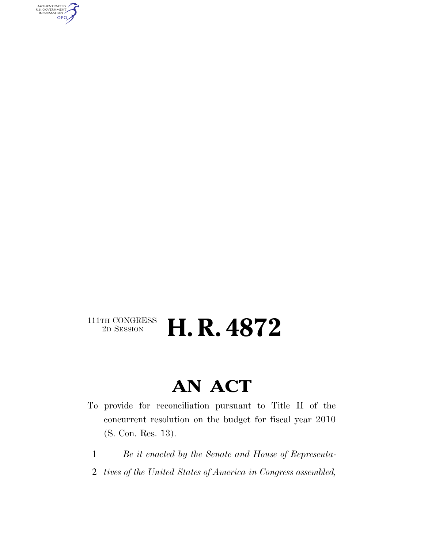AUTHENTICATED<br>U.S. GOVERNMENT<br>INFORMATION **GPO** 

# $\begin{array}{c} \textbf{111TH CONGRESS} \\ \textbf{2D SESION} \end{array}$ 2D SESSION **H. R. 4872**

# **AN ACT**

- To provide for reconciliation pursuant to Title II of the concurrent resolution on the budget for fiscal year 2010 (S. Con. Res. 13).
	- 1 *Be it enacted by the Senate and House of Representa-*
	- 2 *tives of the United States of America in Congress assembled,*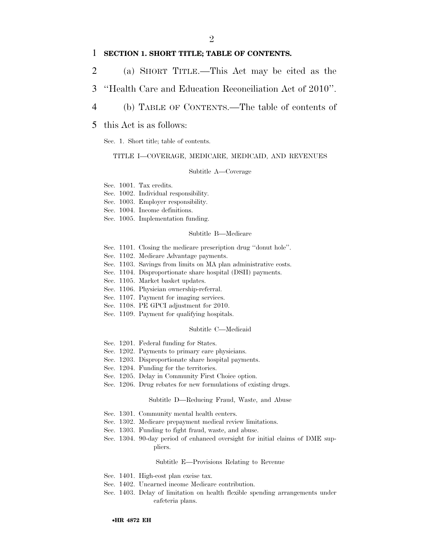## 1 **SECTION 1. SHORT TITLE; TABLE OF CONTENTS.**

- 2 (a) SHORT TITLE.—This Act may be cited as the
- 3 ''Health Care and Education Reconciliation Act of 2010''.
- 4 (b) TABLE OF CONTENTS.—The table of contents of

## 5 this Act is as follows:

Sec. 1. Short title; table of contents.

### TITLE I—COVERAGE, MEDICARE, MEDICAID, AND REVENUES

#### Subtitle A—Coverage

Sec. 1001. Tax credits.

- Sec. 1002. Individual responsibility.
- Sec. 1003. Employer responsibility.
- Sec. 1004. Income definitions.
- Sec. 1005. Implementation funding.

#### Subtitle B—Medicare

- Sec. 1101. Closing the medicare prescription drug ''donut hole''.
- Sec. 1102. Medicare Advantage payments.
- Sec. 1103. Savings from limits on MA plan administrative costs.
- Sec. 1104. Disproportionate share hospital (DSH) payments.
- Sec. 1105. Market basket updates.
- Sec. 1106. Physician ownership-referral.
- Sec. 1107. Payment for imaging services.
- Sec. 1108. PE GPCI adjustment for 2010.
- Sec. 1109. Payment for qualifying hospitals.

#### Subtitle C—Medicaid

- Sec. 1201. Federal funding for States.
- Sec. 1202. Payments to primary care physicians.
- Sec. 1203. Disproportionate share hospital payments.
- Sec. 1204. Funding for the territories.
- Sec. 1205. Delay in Community First Choice option.
- Sec. 1206. Drug rebates for new formulations of existing drugs.

#### Subtitle D—Reducing Fraud, Waste, and Abuse

- Sec. 1301. Community mental health centers.
- Sec. 1302. Medicare prepayment medical review limitations.
- Sec. 1303. Funding to fight fraud, waste, and abuse.
- Sec. 1304. 90-day period of enhanced oversight for initial claims of DME suppliers.

#### Subtitle E—Provisions Relating to Revenue

- Sec. 1401. High-cost plan excise tax.
- Sec. 1402. Unearned income Medicare contribution.
- Sec. 1403. Delay of limitation on health flexible spending arrangements under cafeteria plans.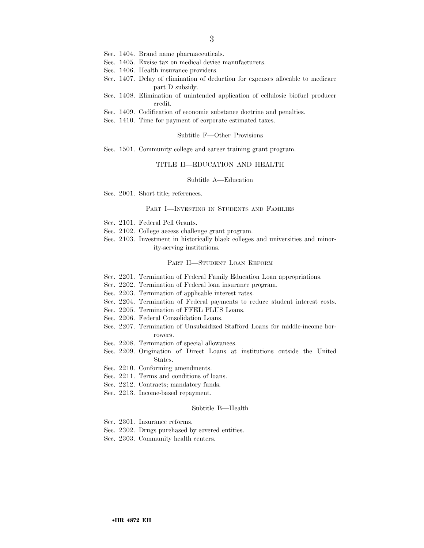- Sec. 1404. Brand name pharmaceuticals.
- Sec. 1405. Excise tax on medical device manufacturers.
- Sec. 1406. Health insurance providers.
- Sec. 1407. Delay of elimination of deduction for expenses allocable to medicare part D subsidy.
- Sec. 1408. Elimination of unintended application of cellulosic biofuel producer credit.
- Sec. 1409. Codification of economic substance doctrine and penalties.
- Sec. 1410. Time for payment of corporate estimated taxes.

#### Subtitle F—Other Provisions

Sec. 1501. Community college and career training grant program.

#### TITLE II—EDUCATION AND HEALTH

#### Subtitle A—Education

Sec. 2001. Short title; references.

### PART I—INVESTING IN STUDENTS AND FAMILIES

- Sec. 2101. Federal Pell Grants.
- Sec. 2102. College access challenge grant program.
- Sec. 2103. Investment in historically black colleges and universities and minority-serving institutions.

#### PART II—STUDENT LOAN REFORM

- Sec. 2201. Termination of Federal Family Education Loan appropriations.
- Sec. 2202. Termination of Federal loan insurance program.
- Sec. 2203. Termination of applicable interest rates.
- Sec. 2204. Termination of Federal payments to reduce student interest costs.
- Sec. 2205. Termination of FFEL PLUS Loans.
- Sec. 2206. Federal Consolidation Loans.
- Sec. 2207. Termination of Unsubsidized Stafford Loans for middle-income borrowers.
- Sec. 2208. Termination of special allowances.
- Sec. 2209. Origination of Direct Loans at institutions outside the United States.
- Sec. 2210. Conforming amendments.
- Sec. 2211. Terms and conditions of loans.
- Sec. 2212. Contracts; mandatory funds.
- Sec. 2213. Income-based repayment.

#### Subtitle B—Health

- Sec. 2301. Insurance reforms.
- Sec. 2302. Drugs purchased by covered entities.
- Sec. 2303. Community health centers.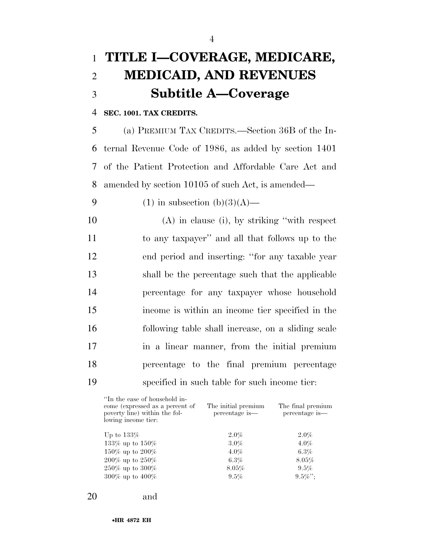# 1 **TITLE I—COVERAGE, MEDICARE,**  2 **MEDICAID, AND REVENUES**  3 **Subtitle A—Coverage**

# 4 **SEC. 1001. TAX CREDITS.**

 (a) PREMIUM TAX CREDITS.—Section 36B of the In- ternal Revenue Code of 1986, as added by section 1401 of the Patient Protection and Affordable Care Act and amended by section 10105 of such Act, is amended—

9 (1) in subsection  $(b)(3)(A)$ —

 (A) in clause (i), by striking ''with respect to any taxpayer'' and all that follows up to the end period and inserting: ''for any taxable year shall be the percentage such that the applicable percentage for any taxpayer whose household income is within an income tier specified in the following table shall increase, on a sliding scale in a linear manner, from the initial premium percentage to the final premium percentage specified in such table for such income tier:

| "In the case of household in-<br>come (expressed as a percent of<br>poverty line) within the fol-<br>lowing income tier: | The initial premium<br>percentage is— | The final premium<br>percentage is— |
|--------------------------------------------------------------------------------------------------------------------------|---------------------------------------|-------------------------------------|
| Up to $133\%$                                                                                                            | $2.0\%$                               | $2.0\%$                             |
| 133% up to $150\%$                                                                                                       | $3.0\%$                               | $4.0\%$                             |
| 150\% up to 200\%                                                                                                        | $4.0\%$                               | $6.3\%$                             |
| $200\%$ up to $250\%$                                                                                                    | $6.3\%$                               | $8.05\%$                            |
| $250\%$ up to $300\%$                                                                                                    | $8.05\%$                              | $9.5\%$                             |
| 300% up to $400\%$                                                                                                       | 9.5%                                  | $9.5\%$ ":                          |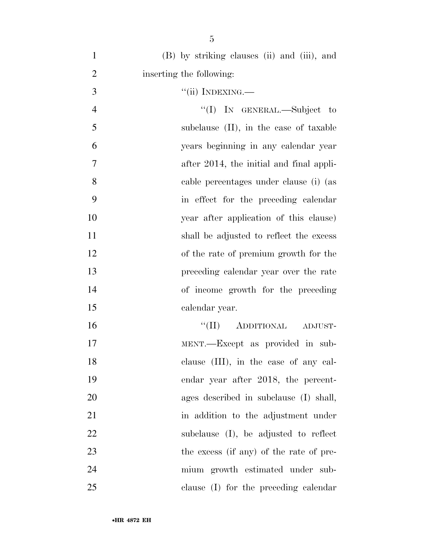| $\mathbf{1}$   | (B) by striking clauses (ii) and (iii), and |
|----------------|---------------------------------------------|
| $\overline{2}$ | inserting the following:                    |
| 3              | $``(ii)$ INDEXING.—                         |
| $\overline{4}$ | "(I) IN GENERAL.—Subject to                 |
| 5              | subclause (II), in the case of taxable      |
| 6              | years beginning in any calendar year        |
| 7              | after 2014, the initial and final appli-    |
| 8              | cable percentages under clause (i) (as      |
| 9              | in effect for the preceding calendar        |
| 10             | year after application of this clause)      |
| 11             | shall be adjusted to reflect the excess     |
| 12             | of the rate of premium growth for the       |
| 13             | preceding calendar year over the rate       |
| 14             | of income growth for the preceding          |
| 15             | calendar year.                              |
| 16             | "(II) ADDITIONAL ADJUST-                    |
| 17             | MENT.—Except as provided in sub-            |
| 18             | clause (III), in the case of any cal-       |
| 19             | endar year after 2018, the percent-         |
| 20             | ages described in subclause (I) shall,      |
| 21             | in addition to the adjustment under         |
| 22             | subclause (I), be adjusted to reflect       |
| 23             | the excess (if any) of the rate of pre-     |
| 24             | mium growth estimated under sub-            |
| 25             | clause (I) for the preceding calendar       |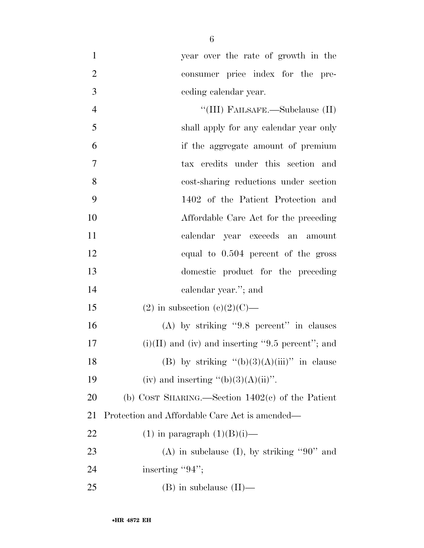- year over the rate of growth in the consumer price index for the pre-ceding calendar year.
- 4 ''(III) FAILSAFE.—Subclause (II) shall apply for any calendar year only if the aggregate amount of premium tax credits under this section and cost-sharing reductions under section 1402 of the Patient Protection and Affordable Care Act for the preceding calendar year exceeds an amount equal to 0.504 percent of the gross domestic product for the preceding calendar year.''; and

15 (2) in subsection  $(c)(2)(C)$ —

 (A) by striking ''9.8 percent'' in clauses 17 (i)(II) and (iv) and inserting  $"9.5$  percent"; and 18 (B) by striking  $(6)(3)(A)(iii)$  in clause 19 (iv) and inserting  $"({b})(3)(A)(ii)$ ".

 (b) COST SHARING.—Section 1402(c) of the Patient Protection and Affordable Care Act is amended—

- 22 (1) in paragraph  $(1)(B)(i)$ —
- 23 (A) in subclause (I), by striking "90" and 24 inserting "";
- (B) in subclause (II)—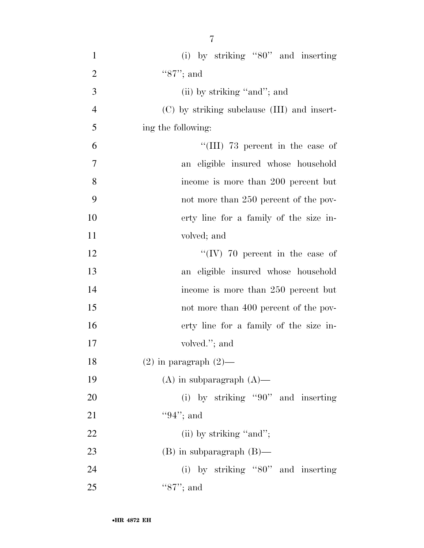| $\mathbf{1}$   | (i) by striking " $80$ " and inserting      |
|----------------|---------------------------------------------|
| $\overline{2}$ | " $87"$ ; and                               |
| 3              | (ii) by striking "and"; and                 |
| $\overline{4}$ | (C) by striking subclause (III) and insert- |
| 5              | ing the following:                          |
| 6              | "(III) 73 percent in the case of            |
| 7              | an eligible insured whose household         |
| 8              | income is more than 200 percent but         |
| 9              | not more than 250 percent of the pov-       |
| 10             | erty line for a family of the size in-      |
| 11             | volved; and                                 |
| 12             | "(IV) 70 percent in the case of             |
| 13             | an eligible insured whose household         |
| 14             | income is more than 250 percent but         |
| 15             | not more than 400 percent of the pov-       |
| 16             | erty line for a family of the size in-      |
| 17             | volved."; and                               |
| 18             | $(2)$ in paragraph $(2)$ —                  |
| 19             | $(A)$ in subparagraph $(A)$ —               |
| 20             | (i) by striking "90" and inserting          |
| 21             | "94"; and                                   |
| 22             | (ii) by striking "and";                     |
| 23             | $(B)$ in subparagraph $(B)$ —               |
| 24             | (i) by striking " $80$ " and inserting      |
| 25             | "87"; and                                   |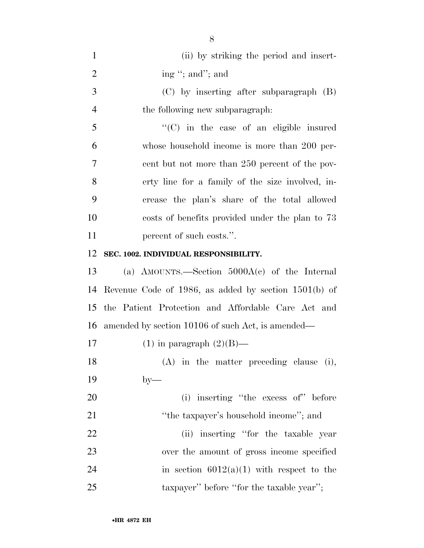| $\mathbf{1}$   | (ii) by striking the period and insert-                |
|----------------|--------------------------------------------------------|
| $\overline{2}$ | ing "; and"; and                                       |
| 3              | $(C)$ by inserting after subparagraph $(B)$            |
| $\overline{4}$ | the following new subparagraph.                        |
| 5              | "(C) in the case of an eligible insured                |
| 6              | whose household income is more than 200 per-           |
| 7              | cent but not more than 250 percent of the pov-         |
| 8              | erty line for a family of the size involved, in-       |
| 9              | crease the plan's share of the total allowed           |
| 10             | costs of benefits provided under the plan to 73        |
| 11             | percent of such costs.".                               |
| 12             | SEC. 1002. INDIVIDUAL RESPONSIBILITY.                  |
| 13             | (a) AMOUNTS.—Section $5000A(c)$ of the Internal        |
| 14             | Revenue Code of 1986, as added by section $1501(b)$ of |
| 15             | the Patient Protection and Affordable Care Act and     |
| 16             | amended by section 10106 of such Act, is amended—      |
| 17             | $(1)$ in paragraph $(2)(B)$ —                          |
| 18             | $(A)$ in the matter preceding clause (i),              |
| 19             | $by-$                                                  |
| <b>20</b>      | (i) inserting "the excess of" before                   |
| 21             | "the taxpayer's household income"; and                 |
| 22             | (ii) inserting "for the taxable year                   |
| 23             | over the amount of gross income specified              |
| 24             | in section $6012(a)(1)$ with respect to the            |
| 25             | taxpayer" before "for the taxable year";               |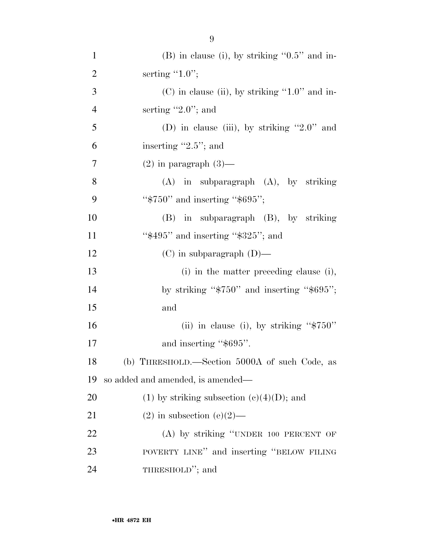| $\mathbf{1}$   | $(B)$ in clause (i), by striking " $0.5$ " and in- |
|----------------|----------------------------------------------------|
| $\overline{2}$ | serting $"1.0"$ ;                                  |
| 3              | $(C)$ in clause (ii), by striking "1.0" and in-    |
| $\overline{4}$ | serting $"2.0"$ ; and                              |
| 5              | (D) in clause (iii), by striking "2.0" and         |
| 6              | inserting $"2.5"$ ; and                            |
| 7              | $(2)$ in paragraph $(3)$ —                         |
| 8              | $(A)$ in subparagraph $(A)$ , by striking          |
| 9              | " $$750"$ and inserting " $$695"$ ;                |
| 10             | (B) in subparagraph (B), by striking               |
| 11             | " $$495"$ and inserting " $$325"$ ; and            |
| 12             | $(C)$ in subparagraph $(D)$ —                      |
| 13             | (i) in the matter preceding clause (i),            |
| 14             | by striking " $\$750"$ and inserting " $\$695"$ ;  |
| 15             | and                                                |
| 16             | (ii) in clause (i), by striking " $$750"$          |
| 17             | and inserting "\$695".                             |
| 18             | (b) THRESHOLD.—Section 5000A of such Code, as      |
| 19             | so added and amended, is amended—                  |
| 20             | $(1)$ by striking subsection $(e)(4)(D)$ ; and     |
| 21             | $(2)$ in subsection $(e)(2)$ —                     |
| 22             | (A) by striking "UNDER 100 PERCENT OF              |
| 23             | POVERTY LINE" and inserting "BELOW FILING          |
| 24             | THRESHOLD"; and                                    |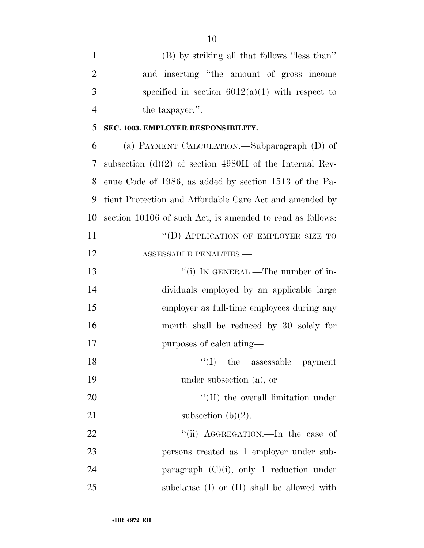| $\mathbf{1}$   | (B) by striking all that follows "less than"              |
|----------------|-----------------------------------------------------------|
| $\overline{2}$ | and inserting "the amount of gross income                 |
| 3              | specified in section $6012(a)(1)$ with respect to         |
| $\overline{4}$ | the taxpayer.".                                           |
| 5              | SEC. 1003. EMPLOYER RESPONSIBILITY.                       |
| 6              | (a) PAYMENT CALCULATION.—Subparagraph (D) of              |
| 7              | subsection (d)(2) of section 4980H of the Internal Rev-   |
| 8              | enue Code of 1986, as added by section 1513 of the Pa-    |
| 9              | tient Protection and Affordable Care Act and amended by   |
| 10             | section 10106 of such Act, is amended to read as follows: |
| 11             | "(D) APPLICATION OF EMPLOYER SIZE TO                      |
| 12             | ASSESSABLE PENALTIES.-                                    |
| 13             | "(i) IN GENERAL.—The number of in-                        |
| 14             | dividuals employed by an applicable large                 |
| 15             | employer as full-time employees during any                |
| 16             | month shall be reduced by 30 solely for                   |
| 17             | purposes of calculating—                                  |
| 18             | $\lq\lq$ (I) the assessable payment                       |
| 19             | under subsection (a), or                                  |
| 20             | "(II) the overall limitation under                        |
| 21             | subsection $(b)(2)$ .                                     |
| 22             | "(ii) AGGREGATION.—In the case of                         |
| 23             | persons treated as 1 employer under sub-                  |
| 24             | paragraph $(C)(i)$ , only 1 reduction under               |
| 25             | subclause $(I)$ or $(II)$ shall be allowed with           |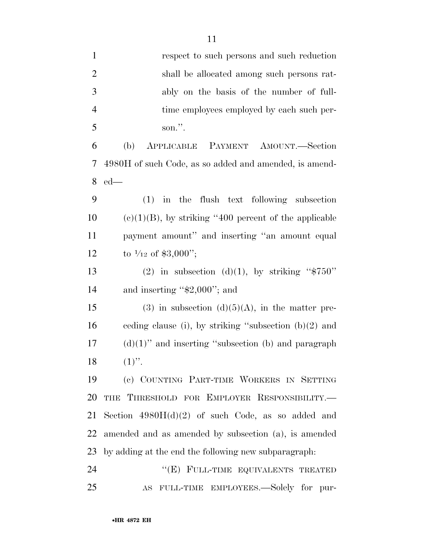| $\mathbf{1}$   | respect to such persons and such reduction                     |
|----------------|----------------------------------------------------------------|
| $\overline{2}$ | shall be allocated among such persons rat-                     |
| 3              | ably on the basis of the number of full-                       |
| $\overline{4}$ | time employees employed by each such per-                      |
| 5              | son.".                                                         |
| 6              | APPLICABLE PAYMENT AMOUNT.—Section<br>(b)                      |
| 7              | 4980H of such Code, as so added and amended, is amend-         |
| 8              | $ed$ —                                                         |
| 9              | in the flush text following subsection<br>(1)                  |
| 10             | $(e)(1)(B)$ , by striking "400 percent of the applicable       |
| 11             | payment amount" and inserting "an amount equal                 |
| 12             | to $\frac{1}{12}$ of \$3,000";                                 |
| 13             | (2) in subsection (d)(1), by striking " $$750"$                |
| 14             | and inserting " $$2,000"$ ; and                                |
| 15             | $(3)$ in subsection $(d)(5)(A)$ , in the matter pre-           |
| 16             | ceding clause (i), by striking "subsection $(b)(2)$ and        |
| 17             | $(d)(1)$ " and inserting "subsection (b) and paragraph         |
| 18             | $(1)$ ".                                                       |
| 19             | (c) COUNTING PART-TIME WORKERS IN SETTING                      |
| 20             | THE THRESHOLD FOR EMPLOYER RESPONSIBILITY.-                    |
| 21             | Section $4980H(d)(2)$ of such Code, as so added and            |
| 22             | amended and as amended by subsection (a), is amended           |
| 23             | by adding at the end the following new subparagraph.           |
| 24             | "(E) FULL-TIME EQUIVALENTS TREATED                             |
| 25             | FULL-TIME EMPLOYEES.—Solely for pur-<br>$\mathbf{A}\mathbf{S}$ |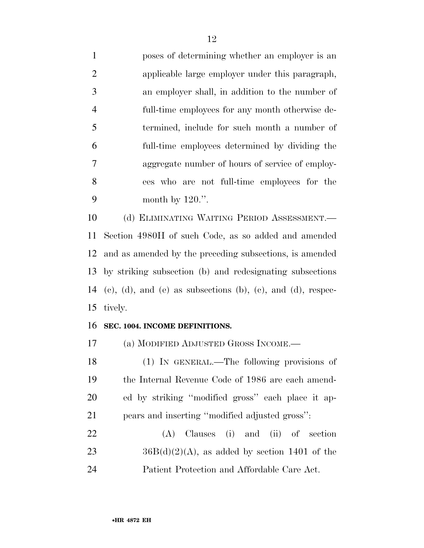poses of determining whether an employer is an applicable large employer under this paragraph, an employer shall, in addition to the number of full-time employees for any month otherwise de- termined, include for such month a number of full-time employees determined by dividing the aggregate number of hours of service of employ- ees who are not full-time employees for the 9 month by .".

 (d) ELIMINATING WAITING PERIOD ASSESSMENT.— Section 4980H of such Code, as so added and amended and as amended by the preceding subsections, is amended by striking subsection (b) and redesignating subsections 14 (c), (d), and (e) as subsections (b), (c), and (d), respec-tively.

# **SEC. 1004. INCOME DEFINITIONS.**

(a) MODIFIED ADJUSTED GROSS INCOME.—

 (1) IN GENERAL.—The following provisions of the Internal Revenue Code of 1986 are each amend- ed by striking ''modified gross'' each place it ap-pears and inserting ''modified adjusted gross'':

 (A) Clauses (i) and (ii) of section 23  $36B(d)(2)(A)$ , as added by section 1401 of the Patient Protection and Affordable Care Act.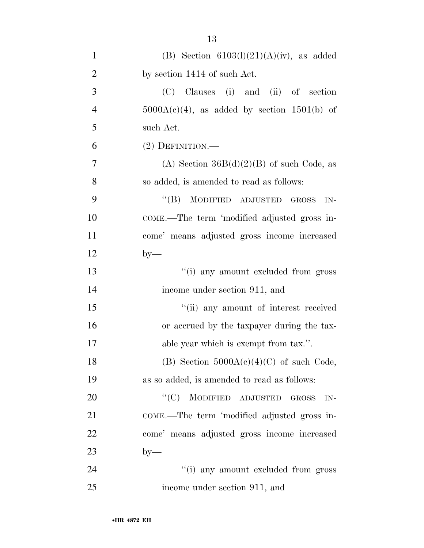| $\mathbf{1}$   | (B) Section $6103(l)(21)(A)(iv)$ , as added             |
|----------------|---------------------------------------------------------|
| $\overline{2}$ | by section 1414 of such Act.                            |
| 3              | (C) Clauses (i) and (ii) of section                     |
| $\overline{4}$ | $5000A(c)(4)$ , as added by section 1501(b) of          |
| 5              | such Act.                                               |
| 6              | $(2)$ DEFINITION.—                                      |
| 7              | (A) Section $36B(d)(2)(B)$ of such Code, as             |
| 8              | so added, is amended to read as follows:                |
| 9              | "(B) MODIFIED ADJUSTED GROSS<br>$IN-$                   |
| 10             | COME.—The term 'modified adjusted gross in-             |
| 11             | come' means adjusted gross income increased             |
| 12             | $by-$                                                   |
| 13             | "(i) any amount excluded from gross                     |
| 14             | income under section 911, and                           |
| 15             | "(ii) any amount of interest received                   |
| 16             | or accrued by the taxpayer during the tax-              |
| 17             | able year which is exempt from tax.".                   |
| 18             | (B) Section $5000A(c)(4)(C)$ of such Code,              |
| 19             | as so added, is amended to read as follows:             |
| 20             | $\lq\lq$ (C) MODIFIED ADJUSTED<br><b>GROSS</b><br>$IN-$ |
| 21             | COME.—The term 'modified adjusted gross in-             |
| 22             | come' means adjusted gross income increased             |
| 23             | $by-$                                                   |
| 24             | "(i) any amount excluded from gross                     |
| 25             | income under section 911, and                           |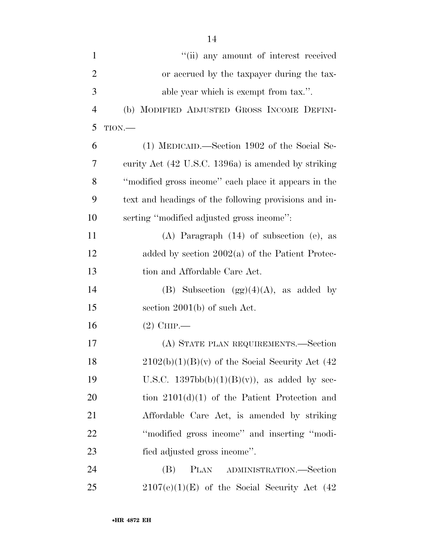| $\mathbf{1}$   | "(ii) any amount of interest received                 |
|----------------|-------------------------------------------------------|
| $\overline{2}$ | or accrued by the taxpayer during the tax-            |
| 3              | able year which is exempt from tax.".                 |
| $\overline{4}$ | (b) MODIFIED ADJUSTED GROSS INCOME DEFINI-            |
| 5              | $TION$ .                                              |
| 6              | (1) MEDICAID.—Section 1902 of the Social Se-          |
| 7              | curity Act (42 U.S.C. 1396a) is amended by striking   |
| 8              | "modified gross income" each place it appears in the  |
| 9              | text and headings of the following provisions and in- |
| 10             | serting "modified adjusted gross income":             |
| 11             | $(A)$ Paragraph $(14)$ of subsection $(e)$ , as       |
| 12             | added by section $2002(a)$ of the Patient Protec-     |
| 13             | tion and Affordable Care Act.                         |
| 14             | (B) Subsection $(gg)(4)(A)$ , as added by             |
| 15             | section $2001(b)$ of such Act.                        |
| 16             | $(2)$ CHIP.                                           |
| 17             | (A) STATE PLAN REQUIREMENTS.—Section                  |
| 18             | $2102(b)(1)(B)(v)$ of the Social Security Act (42)    |
| 19             | U.S.C. $1397bb(b)(1)(B)(v)$ , as added by sec-        |
| 20             | tion $2101(d)(1)$ of the Patient Protection and       |
| 21             | Affordable Care Act, is amended by striking           |
| 22             | "modified gross income" and inserting "modi-          |
| 23             | fied adjusted gross income".                          |
| 24             | PLAN ADMINISTRATION.—Section<br>(B)                   |
| 25             | $2107(e)(1)(E)$ of the Social Security Act (42)       |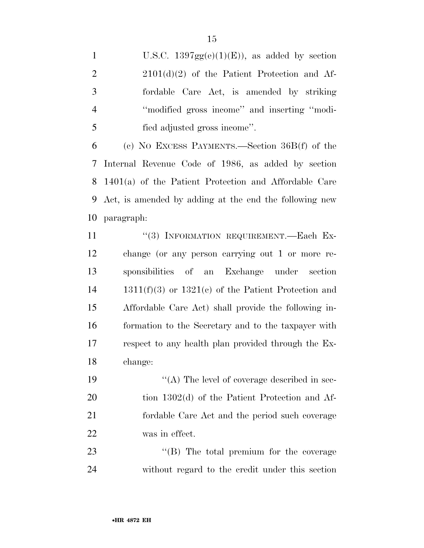- 1 U.S.C.  $1397gg(e)(1)(E)$ , as added by section 2 2101(d)(2) of the Patient Protection and Af-
- fordable Care Act, is amended by striking ''modified gross income'' and inserting ''modi-fied adjusted gross income''.

 (c) NO EXCESS PAYMENTS.—Section 36B(f) of the Internal Revenue Code of 1986, as added by section 1401(a) of the Patient Protection and Affordable Care Act, is amended by adding at the end the following new paragraph:

11 "(3) INFORMATION REQUIREMENT.—Each Ex- change (or any person carrying out 1 or more re- sponsibilities of an Exchange under section 1311(f)(3) or 1321(c) of the Patient Protection and Affordable Care Act) shall provide the following in- formation to the Secretary and to the taxpayer with respect to any health plan provided through the Ex-change:

 $((A)$  The level of coverage described in sec- tion 1302(d) of the Patient Protection and Af- fordable Care Act and the period such coverage was in effect.

23 ''(B) The total premium for the coverage without regard to the credit under this section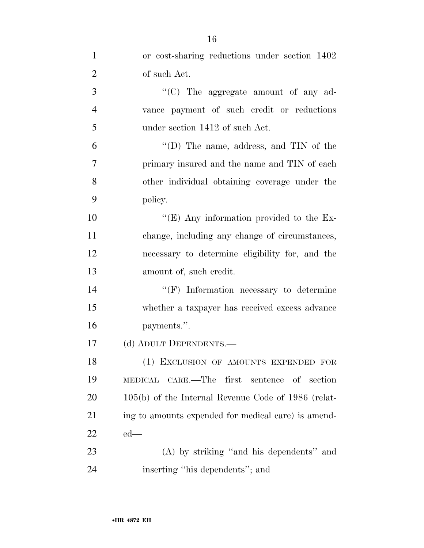| $\mathbf{1}$   | or cost-sharing reductions under section 1402         |
|----------------|-------------------------------------------------------|
| $\overline{2}$ | of such Act.                                          |
| 3              | " $(C)$ The aggregate amount of any ad-               |
| $\overline{4}$ | vance payment of such credit or reductions            |
| 5              | under section 1412 of such Act.                       |
| 6              | "(D) The name, address, and $TIN$ of the              |
| 7              | primary insured and the name and TIN of each          |
| 8              | other individual obtaining coverage under the         |
| 9              | policy.                                               |
| 10             | "(E) Any information provided to the Ex-              |
| 11             | change, including any change of circumstances,        |
| 12             | necessary to determine eligibility for, and the       |
| 13             | amount of, such credit.                               |
| 14             | $``(F)$ Information necessary to determine            |
| 15             | whether a taxpayer has received excess advance        |
| 16             | payments.".                                           |
| 17             | (d) ADULT DEPENDENTS.—                                |
| 18             | (1) EXCLUSION OF AMOUNTS EXPENDED FOR                 |
| 19             | MEDICAL CARE.—The<br>first sentence of section        |
| 20             | $105(b)$ of the Internal Revenue Code of 1986 (relat- |
| 21             | ing to amounts expended for medical care) is amend-   |
| 22             | $ed$ —                                                |
| 23             | (A) by striking "and his dependents" and              |
| 24             | inserting "his dependents"; and                       |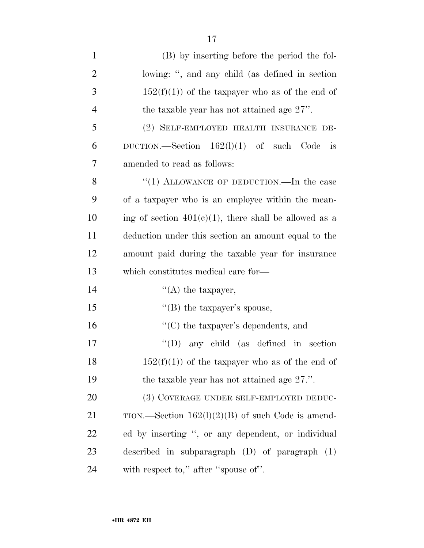| $\mathbf{1}$   | (B) by inserting before the period the fol-                |
|----------------|------------------------------------------------------------|
| $\overline{2}$ | lowing: ", and any child (as defined in section            |
| 3              | $152(f)(1)$ of the taxpayer who as of the end of           |
| $\overline{4}$ | the taxable year has not attained age $27$ ".              |
| 5              | (2) SELF-EMPLOYED HEALTH INSURANCE DE-                     |
| 6              | DUCTION.—Section $162(1)(1)$ of such Code<br>$\frac{1}{1}$ |
| 7              | amended to read as follows:                                |
| 8              | "(1) ALLOWANCE OF DEDUCTION.—In the case                   |
| 9              | of a taxpayer who is an employee within the mean-          |
| 10             | ing of section $401(c)(1)$ , there shall be allowed as a   |
| 11             | deduction under this section an amount equal to the        |
| 12             | amount paid during the taxable year for insurance          |
| 13             | which constitutes medical care for—                        |
| 14             | $\lq\lq$ the taxpayer,                                     |
| 15             | "(B) the taxpayer's spouse,                                |
| 16             | $\lq\lq$ the taxpayer's dependents, and                    |
| 17             | any child (as defined in section<br>$\lq\lq (D)$           |
| 18             | $152(f)(1)$ of the taxpayer who as of the end of           |
| 19             | the taxable year has not attained age 27.".                |
| 20             | (3) COVERAGE UNDER SELF-EMPLOYED DEDUC-                    |
| 21             | TION.—Section $162(1)(2)(B)$ of such Code is amend-        |
| 22             | ed by inserting ", or any dependent, or individual         |
| 23             | described in subparagraph $(D)$ of paragraph $(1)$         |
| 24             | with respect to," after "spouse of".                       |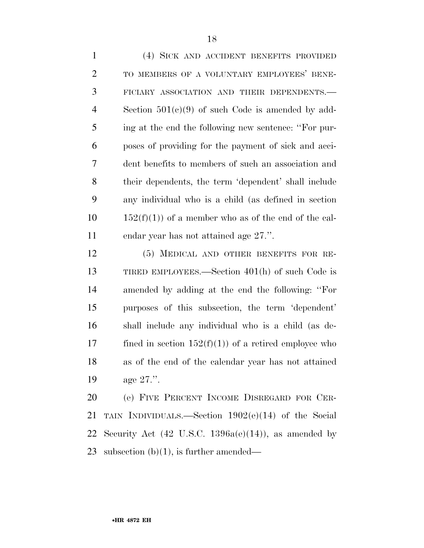(4) SICK AND ACCIDENT BENEFITS PROVIDED TO MEMBERS OF A VOLUNTARY EMPLOYEES' BENE- FICIARY ASSOCIATION AND THEIR DEPENDENTS.— Section 501(c)(9) of such Code is amended by add- ing at the end the following new sentence: ''For pur- poses of providing for the payment of sick and acci- dent benefits to members of such an association and their dependents, the term 'dependent' shall include any individual who is a child (as defined in section  $152(f)(1)$  of a member who as of the end of the cal-endar year has not attained age 27.''.

 (5) MEDICAL AND OTHER BENEFITS FOR RE- TIRED EMPLOYEES.—Section 401(h) of such Code is amended by adding at the end the following: ''For purposes of this subsection, the term 'dependent' shall include any individual who is a child (as de-17 fined in section  $152(f)(1)$  of a retired employee who as of the end of the calendar year has not attained age 27.''.

 (e) FIVE PERCENT INCOME DISREGARD FOR CER- TAIN INDIVIDUALS.—Section 1902(e)(14) of the Social 22 Security Act (42 U.S.C. 1396a(e)(14)), as amended by subsection (b)(1), is further amended—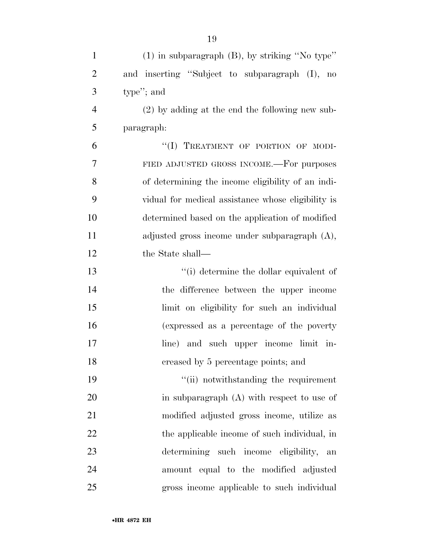| $\mathbf{1}$   | $(1)$ in subparagraph $(B)$ , by striking "No type" |
|----------------|-----------------------------------------------------|
| $\overline{2}$ | and inserting "Subject to subparagraph (I), no      |
| 3              | type"; and                                          |
| $\overline{4}$ | $(2)$ by adding at the end the following new sub-   |
| 5              | paragraph:                                          |
| 6              | "(I) TREATMENT OF PORTION OF MODI-                  |
| 7              | FIED ADJUSTED GROSS INCOME.—For purposes            |
| 8              | of determining the income eligibility of an indi-   |
| 9              | vidual for medical assistance whose eligibility is  |
| 10             | determined based on the application of modified     |
| 11             | adjusted gross income under subparagraph $(A)$ ,    |
| 12             | the State shall—                                    |
| 13             | "(i) determine the dollar equivalent of             |
| 14             | the difference between the upper income             |
| 15             | limit on eligibility for such an individual         |
| 16             | (expressed as a percentage of the poverty           |
| 17             | line) and such upper income limit in-               |
| 18             | creased by 5 percentage points; and                 |
| 19             | "(ii) notwithstanding the requirement               |
| 20             | in subparagraph (A) with respect to use of          |
| 21             | modified adjusted gross income, utilize as          |
| 22             | the applicable income of such individual, in        |
| 23             | determining such income eligibility,<br>an          |
| 24             | amount equal to the modified adjusted               |
| 25             | gross income applicable to such individual          |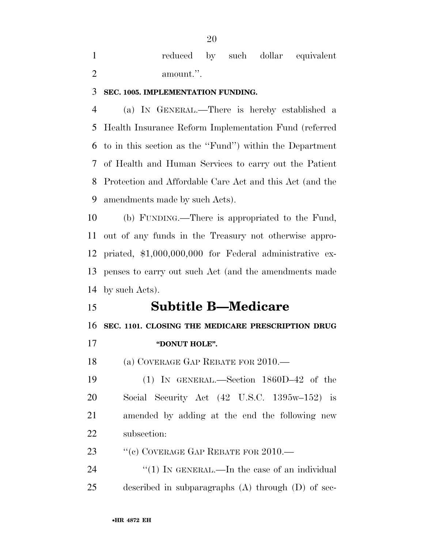reduced by such dollar equivalent 2 amount.".

# **SEC. 1005. IMPLEMENTATION FUNDING.**

 (a) IN GENERAL.—There is hereby established a Health Insurance Reform Implementation Fund (referred to in this section as the ''Fund'') within the Department of Health and Human Services to carry out the Patient Protection and Affordable Care Act and this Act (and the amendments made by such Acts).

 (b) FUNDING.—There is appropriated to the Fund, out of any funds in the Treasury not otherwise appro- priated, \$1,000,000,000 for Federal administrative ex- penses to carry out such Act (and the amendments made by such Acts).

# **Subtitle B—Medicare**

**SEC. 1101. CLOSING THE MEDICARE PRESCRIPTION DRUG** 

**''DONUT HOLE''.** 

18 (a) COVERAGE GAP REBATE FOR 2010.—

 (1) IN GENERAL.—Section 1860D–42 of the Social Security Act (42 U.S.C. 1395w–152) is amended by adding at the end the following new subsection:

23 "(c) COVERAGE GAP REBATE FOR 2010.—

24 "(1) IN GENERAL.—In the case of an individual described in subparagraphs (A) through (D) of sec-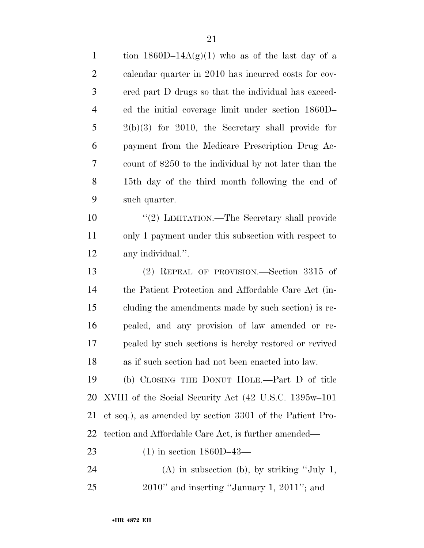| $\mathbf{1}$   | tion 1860D-14A(g)(1) who as of the last day of a         |
|----------------|----------------------------------------------------------|
| $\overline{2}$ | calendar quarter in 2010 has incurred costs for cov-     |
| 3              | ered part D drugs so that the individual has exceed-     |
| $\overline{4}$ | ed the initial coverage limit under section 1860D-       |
| 5              | $2(b)(3)$ for 2010, the Secretary shall provide for      |
| 6              | payment from the Medicare Prescription Drug Ac-          |
| 7              | count of \$250 to the individual by not later than the   |
| 8              | 15th day of the third month following the end of         |
| 9              | such quarter.                                            |
| 10             | "(2) LIMITATION.—The Secretary shall provide             |
| 11             | only 1 payment under this subsection with respect to     |
| 12             | any individual.".                                        |
| 13             | (2) REPEAL OF PROVISION.—Section 3315 of                 |
| 14             | the Patient Protection and Affordable Care Act (in-      |
| 15             | cluding the amendments made by such section) is re-      |
| 16             | pealed, and any provision of law amended or re-          |
| 17             | pealed by such sections is hereby restored or revived    |
| 18             | as if such section had not been enacted into law.        |
| 19             | (b) CLOSING THE DONUT HOLE.—Part D of title              |
| 20             | XVIII of the Social Security Act (42 U.S.C. 1395w–101)   |
| 21             | et seq.), as amended by section 3301 of the Patient Pro- |
| 22             | tection and Affordable Care Act, is further amended—     |
| 23             | $(1)$ in section 1860D-43-                               |
| 24             | $(A)$ in subsection (b), by striking "July 1,            |
| 25             | $2010$ " and inserting "January 1, $2011$ "; and         |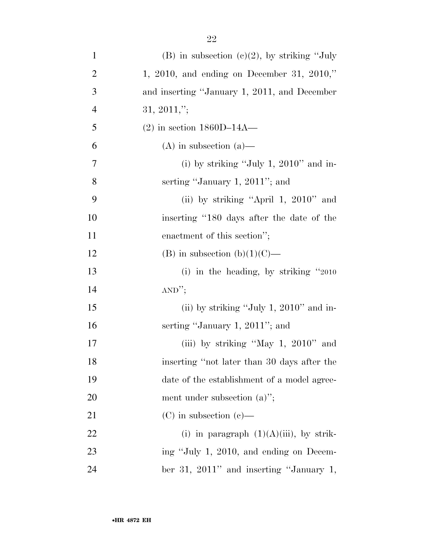| $\mathbf{1}$   | (B) in subsection (c)(2), by striking "July  |
|----------------|----------------------------------------------|
| $\overline{2}$ | 1, 2010, and ending on December 31, 2010,"   |
| 3              | and inserting "January 1, 2011, and December |
| $\overline{4}$ | $31, 2011,$ ";                               |
| 5              | $(2)$ in section 1860D-14A-                  |
| 6              | $(A)$ in subsection $(a)$ —                  |
| 7              | (i) by striking "July 1, $2010$ " and in-    |
| 8              | serting "January 1, 2011"; and               |
| 9              | (ii) by striking "April 1, 2010" and         |
| 10             | inserting "180 days after the date of the    |
| 11             | enactment of this section";                  |
| 12             | (B) in subsection (b) $(1)(C)$ —             |
| 13             | (i) in the heading, by striking $"2010"$     |
| 14             | AND''                                        |
| 15             | (ii) by striking "July 1, $2010$ " and in-   |
| 16             | serting "January 1, 2011"; and               |
| 17             | (iii) by striking "May 1, $2010$ " and       |
| 18             | inserting "not later than 30 days after the  |
| 19             | date of the establishment of a model agree-  |
| <b>20</b>      | ment under subsection $(a)$ ";               |
| 21             | $(C)$ in subsection $(e)$ —                  |
| 22             | (i) in paragraph $(1)(A)(iii)$ , by strik-   |
| 23             | ing "July 1, 2010, and ending on Decem-      |
| 24             | ber 31, 2011" and inserting "January 1,      |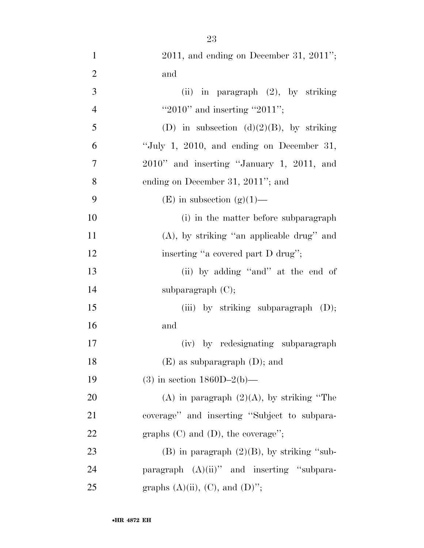| $\mathbf{1}$   | $2011$ , and ending on December 31, $2011$ ";   |
|----------------|-------------------------------------------------|
| $\overline{2}$ | and                                             |
| 3              | (ii) in paragraph $(2)$ , by striking           |
| $\overline{4}$ | "2010" and inserting "2011";                    |
| 5              | (D) in subsection (d)(2)(B), by striking        |
| 6              | "July 1, 2010, and ending on December 31,       |
| $\tau$         | 2010" and inserting "January 1, 2011, and       |
| 8              | ending on December 31, 2011"; and               |
| 9              | $(E)$ in subsection $(g)(1)$ —                  |
| 10             | (i) in the matter before subparagraph           |
| 11             | (A), by striking "an applicable drug" and       |
| 12             | inserting "a covered part D drug";              |
| 13             | (ii) by adding "and" at the end of              |
| 14             | subparagraph $(C)$ ;                            |
| 15             | (iii) by striking subparagraph $(D)$ ;          |
| 16             | and                                             |
| 17             | (iv) by redesignating subparagraph              |
| 18             | $(E)$ as subparagraph $(D)$ ; and               |
| 19             | (3) in section $1860D-2(b)$ —                   |
| 20             | (A) in paragraph $(2)(A)$ , by striking "The    |
| 21             | coverage" and inserting "Subject to subpara-    |
| 22             | graphs $(C)$ and $(D)$ , the coverage'';        |
| 23             | $(B)$ in paragraph $(2)(B)$ , by striking "sub- |
| 24             | paragraph $(A)(ii)$ " and inserting "subpara-   |
| 25             | graphs $(A)(ii)$ , $(C)$ , and $(D)$ ";         |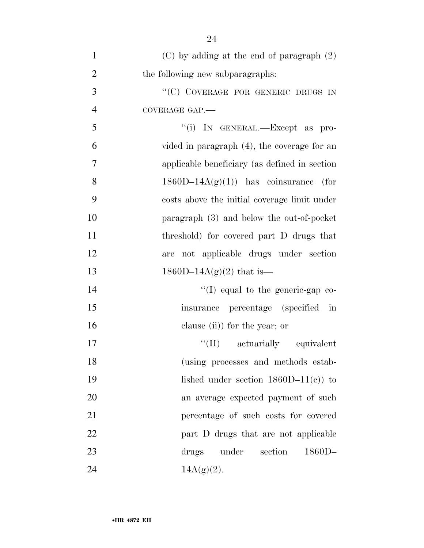| $\mathbf{1}$   | $(C)$ by adding at the end of paragraph $(2)$  |
|----------------|------------------------------------------------|
| $\overline{2}$ | the following new subparagraphs:               |
| 3              | "(C) COVERAGE FOR GENERIC DRUGS IN             |
| $\overline{4}$ | COVERAGE GAP.                                  |
| 5              | "(i) IN GENERAL.—Except as pro-                |
| 6              | vided in paragraph $(4)$ , the coverage for an |
| 7              | applicable beneficiary (as defined in section) |
| 8              | $1860D-14A(g)(1)$ has coinsurance (for         |
| 9              | costs above the initial coverage limit under   |
| 10             | paragraph (3) and below the out-of-pocket      |
| 11             | threshold) for covered part D drugs that       |
| 12             | are not applicable drugs under section         |
| 13             | $1860D-14A(g)(2)$ that is—                     |
| 14             | $\lq\lq$ (I) equal to the generic-gap co-      |
| 15             | insurance percentage (specified in             |
| 16             | clause (ii)) for the year; or                  |
| 17             | "(II) actuarially equivalent                   |
| 18             | (using processes and methods estab-            |
| 19             |                                                |
|                | lished under section $1860D-11(c)$ to          |
| 20             | an average expected payment of such            |
| 21             | percentage of such costs for covered           |
| 22             | part D drugs that are not applicable           |
| 23             | section<br>$1860D -$<br>drugs under            |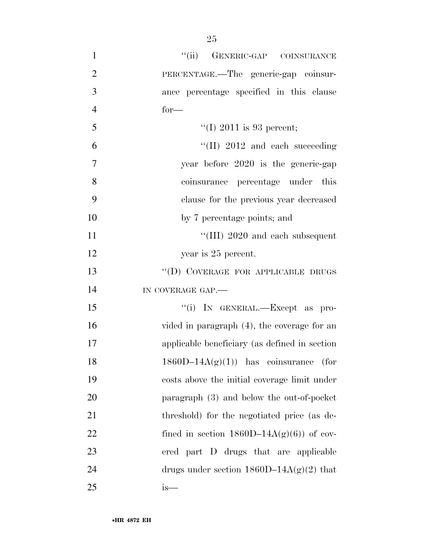| $\mathbf{1}$   | "(ii) GENERIC-GAP COINSURANCE                  |
|----------------|------------------------------------------------|
| $\overline{2}$ | PERCENTAGE.—The generic-gap coinsur-           |
| 3              | ance percentage specified in this clause       |
| $\overline{4}$ | $for-$                                         |
| 5              | "(I) 2011 is 93 percent;                       |
| 6              | $\lq$ (II) 2012 and each succeeding            |
| 7              | year before 2020 is the generic-gap            |
| 8              | coinsurance percentage under this              |
| 9              | clause for the previous year decreased         |
| 10             | by 7 percentage points; and                    |
| 11             | "(III) $2020$ and each subsequent              |
| 12             | year is 25 percent.                            |
| 13             | "(D) COVERAGE FOR APPLICABLE DRUGS             |
| 14             | IN COVERAGE GAP.                               |
| 15             | "(i) IN GENERAL.—Except as pro-                |
| 16             | vided in paragraph $(4)$ , the coverage for an |
| 17             | applicable beneficiary (as defined in section  |
| 18             | $1860D-14A(g)(1)$ has coinsurance (for         |
| 19             | costs above the initial coverage limit under   |
| 20             | paragraph (3) and below the out-of-pocket      |
| 21             | threshold) for the negotiated price (as de-    |
| 22             | fined in section $1860D-14A(g)(6)$ of cov-     |
| 23             | ered part D drugs that are applicable          |
| 24             | drugs under section $1860D-14A(g)(2)$ that     |
| 25             | is—                                            |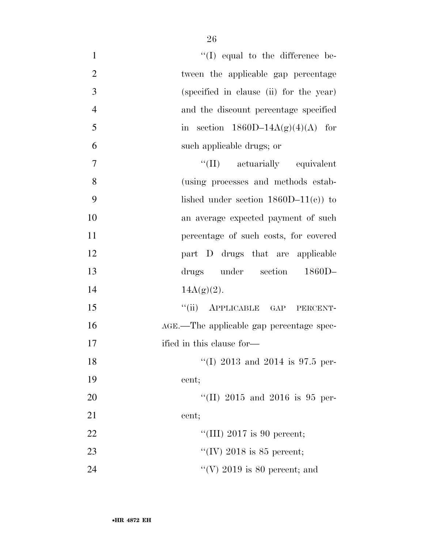| $\mathbf{1}$   | $\lq\lq$ (I) equal to the difference be- |
|----------------|------------------------------------------|
| $\overline{2}$ | tween the applicable gap percentage      |
| 3              | (specified in clause (ii) for the year)  |
| $\overline{4}$ | and the discount percentage specified    |
| 5              | in section $1860D-14A(g)(4)(A)$ for      |
| 6              | such applicable drugs; or                |
| $\overline{7}$ | "(II) actuarially equivalent             |
| 8              | (using processes and methods estab-      |
| 9              | lished under section $1860D-11(c)$ to    |
| 10             | an average expected payment of such      |
| 11             | percentage of such costs, for covered    |
| 12             | part D drugs that are applicable         |
|                |                                          |
| 13             | drugs under section<br>$1860D-$          |
| 14             | $14A(g)(2)$ .                            |
| 15             | "(ii) APPLICABLE GAP PERCENT-            |
| 16             | AGE.—The applicable gap percentage spec- |
| 17             | ified in this clause for—                |
| 18             | "(I) 2013 and 2014 is 97.5 per-          |
| 19             | cent;                                    |
| 20             | "(II) $2015$ and $2016$ is 95 per-       |
| 21             | cent;                                    |
| 22             | "(III) 2017 is 90 percent;               |
| 23             | "(IV) 2018 is 85 percent;                |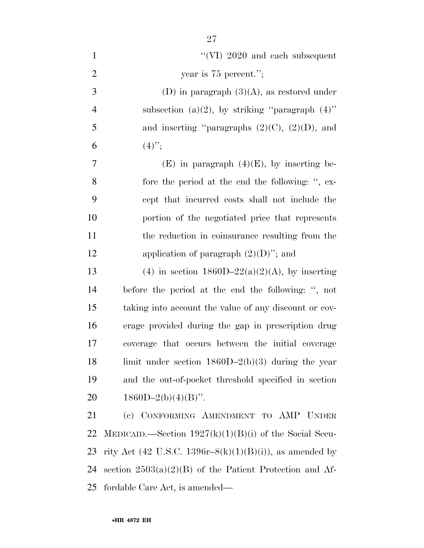| $\mathbf{1}$   | "(VI) $2020$ and each subsequent                          |
|----------------|-----------------------------------------------------------|
| $\overline{2}$ | year is $75$ percent.";                                   |
| $\mathfrak{Z}$ | (D) in paragraph $(3)(A)$ , as restored under             |
| $\overline{4}$ | subsection (a)(2), by striking "paragraph $(4)$ "         |
| 5              | and inserting "paragraphs $(2)(C)$ , $(2)(D)$ , and       |
| 6              | $(4)$ ";                                                  |
| 7              | $(E)$ in paragraph $(4)(E)$ , by inserting be-            |
| 8              | fore the period at the end the following: ", ex-          |
| 9              | cept that incurred costs shall not include the            |
| 10             | portion of the negotiated price that represents           |
| 11             | the reduction in coinsurance resulting from the           |
| 12             | application of paragraph $(2)(D)$ "; and                  |
| 13             | (4) in section $1860D-22(a)(2)(A)$ , by inserting         |
| 14             | before the period at the end the following: ", not        |
| 15             | taking into account the value of any discount or cov-     |
| 16             | erage provided during the gap in prescription drug        |
| 17             | coverage that occurs between the initial coverage         |
| 18             | limit under section $1860D-2(b)(3)$ during the year       |
| 19             | and the out-of-pocket threshold specified in section      |
| 20             | $1860D-2(b)(4)(B)$ ".                                     |
| 21             | (c) CONFORMING AMENDMENT TO AMP UNDER                     |
| 22             | MEDICAID.—Section $1927(k)(1)(B)(i)$ of the Social Secu-  |
| 23             | rity Act (42 U.S.C. 1396r–8(k)(1)(B)(i)), as amended by   |
| 24             | section $2503(a)(2)(B)$ of the Patient Protection and Af- |
| 25             | fordable Care Act, is amended—                            |

•**HR 4872 EH**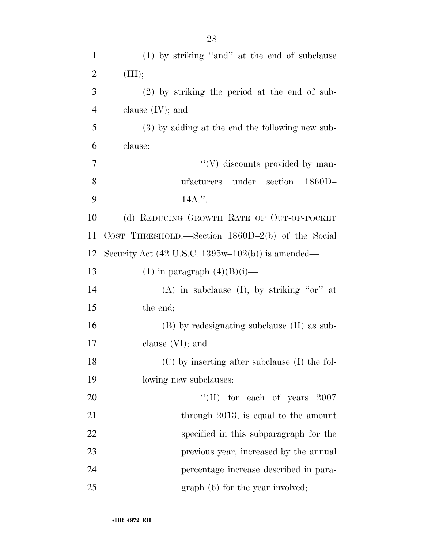| $\mathbf{1}$   | (1) by striking "and" at the end of subclause                              |
|----------------|----------------------------------------------------------------------------|
| $\overline{2}$ | (III);                                                                     |
| 3              | $(2)$ by striking the period at the end of sub-                            |
| $\overline{4}$ | clause $(IV)$ ; and                                                        |
| 5              | (3) by adding at the end the following new sub-                            |
| 6              | clause:                                                                    |
| 7              | $\lq\lq(V)$ discounts provided by man-                                     |
| 8              | under section<br>$1860D-$<br>ufacturers                                    |
| 9              | 14A.".                                                                     |
| 10             | (d) REDUCING GROWTH RATE OF OUT-OF-POCKET                                  |
| 11             | COST THRESHOLD.—Section $1860D-2(b)$ of the Social                         |
| 12             | Security Act $(42 \text{ U.S.C. } 1395\text{w}-102(\text{b}))$ is amended— |
| 13             | $(1)$ in paragraph $(4)(B)(i)$ —                                           |
| 14             | (A) in subclause (I), by striking " $or$ " at                              |
| 15             | the end;                                                                   |
| 16             | (B) by redesignating subclause (II) as sub-                                |
| 17             | clause $(VI)$ ; and                                                        |
| 18             | $(C)$ by inserting after subclause (I) the fol-                            |
| 19             | lowing new subclauses:                                                     |
| 20             | "(II) for each of years $2007$                                             |
| 21             | through 2013, is equal to the amount                                       |
| 22             | specified in this subparagraph for the                                     |
| 23             | previous year, increased by the annual                                     |
| 24             | percentage increase described in para-                                     |
| 25             | $graph(6)$ for the year involved;                                          |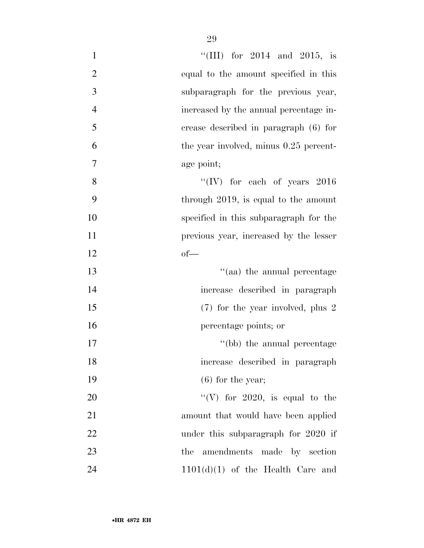| $\mathbf{1}$     | "(III) for $2014$ and $2015$ , is       |
|------------------|-----------------------------------------|
| $\overline{2}$   | equal to the amount specified in this   |
| 3                | subparagraph for the previous year,     |
| $\overline{4}$   | increased by the annual percentage in-  |
| 5                | crease described in paragraph (6) for   |
| 6                | the year involved, minus 0.25 percent-  |
| $\boldsymbol{7}$ | age point;                              |
| 8                | "(IV) for each of years $2016$          |
| 9                | through $2019$ , is equal to the amount |
| 10               | specified in this subparagraph for the  |
| 11               | previous year, increased by the lesser  |
| 12               | $of$ —                                  |
| 13               | "(aa) the annual percentage             |
| 14               | increase described in paragraph         |
| 15               | $(7)$ for the year involved, plus 2     |
| 16               | percentage points; or                   |
|                  |                                         |
| 17               | "(bb) the annual percentage             |
| 18               | increase described in paragraph         |
| 19               | $(6)$ for the year;                     |
| 20               | "(V) for 2020, is equal to the          |
| 21               | amount that would have been applied     |
| 22               | under this subparagraph for 2020 if     |
| 23               | amendments made by section<br>the       |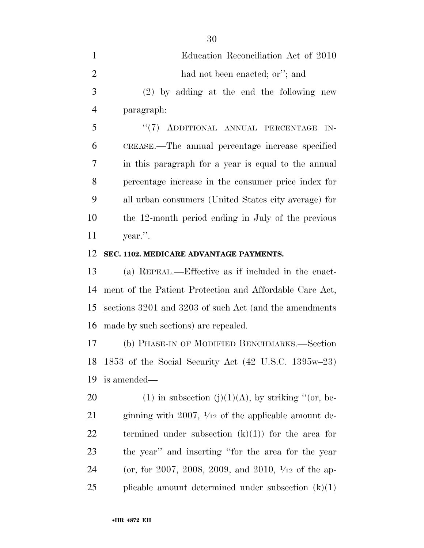| $\mathbf{1}$   | Education Reconciliation Act of 2010                           |
|----------------|----------------------------------------------------------------|
| $\overline{2}$ | had not been enacted; or"; and                                 |
| 3              | $(2)$ by adding at the end the following new                   |
| $\overline{4}$ | paragraph:                                                     |
| 5              | "(7) ADDITIONAL ANNUAL PERCENTAGE<br>$IN-$                     |
| 6              | CREASE.—The annual percentage increase specified               |
| 7              | in this paragraph for a year is equal to the annual            |
| 8              | percentage increase in the consumer price index for            |
| 9              | all urban consumers (United States city average) for           |
| 10             | the 12-month period ending in July of the previous             |
| 11             | year.".                                                        |
| 12             | SEC. 1102. MEDICARE ADVANTAGE PAYMENTS.                        |
| 13             | (a) REPEAL.—Effective as if included in the enact-             |
| 14             | ment of the Patient Protection and Affordable Care Act,        |
| 15             | sections 3201 and 3203 of such Act (and the amendments         |
| 16             | made by such sections) are repealed.                           |
| 17             | (b) PHASE-IN OF MODIFIED BENCHMARKS.—Section                   |
|                | 18 1853 of the Social Security Act (42 U.S.C. 1395w-23)        |
| 19             | is amended—                                                    |
| 20             | (1) in subsection (j)(1)(A), by striking "(or, be-             |
| 21             | ginning with 2007, $\frac{1}{12}$ of the applicable amount de- |
| 22             | termined under subsection $(k)(1)$ for the area for            |
| 23             | the year" and inserting "for the area for the year             |
| 24             | (or, for 2007, 2008, 2009, and 2010, $\frac{1}{12}$ of the ap- |

plicable amount determined under subsection (k)(1)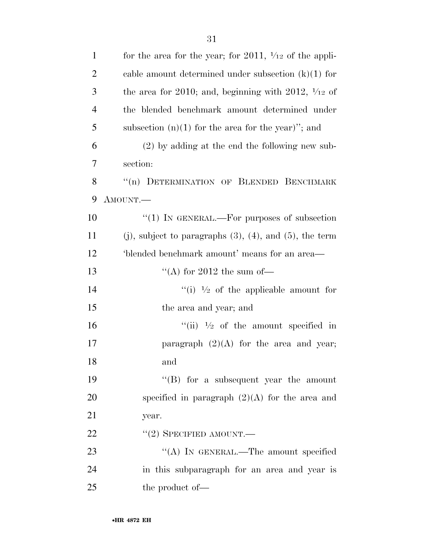| $\mathbf{1}$   | for the area for the year; for 2011, $\frac{1}{12}$ of the appli-  |
|----------------|--------------------------------------------------------------------|
| $\overline{2}$ | cable amount determined under subsection $(k)(1)$ for              |
| 3              | the area for 2010; and, beginning with 2012, $\frac{1}{12}$ of     |
| $\overline{4}$ | the blended benchmark amount determined under                      |
| 5              | subsection $(n)(1)$ for the area for the year)"; and               |
| 6              | $(2)$ by adding at the end the following new sub-                  |
| 7              | section:                                                           |
| 8              | "(n) DETERMINATION OF BLENDED BENCHMARK                            |
| 9              | AMOUNT.                                                            |
| 10             | " $(1)$ IN GENERAL.—For purposes of subsection                     |
| 11             | $(j)$ , subject to paragraphs $(3)$ , $(4)$ , and $(5)$ , the term |
| 12             | 'blended benchmark amount' means for an area—                      |
| 13             | "(A) for 2012 the sum of-                                          |
| 14             | "(i) $\frac{1}{2}$ of the applicable amount for                    |
| 15             | the area and year; and                                             |
| 16             | "(ii) $\frac{1}{2}$ of the amount specified in                     |
| 17             | paragraph $(2)(A)$ for the area and year;                          |
| 18             | and                                                                |
| 19             | $\lq\lq (B)$ for a subsequent year the amount                      |
| 20             | specified in paragraph $(2)(A)$ for the area and                   |
| 21             | year.                                                              |
| 22             | $``(2)$ SPECIFIED AMOUNT.—                                         |
| 23             | "(A) IN GENERAL.—The amount specified                              |
| 24             | in this subparagraph for an area and year is                       |
| 25             | the product of—                                                    |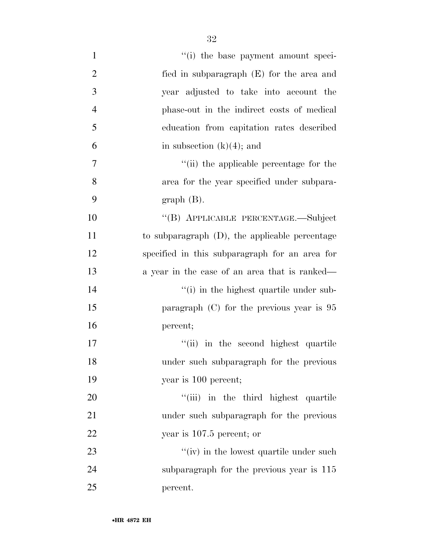| $\mathbf{1}$   | "(i) the base payment amount speci-               |
|----------------|---------------------------------------------------|
| $\overline{2}$ | fied in subparagraph (E) for the area and         |
| $\overline{3}$ | year adjusted to take into account the            |
| $\overline{4}$ | phase-out in the indirect costs of medical        |
| 5              | education from capitation rates described         |
| 6              | in subsection $(k)(4)$ ; and                      |
| $\tau$         | "(ii) the applicable percentage for the           |
| 8              | area for the year specified under subpara-        |
| 9              | $graph(B)$ .                                      |
| 10             | "(B) APPLICABLE PERCENTAGE.—Subject               |
| 11             | to subparagraph $(D)$ , the applicable percentage |
| 12             | specified in this subparagraph for an area for    |
| 13             | a year in the case of an area that is ranked—     |
| 14             | "(i) in the highest quartile under sub-           |
| 15             | paragraph $(C)$ for the previous year is $95$     |
| 16             | percent;                                          |
| 17             | "(ii) in the second highest quartile              |
| 18             | under such subparagraph for the previous          |
| 19             | year is 100 percent;                              |
| 20             | "(iii) in the third highest quartile              |
| 21             | under such subparagraph for the previous          |
| 22             | year is $107.5$ percent; or                       |
| 23             | $``(iv)$ in the lowest quartile under such        |
| 24             | subparagraph for the previous year is 115         |
| 25             | percent.                                          |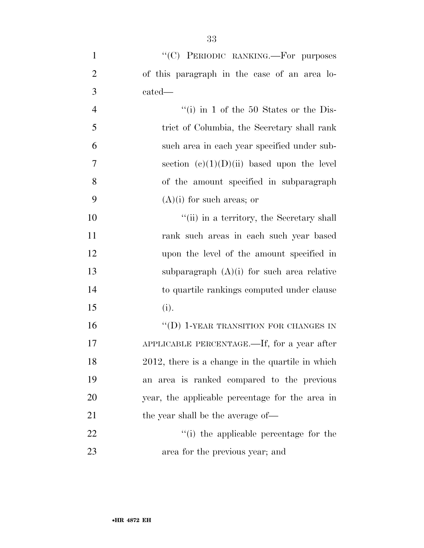- 1 "'(C) PERIODIC RANKING.—For purposes of this paragraph in the case of an area lo-cated—
- ''(i) in 1 of the 50 States or the Dis- trict of Columbia, the Secretary shall rank such area in each year specified under sub-7 section  $(e)(1)(D)(ii)$  based upon the level of the amount specified in subparagraph 9  $(A)(i)$  for such areas; or

 $"$ (ii) in a territory, the Secretary shall rank such areas in each such year based upon the level of the amount specified in subparagraph (A)(i) for such area relative to quartile rankings computed under clause (i).

16 "(D) 1-YEAR TRANSITION FOR CHANGES IN APPLICABLE PERCENTAGE.—If, for a year after 2012, there is a change in the quartile in which an area is ranked compared to the previous year, the applicable percentage for the area in 21 the year shall be the average of—

22  $\frac{1}{2}$   $\frac{1}{2}$   $\frac{1}{2}$  the applicable percentage for the area for the previous year; and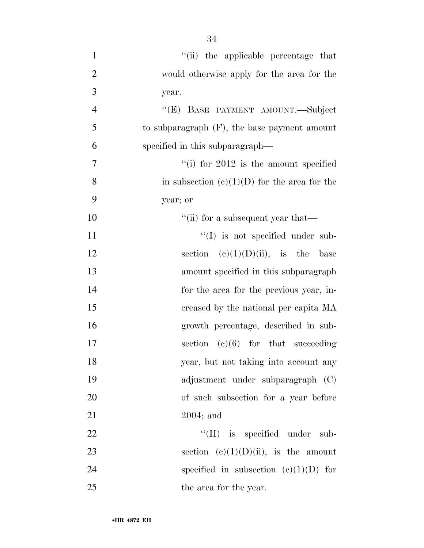| $\mathbf{1}$     | "(ii) the applicable percentage that            |
|------------------|-------------------------------------------------|
| $\overline{2}$   | would otherwise apply for the area for the      |
| 3                | year.                                           |
| $\overline{4}$   | "(E) BASE PAYMENT AMOUNT.—Subject               |
| 5                | to subparagraph $(F)$ , the base payment amount |
| 6                | specified in this subparagraph—                 |
| $\boldsymbol{7}$ | "(i) for $2012$ is the amount specified         |
| 8                | in subsection $(c)(1)(D)$ for the area for the  |
| 9                | year; or                                        |
| 10               | "(ii) for a subsequent year that—               |
| 11               | $\lq\lq$ (I) is not specified under sub-        |
| 12               | section $(c)(1)(D)(ii)$ , is the base           |
| 13               | amount specified in this subparagraph           |
| 14               | for the area for the previous year, in-         |
| 15               | creased by the national per capita MA           |
| 16               | growth percentage, described in sub-            |
| 17               | section $(e)(6)$ for that succeeding            |
| 18               | year, but not taking into account any           |
| 19               | adjustment under subparagraph (C)               |
| 20               | of such subsection for a year before            |
| 21               | $2004$ ; and                                    |
| 22               | $\lq\lq$ (II) is specified under sub-           |
| 23               | section $(c)(1)(D)(ii)$ , is the amount         |
| 24               | specified in subsection $(c)(1)(D)$ for         |
| 25               | the area for the year.                          |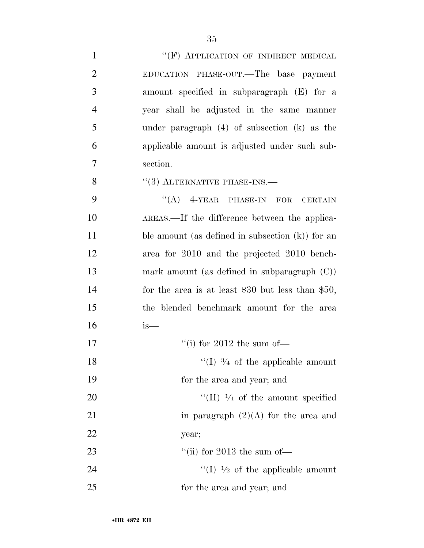1 ""(F) APPLICATION OF INDIRECT MEDICAL EDUCATION PHASE-OUT.—The base payment amount specified in subparagraph (E) for a year shall be adjusted in the same manner under paragraph (4) of subsection (k) as the applicable amount is adjusted under such sub-section.

''(3) ALTERNATIVE PHASE-INS.—

9 "(A) 4-YEAR PHASE-IN FOR CERTAIN AREAS.—If the difference between the applica-11 ble amount (as defined in subsection (k)) for an area for 2010 and the projected 2010 bench- mark amount (as defined in subparagraph (C)) for the area is at least \$30 but less than \$50, the blended benchmark amount for the area is—

| 17 | "(i) for 2012 the sum of $-$                        |
|----|-----------------------------------------------------|
| 18 | "(I) $\frac{3}{4}$ of the applicable amount         |
| 19 | for the area and year; and                          |
| 20 | $\lq\lq$ (II) $\frac{1}{4}$ of the amount specified |
| 21 | in paragraph $(2)(A)$ for the area and              |
| 22 | year;                                               |
| 23 | "(ii) for 2013 the sum of-                          |
| 24 | "(I) $\frac{1}{2}$ of the applicable amount         |
| 25 | for the area and year; and                          |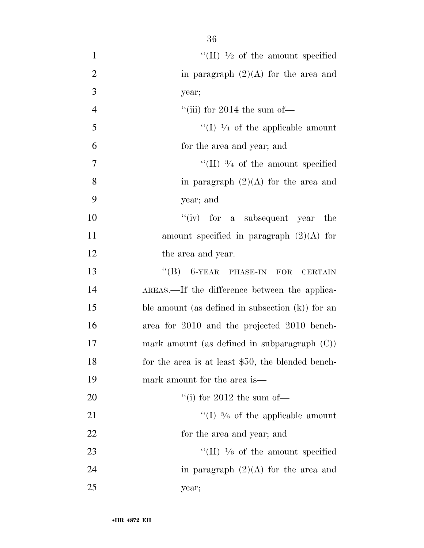| $\mathbf{1}$   | "(II) $\frac{1}{2}$ of the amount specified         |
|----------------|-----------------------------------------------------|
| $\overline{2}$ | in paragraph $(2)(A)$ for the area and              |
| 3              | year;                                               |
| $\overline{4}$ | "(iii) for 2014 the sum of $-$                      |
| 5              | "(I) $\frac{1}{4}$ of the applicable amount         |
| 6              | for the area and year; and                          |
| 7              | "(II) $\frac{3}{4}$ of the amount specified         |
| 8              | in paragraph $(2)(A)$ for the area and              |
| 9              | year; and                                           |
| 10             | "(iv) for a subsequent year the                     |
| 11             | amount specified in paragraph $(2)(A)$ for          |
| 12             | the area and year.                                  |
| 13             | $\lq\lq (B)$ 6-YEAR PHASE-IN FOR<br><b>CERTAIN</b>  |
| 14             | AREAS.—If the difference between the applica-       |
| 15             | ble amount (as defined in subsection $(k)$ ) for an |
| 16             | area for 2010 and the projected 2010 bench-         |
| 17             | mark amount (as defined in subparagraph $(C)$ )     |
| 18             | for the area is at least \$50, the blended bench-   |
| 19             | mark amount for the area is—                        |
| 20             | "(i) for 2012 the sum of $-$                        |
| 21             | "(I) $\frac{5}{6}$ of the applicable amount         |
| 22             | for the area and year; and                          |
| 23             | "(II) $\frac{1}{6}$ of the amount specified         |
| 24             | in paragraph $(2)(A)$ for the area and              |
| 25             | year;                                               |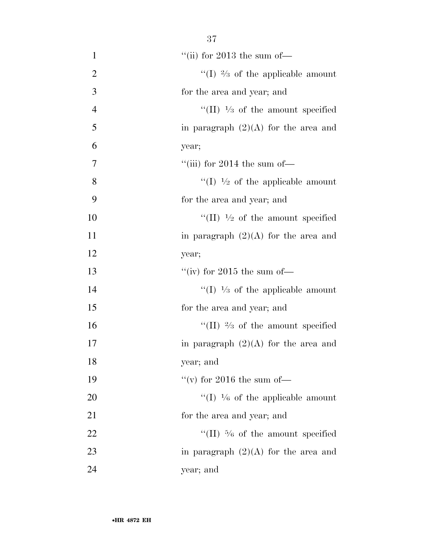| $\mathbf{1}$   | "(ii) for 2013 the sum of $-$               |
|----------------|---------------------------------------------|
| $\overline{2}$ | "(I) $\frac{2}{3}$ of the applicable amount |
| 3              | for the area and year; and                  |
| $\overline{4}$ | "(II) $\frac{1}{3}$ of the amount specified |
| 5              | in paragraph $(2)(A)$ for the area and      |
| 6              | year;                                       |
| $\overline{7}$ | "(iii) for 2014 the sum of-                 |
| 8              | "(I) $\frac{1}{2}$ of the applicable amount |
| 9              | for the area and year; and                  |
| 10             | "(II) $\frac{1}{2}$ of the amount specified |
| 11             | in paragraph $(2)(A)$ for the area and      |
| 12             | year;                                       |
| 13             | "(iv) for 2015 the sum of-                  |
| 14             | "(I) $\frac{1}{3}$ of the applicable amount |
| 15             | for the area and year; and                  |
| 16             | "(II) $\frac{2}{3}$ of the amount specified |
| 17             | in paragraph $(2)(A)$ for the area and      |
| 18             | year; and                                   |
| 19             | "(v) for 2016 the sum of-                   |
| 20             | "(I) $\frac{1}{6}$ of the applicable amount |
| 21             | for the area and year; and                  |
| 22             | "(II) $\frac{5}{6}$ of the amount specified |
| 23             | in paragraph $(2)(A)$ for the area and      |
| 24             | year; and                                   |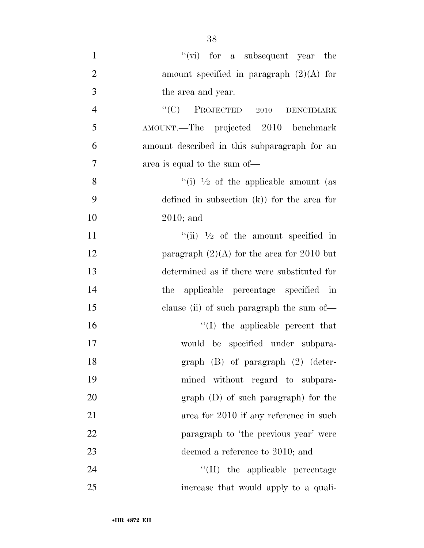1 ''(vi) for a subsequent year the amount specified in paragraph (2)(A) for the area and year. 4 "<sup>'</sup>(C) PROJECTED 2010 BENCHMARK AMOUNT.—The projected 2010 benchmark amount described in this subparagraph for an area is equal to the sum of—  $\frac{((i) \ 1/2)}{2}$  of the applicable amount (as defined in subsection (k)) for the area for 2010; and  $\frac{1}{1}$   $\frac{1}{2}$  of the amount specified in 12 paragraph  $(2)(A)$  for the area for 2010 but determined as if there were substituted for the applicable percentage specified in clause (ii) of such paragraph the sum of—  $\frac{1}{10}$  the applicable percent that would be specified under subpara- graph (B) of paragraph (2) (deter- mined without regard to subpara- graph (D) of such paragraph) for the area for 2010 if any reference in such paragraph to 'the previous year' were 23 deemed a reference to 2010; and  $\text{``(II)}$  the applicable percentage increase that would apply to a quali-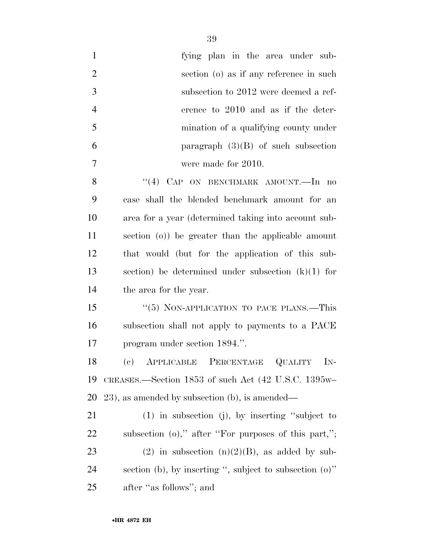| $\mathbf{1}$   | fying plan in the area under sub-                          |
|----------------|------------------------------------------------------------|
| $\overline{2}$ | section (o) as if any reference in such                    |
| 3              | subsection to 2012 were deemed a ref-                      |
| $\overline{4}$ | erence to 2010 and as if the deter-                        |
| 5              | mination of a qualifying county under                      |
| 6              | paragraph $(3)(B)$ of such subsection                      |
| 7              | were made for 2010.                                        |
| 8              | "(4) CAP ON BENCHMARK AMOUNT.—In no                        |
| 9              | case shall the blended benchmark amount for an             |
| 10             | area for a year (determined taking into account sub-       |
| 11             | section (o)) be greater than the applicable amount         |
| 12             | that would (but for the application of this sub-           |
| 13             | section) be determined under subsection $(k)(1)$ for       |
| 14             | the area for the year.                                     |
| 15             | "(5) NON-APPLICATION TO PACE PLANS.—This                   |
| 16             | subsection shall not apply to payments to a PACE           |
| 17             | program under section 1894.".                              |
| 18             | (c) APPLICABLE PERCENTAGE QUALITY IN-                      |
| 19             | CREASES.—Section 1853 of such Act (42 U.S.C. 1395w-        |
| <b>20</b>      | $(23)$ , as amended by subsection (b), is amended—         |
| 21             | $(1)$ in subsection (j), by inserting "subject to          |
| 22             | subsection $(o)$ ," after "For purposes of this part,";    |
| 23             | (2) in subsection $(n)(2)(B)$ , as added by sub-           |
| 24             | section (b), by inserting ", subject to subsection $(o)$ " |
| 25             | after "as follows"; and                                    |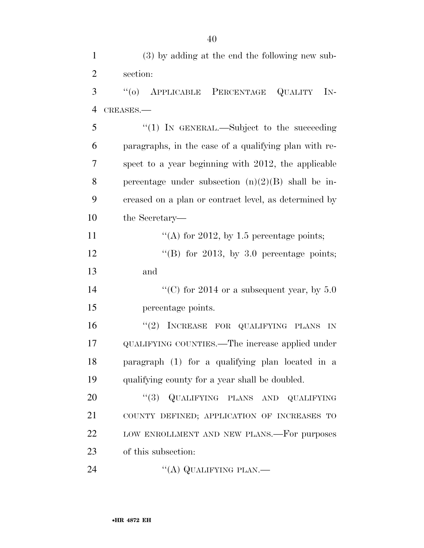(3) by adding at the end the following new sub- section: ''(o) APPLICABLE PERCENTAGE QUALITY IN- CREASES.— ''(1) IN GENERAL.—Subject to the succeeding paragraphs, in the case of a qualifying plan with re- spect to a year beginning with 2012, the applicable 8 percentage under subsection  $(n)(2)(B)$  shall be in- creased on a plan or contract level, as determined by the Secretary—  $\frac{1}{2012}$ , by 1.5 percentage points;  $\text{``(B)}$  for 2013, by 3.0 percentage points; and  $\frac{1}{2014}$  or a subsequent year, by 5.0 percentage points.  $"(2)$  INCREASE FOR QUALIFYING PLANS IN QUALIFYING COUNTIES.—The increase applied under paragraph (1) for a qualifying plan located in a qualifying county for a year shall be doubled.  $(3)$  QUALIFYING PLANS AND QUALIFYING COUNTY DEFINED; APPLICATION OF INCREASES TO 22 LOW ENROLLMENT AND NEW PLANS.—For purposes of this subsection: 24 "(A) QUALIFYING PLAN.—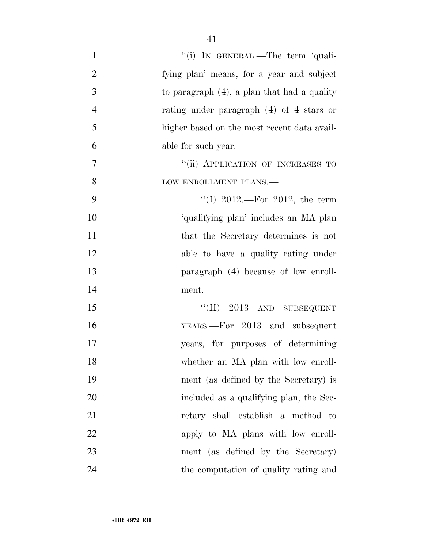| $\mathbf{1}$   | "(i) IN GENERAL.—The term 'quali-              |
|----------------|------------------------------------------------|
| $\overline{2}$ | fying plan' means, for a year and subject      |
| 3              | to paragraph $(4)$ , a plan that had a quality |
| $\overline{4}$ | rating under paragraph $(4)$ of 4 stars or     |
| 5              | higher based on the most recent data avail-    |
| 6              | able for such year.                            |
| 7              | "(ii) APPLICATION OF INCREASES TO              |
| 8              | LOW ENROLLMENT PLANS.-                         |
| 9              | "(I) 2012.—For 2012, the term                  |
| 10             | 'qualifying plan' includes an MA plan          |
| 11             | that the Secretary determines is not           |
| 12             | able to have a quality rating under            |
| 13             | paragraph (4) because of low enroll-           |
| 14             | ment.                                          |
| 15             | $``(II)$ 2013 AND SUBSEQUENT                   |
| 16             | YEARS.—For 2013 and subsequent                 |
| 17             | years, for purposes of determining             |
| 18             | whether an MA plan with low enroll-            |
| 19             | ment (as defined by the Secretary) is          |
| 20             | included as a qualifying plan, the Sec-        |
| 21             | retary shall establish a method to             |
| 22             | apply to MA plans with low enroll-             |
| 23             | ment (as defined by the Secretary)             |
| 24             | the computation of quality rating and          |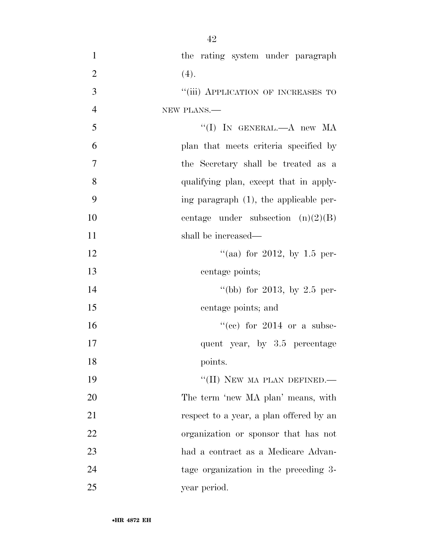1 the rating system under paragraph 2 (4). 3 "(iii) APPLICATION OF INCREASES TO 4 NEW PLANS.— 5 ''(I) IN GENERAL.—A new MA 6 plan that meets criteria specified by 7 the Secretary shall be treated as a 8 qualifying plan, except that in apply-9 ing paragraph (1), the applicable per-10 centage under subsection  $(n)(2)(B)$ 11 shall be increased— 12  $\frac{12}{2}$  (aa) for 2012, by 1.5 per-13 centage points; 14 ''(bb) for 2013, by 2.5 per-15 centage points; and  $^{(16)}$  16  $^{(16)}$  (cc) for 2014 or a subse-17 quent year, by 3.5 percentage 18 points. 19 "(II) NEW MA PLAN DEFINED.— 20 The term 'new MA plan' means, with 21 respect to a year, a plan offered by an 22 organization or sponsor that has not 23 had a contract as a Medicare Advan-24 tage organization in the preceding 3- 25 year period.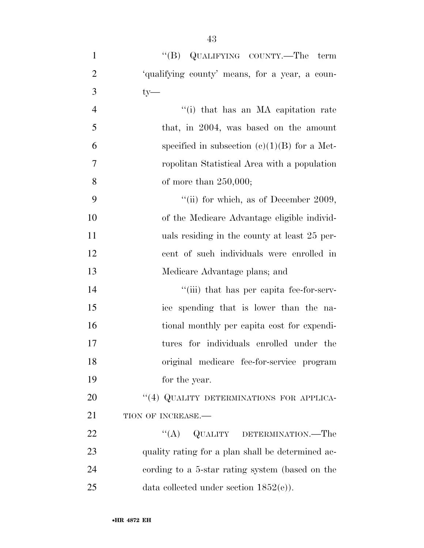- 1 ''(B) QUALIFYING COUNTY.—The term 2 'qualifying county' means, for a year, a coun- $3$  ty— 4 ''(i) that has an MA capitation rate 5 that, in 2004, was based on the amount 6 specified in subsection  $(c)(1)(B)$  for a Met-7 ropolitan Statistical Area with a population 8 of more than 250,000; 9  $\frac{4}{11}$  for which, as of December 2009, 10 of the Medicare Advantage eligible individ-11 uals residing in the county at least 25 per-12 cent of such individuals were enrolled in 13 Medicare Advantage plans; and 14  $\frac{1}{2}$   $\frac{1}{2}$   $\frac{1}{2}$  that has per capita fee-for-serv-15 ice spending that is lower than the na-16 tional monthly per capita cost for expendi-17 tures for individuals enrolled under the 18 original medicare fee-for-service program 19 for the year. 20 "(4) QUALITY DETERMINATIONS FOR APPLICA-21 TION OF INCREASE. 22 "(A) QUALITY DETERMINATION.—The 23 quality rating for a plan shall be determined ac-24 cording to a 5-star rating system (based on the
- 25 data collected under section 1852(e)).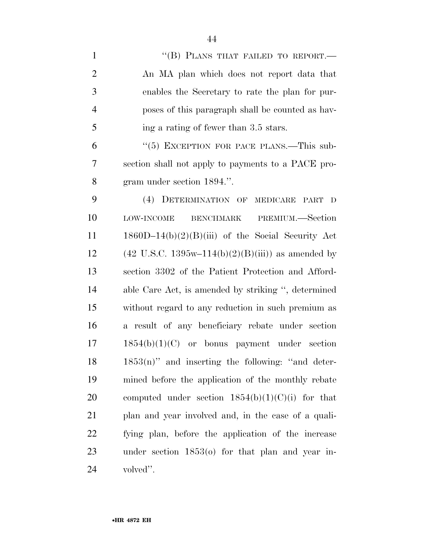1 "(B) PLANS THAT FAILED TO REPORT.— An MA plan which does not report data that enables the Secretary to rate the plan for pur- poses of this paragraph shall be counted as hav- ing a rating of fewer than 3.5 stars. 6 "(5) EXCEPTION FOR PACE PLANS.—This sub- section shall not apply to payments to a PACE pro- gram under section 1894.''. (4) DETERMINATION OF MEDICARE PART D LOW-INCOME BENCHMARK PREMIUM.—Section 1860D–14(b)(2)(B)(iii) of the Social Security Act 12 (42 U.S.C. 1395w–114(b)(2)(B)(iii)) as amended by section 3302 of the Patient Protection and Afford- able Care Act, is amended by striking '', determined without regard to any reduction in such premium as a result of any beneficiary rebate under section 1854(b)(1)(C) or bonus payment under section 1853(n)" and inserting the following: "and deter- mined before the application of the monthly rebate 20 computed under section  $1854(b)(1)(C)(i)$  for that plan and year involved and, in the case of a quali- fying plan, before the application of the increase under section 1853(o) for that plan and year in-volved''.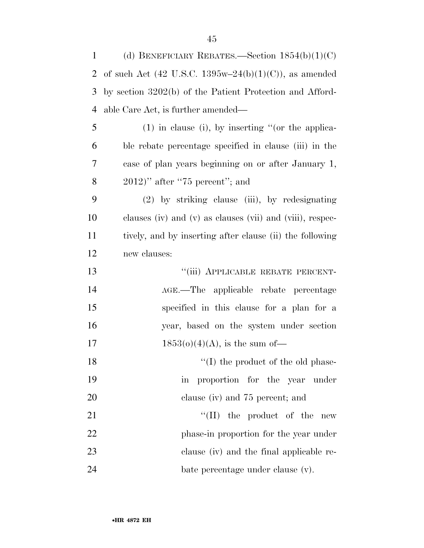| $\mathbf{1}$ | (d) BENEFICIARY REBATES.—Section $1854(b)(1)(C)$          |
|--------------|-----------------------------------------------------------|
| 2            | of such Act (42 U.S.C. 1395w-24(b)(1)(C)), as amended     |
| 3            | by section 3202(b) of the Patient Protection and Afford-  |
| 4            | able Care Act, is further amended—                        |
| 5            | $(1)$ in clause (i), by inserting "(or the applica-       |
| 6            | ble rebate percentage specified in clause (iii) in the    |
| 7            | case of plan years beginning on or after January 1,       |
| 8            | $(2012)$ " after "75 percent"; and                        |
| 9            | $(2)$ by striking clause (iii), by redesignating          |
| 10           | clauses (iv) and (v) as clauses (vii) and (viii), respec- |
| 11           | tively, and by inserting after clause (ii) the following  |
| 12           | new clauses:                                              |
| 13           | "(iii) APPLICABLE REBATE PERCENT-                         |
| 14           | AGE.—The applicable rebate percentage                     |
| 15           | specified in this clause for a plan for a                 |
| 16           | year, based on the system under section                   |
| 17           | $1853(o)(4)(A)$ , is the sum of-                          |
| 18           | $\lq\lq$ (I) the product of the old phase-                |
| 19           | $\operatorname{in}$<br>proportion for the year under      |
| 20           | clause (iv) and 75 percent; and                           |
| 21           | $\lq\lq$ (II) the product of the<br>${\rm new}$           |
| 22           | phase-in proportion for the year under                    |
| 23           | clause (iv) and the final applicable re-                  |
| 24           | bate percentage under clause (v).                         |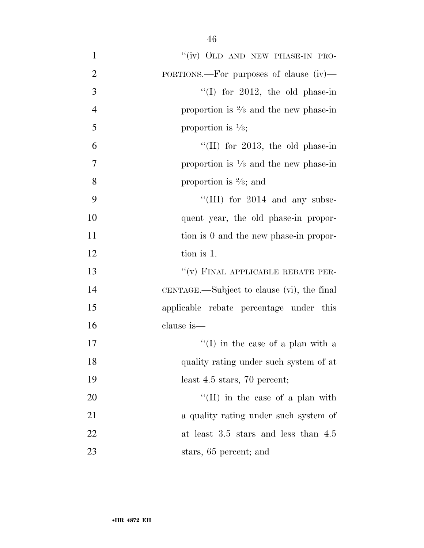| $\mathbf{1}$   | "(iv) OLD AND NEW PHASE-IN PRO-                  |
|----------------|--------------------------------------------------|
| $\overline{2}$ | PORTIONS.—For purposes of clause $(iv)$ —        |
| 3              | "(I) for 2012, the old phase-in                  |
| $\overline{4}$ | proportion is $\frac{2}{3}$ and the new phase-in |
| 5              | proportion is $\frac{1}{3}$ ;                    |
| 6              | "(II) for 2013, the old phase-in                 |
| 7              | proportion is $\frac{1}{3}$ and the new phase-in |
| 8              | proportion is $\frac{2}{3}$ ; and                |
| 9              | "(III) for $2014$ and any subse-                 |
| 10             | quent year, the old phase-in propor-             |
| 11             | tion is 0 and the new phase-in propor-           |
| 12             | tion is 1.                                       |
| 13             | "(v) FINAL APPLICABLE REBATE PER-                |
| 14             | CENTAGE.—Subject to clause (vi), the final       |
| 15             | applicable rebate percentage under this          |
| 16             | clause is-                                       |
| 17             | "(I) in the case of a plan with a                |
| 18             | quality rating under such system of at           |
| 19             | least $4.5$ stars, $70$ percent;                 |
| 20             | "(II) in the case of a plan with                 |
| 21             | a quality rating under such system of            |
| 22             | at least $3.5$ stars and less than $4.5$         |
| 23             | stars, 65 percent; and                           |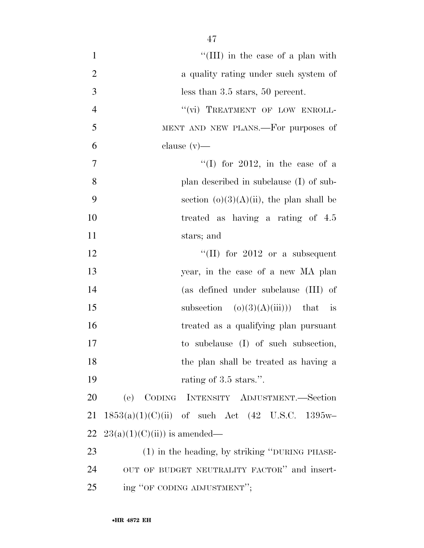| $\mathbf{1}$   | "(III) in the case of a plan with                            |
|----------------|--------------------------------------------------------------|
| $\mathbf{2}$   | a quality rating under such system of                        |
| $\overline{3}$ | less than $3.5$ stars, $50$ percent.                         |
| $\overline{4}$ | "(vi) TREATMENT OF LOW ENROLL-                               |
| 5              | MENT AND NEW PLANS.—For purposes of                          |
| 6              | clause $(v)$ —                                               |
| 7              | "(I) for 2012, in the case of a                              |
| 8              | plan described in subclause (I) of sub-                      |
| 9              | section $(o)(3)(A)(ii)$ , the plan shall be                  |
| 10             | treated as having a rating of 4.5                            |
| 11             | stars; and                                                   |
| 12             | "(II) for $2012$ or a subsequent                             |
| 13             | year, in the case of a new MA plan                           |
| 14             | (as defined under subclause (III) of                         |
| 15             | subsection $(o)(3)(A)(iii))$ that is                         |
| 16             | treated as a qualifying plan pursuant                        |
| 17             | to subclause (I) of such subsection,                         |
| 18             | the plan shall be treated as having a                        |
| 19             | rating of 3.5 stars.".                                       |
| 20             | (e) CODING INTENSITY ADJUSTMENT.-Section                     |
| 21             | $1853(a)(1)(C)(ii)$ of such Act $(42 \text{ U.S.C. } 1395w-$ |
| 22             | $23(a)(1)(C(ii))$ is amended—                                |
| 23             | (1) in the heading, by striking "DURING PHASE-               |
| 24             | OUT OF BUDGET NEUTRALITY FACTOR" and insert-                 |
| 25             | ing "OF CODING ADJUSTMENT";                                  |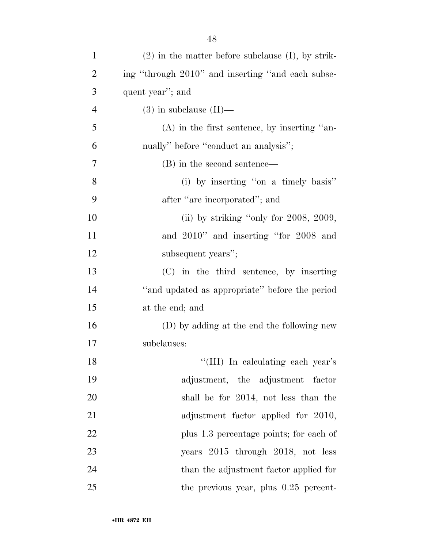| $\mathbf{1}$   | $(2)$ in the matter before subclause $(I)$ , by strik- |
|----------------|--------------------------------------------------------|
| $\overline{2}$ | ing "through 2010" and inserting "and each subse-      |
| 3              | quent year"; and                                       |
| 4              | $(3)$ in subclause $(II)$ —                            |
| 5              | $(A)$ in the first sentence, by inserting "an-         |
| 6              | nually" before "conduct an analysis";                  |
| 7              | (B) in the second sentence—                            |
| 8              | (i) by inserting "on a timely basis"                   |
| 9              | after "are incorporated"; and                          |
| 10             | (ii) by striking "only for $2008$ , $2009$ ,           |
| 11             | and 2010" and inserting "for 2008 and                  |
| 12             | subsequent years";                                     |
| 13             | (C) in the third sentence, by inserting                |
| 14             | "and updated as appropriate" before the period         |
| 15             | at the end; and                                        |
| 16             | (D) by adding at the end the following new             |
| 17             | subclauses:                                            |
| 18             | "(III) In calculating each year's                      |
| 19             | adjustment, the adjustment factor                      |
| 20             | shall be for 2014, not less than the                   |
| 21             | adjustment factor applied for 2010,                    |
| 22             | plus 1.3 percentage points; for each of                |
| 23             | years 2015 through 2018, not less                      |
| 24             | than the adjustment factor applied for                 |
| 25             | the previous year, plus $0.25$ percent-                |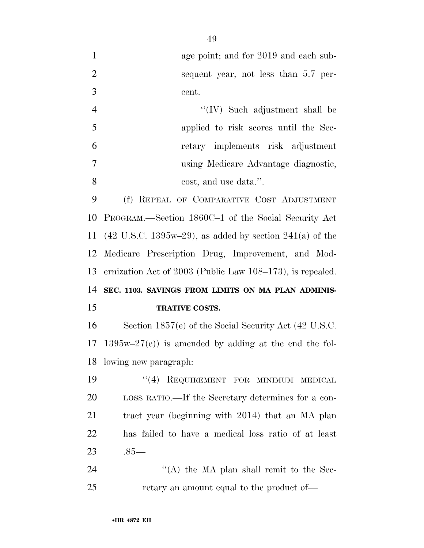1 age point; and for 2019 and each sub- sequent year, not less than 5.7 per-cent.

|                | $\lq\lq$ (IV) Such adjustment shall be |
|----------------|----------------------------------------|
| - 5            | applied to risk scores until the Sec-  |
| $\mathfrak b$  | retary implements risk adjustment      |
| $\overline{7}$ | using Medicare Advantage diagnostic,   |
|                | cost, and use data.".                  |

 (f) REPEAL OF COMPARATIVE COST ADJUSTMENT PROGRAM.—Section 1860C–1 of the Social Security Act (42 U.S.C. 1395w–29), as added by section 241(a) of the Medicare Prescription Drug, Improvement, and Mod- ernization Act of 2003 (Public Law 108–173), is repealed. **SEC. 1103. SAVINGS FROM LIMITS ON MA PLAN ADMINIS-TRATIVE COSTS.** 

 Section 1857(e) of the Social Security Act (42 U.S.C. 1395w–27(e)) is amended by adding at the end the fol-lowing new paragraph:

19 "(4) REQUIREMENT FOR MINIMUM MEDICAL LOSS RATIO.—If the Secretary determines for a con- tract year (beginning with 2014) that an MA plan has failed to have a medical loss ratio of at least .85—

24 ''(A) the MA plan shall remit to the Sec-25 retary an amount equal to the product of—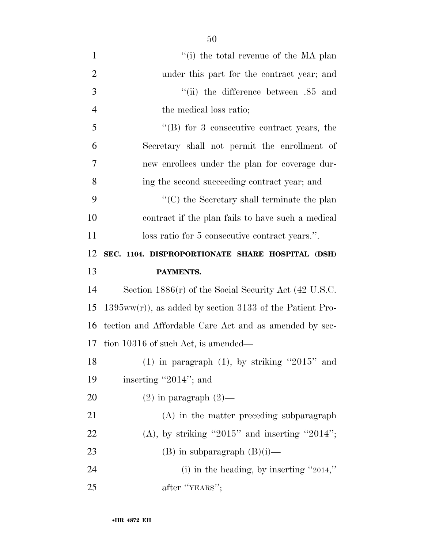| $\mathbf{1}$   | "(i) the total revenue of the MA plan                      |
|----------------|------------------------------------------------------------|
| $\overline{2}$ | under this part for the contract year; and                 |
| 3              | "(ii) the difference between .85 and                       |
| $\overline{4}$ | the medical loss ratio;                                    |
| 5              | $\mathrm{``(B)}$ for 3 consecutive contract years, the     |
| 6              | Secretary shall not permit the enrollment of               |
| 7              | new enrollees under the plan for coverage dur-             |
| 8              | ing the second succeeding contract year; and               |
| 9              | "(C) the Secretary shall terminate the plan                |
| 10             | contract if the plan fails to have such a medical          |
| 11             | loss ratio for 5 consecutive contract years.".             |
| 12             | SEC. 1104. DISPROPORTIONATE SHARE HOSPITAL (DSH)           |
| 13             | PAYMENTS.                                                  |
| 14             | Section $1886(r)$ of the Social Security Act (42 U.S.C.    |
| 15             | $1395ww(r)$ , as added by section 3133 of the Patient Pro- |
| 16             | tection and Affordable Care Act and as amended by sec-     |
| 17             | tion 10316 of such Act, is amended—                        |
| 18             | (1) in paragraph $(1)$ , by striking "2015" and            |
| 19             |                                                            |
|                | inserting "2014"; and                                      |
| 20             | $(2)$ in paragraph $(2)$ —                                 |
| 21             | (A) in the matter preceding subparagraph                   |
| 22             | $(A)$ , by striking "2015" and inserting "2014";           |
| 23             | $(B)$ in subparagraph $(B)(i)$ —                           |
| 24             | (i) in the heading, by inserting "2014,"                   |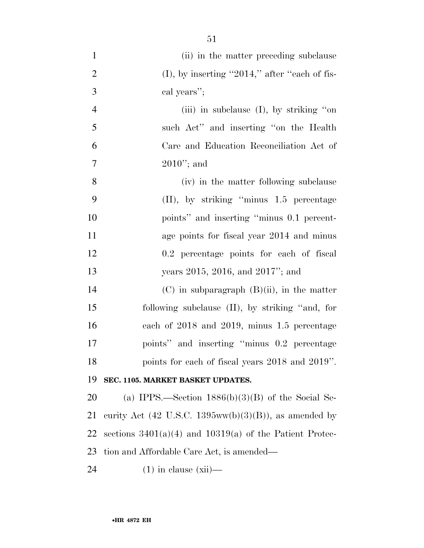(ii) in the matter preceding subclause 2 (I), by inserting  $"2014,"$  after "each of fis- cal years''; (iii) in subclause (I), by striking ''on such Act'' and inserting ''on the Health Care and Education Reconciliation Act of 2010''; and (iv) in the matter following subclause (II), by striking ''minus 1.5 percentage points'' and inserting ''minus 0.1 percent-11 age points for fiscal year 2014 and minus 0.2 percentage points for each of fiscal 13 years 2015, 2016, and 2017"; and (C) in subparagraph (B)(ii), in the matter following subclause (II), by striking ''and, for each of 2018 and 2019, minus 1.5 percentage points'' and inserting ''minus 0.2 percentage

## **SEC. 1105. MARKET BASKET UPDATES.**

20 (a) IPPS.—Section  $1886(b)(3)(B)$  of the Social Se-21 curity Act (42 U.S.C. 1395ww(b)(3)(B)), as amended by 22 sections  $3401(a)(4)$  and  $10319(a)$  of the Patient Protec-tion and Affordable Care Act, is amended—

points for each of fiscal years 2018 and 2019''.

(1) in clause (xii)—

•**HR 4872 EH**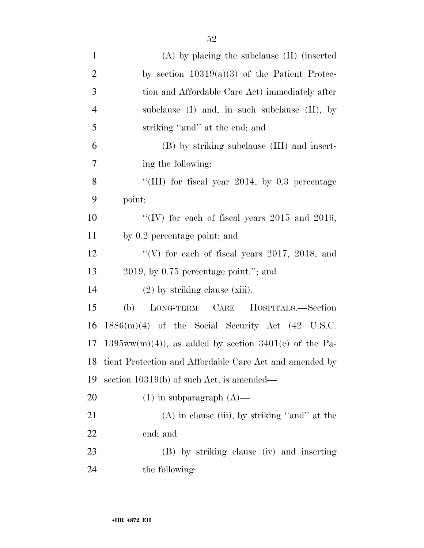| $\mathbf{1}$   | $(A)$ by placing the subclause $(II)$ (inserted               |
|----------------|---------------------------------------------------------------|
| $\overline{2}$ | by section $10319(a)(3)$ of the Patient Protec-               |
| 3              | tion and Affordable Care Act) immediately after               |
| $\overline{4}$ | subclause $(I)$ and, in such subclause $(II)$ , by            |
| 5              | striking "and" at the end; and                                |
| 6              | (B) by striking subclause (III) and insert-                   |
| 7              | ing the following:                                            |
| 8              | "(III) for fiscal year 2014, by $0.3$ percentage              |
| 9              | point;                                                        |
| 10             | "(IV) for each of fiscal years $2015$ and $2016$ ,            |
| 11             | by 0.2 percentage point; and                                  |
| 12             | "(V) for each of fiscal years $2017$ , $2018$ , and           |
| 13             | $2019$ , by 0.75 percentage point."; and                      |
| 14             | $(2)$ by striking clause (xiii).                              |
| 15             | LONG-TERM CARE HOSPITALS.-Section<br>(b)                      |
| 16             | $1886(m)(4)$ of the Social Security Act $(42 \text{ U.S.C.})$ |
| 17             | $1395ww(m)(4)$ , as added by section $3401(c)$ of the Pa-     |
| 18             | tient Protection and Affordable Care Act and amended by       |
| 19             | section $10319(b)$ of such Act, is amended—                   |
| 20             | $(1)$ in subparagraph $(A)$ —                                 |
| 21             | $(A)$ in clause (iii), by striking "and" at the               |
| 22             | end; and                                                      |
| 23             | (B) by striking clause (iv) and inserting                     |
| 24             | the following:                                                |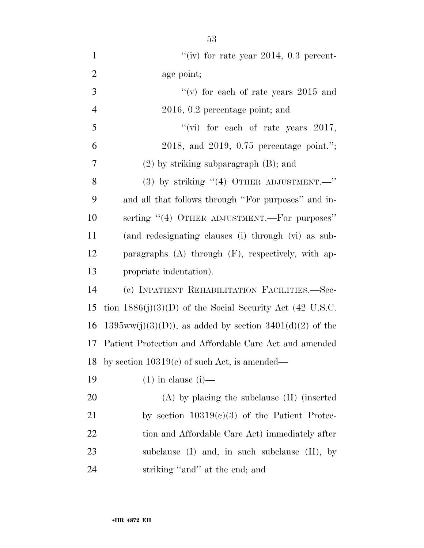| $\mathbf{1}$   | "(iv) for rate year 2014, $0.3$ percent-                    |
|----------------|-------------------------------------------------------------|
| $\mathfrak{2}$ | age point;                                                  |
| 3              | "(v) for each of rate years $2015$ and                      |
| $\overline{4}$ | $2016, 0.2$ percentage point; and                           |
| 5              | "(vi) for each of rate years $2017$ ,                       |
| 6              | 2018, and 2019, $0.75$ percentage point.";                  |
| 7              | $(2)$ by striking subparagraph $(B)$ ; and                  |
| 8              | (3) by striking $((4)$ OTHER ADJUSTMENT. $"$                |
| 9              | and all that follows through "For purposes" and in-         |
| 10             | serting "(4) OTHER ADJUSTMENT.—For purposes"                |
| 11             | (and redesignating clauses (i) through (vi) as sub-         |
| 12             | paragraphs $(A)$ through $(F)$ , respectively, with ap-     |
| 13             | propriate indentation).                                     |
| 14             | (c) INPATIENT REHABILITATION FACILITIES.-Sec-               |
| 15             | tion $1886(j)(3)(D)$ of the Social Security Act (42 U.S.C.  |
| 16             | $1395ww(j)(3)(D)$ , as added by section $3401(d)(2)$ of the |
|                | 17 Patient Protection and Affordable Care Act and amended   |
|                | 18 by section $10319(c)$ of such Act, is amended—           |
| 19             | $(1)$ in clause $(i)$ —                                     |
| <b>20</b>      | $(A)$ by placing the subclause $(II)$ (inserted             |
| 21             | by section $10319(c)(3)$ of the Patient Protec-             |
| 22             | tion and Affordable Care Act) immediately after             |
| 23             | subclause $(I)$ and, in such subclause $(II)$ , by          |
| 24             | striking "and" at the end; and                              |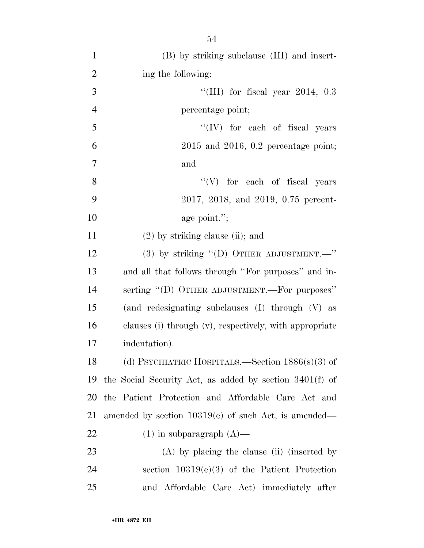| $\mathbf{1}$   | (B) by striking subclause (III) and insert-               |
|----------------|-----------------------------------------------------------|
| $\overline{2}$ | ing the following:                                        |
| 3              | "(III) for fiscal year $2014$ , 0.3                       |
| $\overline{4}$ | percentage point;                                         |
| 5              | "(IV) for each of fiscal years                            |
| 6              | $2015$ and $2016$ , 0.2 percentage point;                 |
| $\overline{7}$ | and                                                       |
| 8              | "(V) for each of fiscal years                             |
| 9              | 2017, 2018, and 2019, 0.75 percent-                       |
| 10             | age point.";                                              |
| 11             | $(2)$ by striking clause (ii); and                        |
| 12             | (3) by striking "(D) OTHER ADJUSTMENT.-"                  |
| 13             | and all that follows through "For purposes" and in-       |
| 14             | serting "(D) OTHER ADJUSTMENT.—For purposes"              |
| 15             | (and redesignating subclauses (I) through (V) as          |
| 16             | clauses (i) through (v), respectively, with appropriate   |
| 17             | indentation).                                             |
| 18             | (d) PSYCHIATRIC HOSPITALS.—Section $1886(s)(3)$ of        |
| 19             | the Social Security Act, as added by section $3401(f)$ of |
| 20             | the Patient Protection and Affordable Care Act and        |
| 21             | amended by section $10319(e)$ of such Act, is amended—    |
| 22             | $(1)$ in subparagraph $(A)$ —                             |
| 23             | $(A)$ by placing the clause (ii) (inserted by             |
| 24             | section $10319(e)(3)$ of the Patient Protection           |
| 25             | and Affordable Care Act) immediately after                |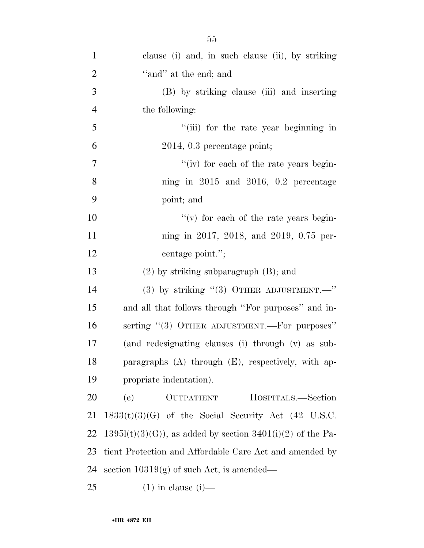| $\mathbf{1}$   | clause (i) and, in such clause (ii), by striking               |
|----------------|----------------------------------------------------------------|
| $\overline{2}$ | "and" at the end; and                                          |
| 3              | (B) by striking clause (iii) and inserting                     |
| $\overline{4}$ | the following:                                                 |
| 5              | "(iii) for the rate year beginning in                          |
| 6              | $2014, 0.3$ percentage point;                                  |
| 7              | "(iv) for each of the rate years begin-                        |
| 8              | ning in $2015$ and $2016$ , 0.2 percentage                     |
| 9              | point; and                                                     |
| 10             | $f'(v)$ for each of the rate years begin-                      |
| 11             | ning in 2017, 2018, and 2019, 0.75 per-                        |
| 12             | centage point.";                                               |
| 13             | $(2)$ by striking subparagraph $(B)$ ; and                     |
| 14             | (3) by striking $(3)$ OTHER ADJUSTMENT. $\cdots$               |
| 15             | and all that follows through "For purposes" and in-            |
| 16             | serting "(3) OTHER ADJUSTMENT.—For purposes"                   |
| 17             | (and redesignating clauses (i) through (v) as sub-             |
| 18             | paragraphs $(A)$ through $(E)$ , respectively, with ap-        |
| 19             | propriate indentation).                                        |
| 20             | (e)<br>OUTPATIENT<br>HOSPITALS.—Section                        |
| 21             | $1833(t)(3)(G)$ of the Social Security Act (42 U.S.C.          |
| 22             | $1395l(t)(3)(G)$ , as added by section $3401(i)(2)$ of the Pa- |
| 23             | tient Protection and Affordable Care Act and amended by        |
| 24             | section $10319(g)$ of such Act, is amended—                    |
| 25             | $(1)$ in clause $(i)$ —                                        |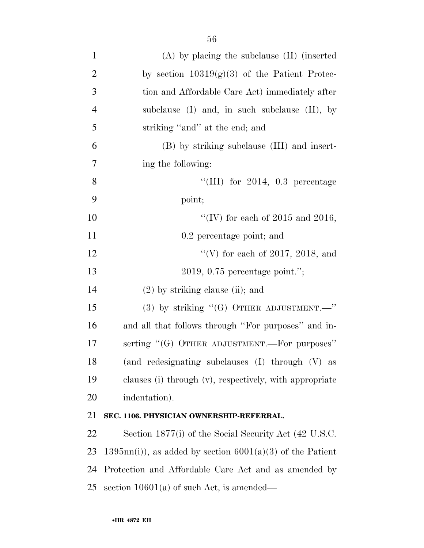| $\mathbf{1}$   | $(A)$ by placing the subclause $(II)$ (inserted               |
|----------------|---------------------------------------------------------------|
| $\overline{2}$ | by section $10319(g)(3)$ of the Patient Protec-               |
| 3              | tion and Affordable Care Act) immediately after               |
| $\overline{4}$ | subclause $(I)$ and, in such subclause $(II)$ , by            |
| 5              | striking "and" at the end; and                                |
| 6              | (B) by striking subclause (III) and insert-                   |
| 7              | ing the following:                                            |
| 8              | "(III) for $2014$ , 0.3 percentage                            |
| 9              | point;                                                        |
| 10             | "(IV) for each of 2015 and 2016,                              |
| 11             | 0.2 percentage point; and                                     |
| 12             | "(V) for each of 2017, 2018, and                              |
| 13             | $2019, 0.75$ percentage point.";                              |
| 14             | $(2)$ by striking clause (ii); and                            |
| 15             | (3) by striking " $(G)$ OTHER ADJUSTMENT. -"                  |
| 16             | and all that follows through "For purposes" and in-           |
| 17             | serting "(G) OTHER ADJUSTMENT.—For purposes"                  |
| 18             | (and redesignating subclauses (I) through (V) as              |
| 19             | clauses (i) through (v), respectively, with appropriate       |
| 20             | indentation).                                                 |
| 21             | SEC. 1106. PHYSICIAN OWNERSHIP-REFERRAL.                      |
| 22             | Section 1877(i) of the Social Security Act (42 U.S.C.         |
| 23             | $1395nn(i)$ , as added by section $6001(a)(3)$ of the Patient |
| 24             | Protection and Affordable Care Act and as amended by          |
| 25             | section $10601(a)$ of such Act, is amended—                   |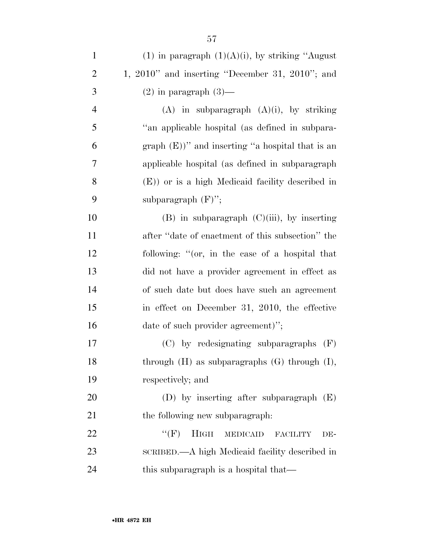| $\mathbf{1}$   | (1) in paragraph $(1)(A)(i)$ , by striking "August"   |
|----------------|-------------------------------------------------------|
| $\overline{2}$ | 1, $2010$ " and inserting "December 31, $2010$ "; and |
| 3              | $(2)$ in paragraph $(3)$ —                            |
| $\overline{4}$ | $(A)$ in subparagraph $(A)(i)$ , by striking          |
| 5              | "an applicable hospital (as defined in subpara-       |
| 6              | graph $(E)$ )" and inserting "a hospital that is an   |
| 7              | applicable hospital (as defined in subparagraph       |
| 8              | $(E)$ ) or is a high Medicaid facility described in   |
| 9              | subparagraph $(F)$ ";                                 |
| 10             | $(B)$ in subparagraph $(C)(iii)$ , by inserting       |
| 11             | after "date of enactment of this subsection" the      |
| 12             | following: "(or, in the case of a hospital that       |
| 13             | did not have a provider agreement in effect as        |
| 14             | of such date but does have such an agreement          |
| 15             | in effect on December 31, 2010, the effective         |
| 16             | date of such provider agreement)";                    |
| 17             | $(C)$ by redesignating subparagraphs $(F)$            |
| 18             | through $(H)$ as subparagraphs $(G)$ through $(I)$ ,  |
| 19             | respectively; and                                     |
| 20             | (D) by inserting after subparagraph $(E)$             |
| 21             | the following new subparagraph:                       |
| 22             | $``(F)$ HIGH<br>MEDICAID FACILITY<br>DE-              |
| 23             | SCRIBED.—A high Medicaid facility described in        |
| 24             | this subparagraph is a hospital that—                 |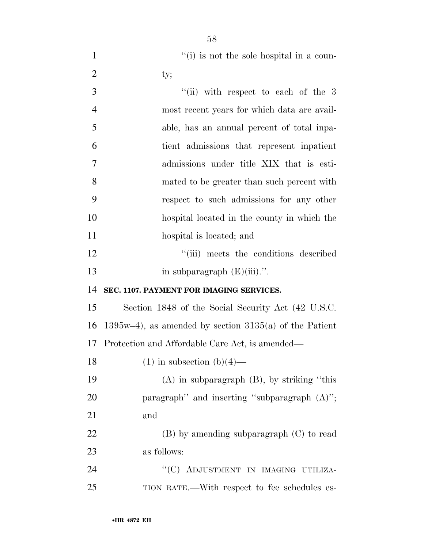1 ''(i) is not the sole hospital in a coun-2 ty;

| 3              | "(ii) with respect to each of the $3$                      |
|----------------|------------------------------------------------------------|
| $\overline{4}$ | most recent years for which data are avail-                |
| 5              | able, has an annual percent of total inpa-                 |
| 6              | tient admissions that represent inpatient                  |
| 7              | admissions under title XIX that is esti-                   |
| 8              | mated to be greater than such percent with                 |
| 9              | respect to such admissions for any other                   |
| 10             | hospital located in the county in which the                |
| 11             | hospital is located; and                                   |
| 12             | "(iii) meets the conditions described                      |
| 13             | in subparagraph $(E)(iii)$ .".                             |
| 14             | SEC. 1107. PAYMENT FOR IMAGING SERVICES.                   |
| 15             | Section 1848 of the Social Security Act (42 U.S.C.         |
| 16             | $1395w-4$ , as amended by section $3135(a)$ of the Patient |
| 17             | Protection and Affordable Care Act, is amended—            |
| 18             | $(1)$ in subsection $(b)(4)$ —                             |
| 19             | $(A)$ in subparagraph $(B)$ , by striking "this            |
| 20             | paragraph" and inserting "subparagraph $(A)$ ";            |
| 21             | and                                                        |
| 22             | (B) by amending subparagraph (C) to read                   |
| 23             | as follows:                                                |
| 24             | "(C) ADJUSTMENT IN IMAGING UTILIZA-                        |
| 25             | TION RATE.—With respect to fee schedules es-               |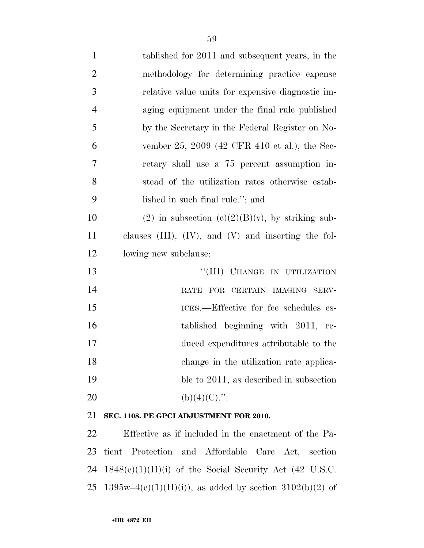| $\mathbf{1}$   | tablished for 2011 and subsequent years, in the             |
|----------------|-------------------------------------------------------------|
| $\overline{2}$ | methodology for determining practice expense                |
| 3              | relative value units for expensive diagnostic im-           |
| $\overline{4}$ | aging equipment under the final rule published              |
| 5              | by the Secretary in the Federal Register on No-             |
| 6              | vember 25, 2009 (42 CFR 410 et al.), the Sec-               |
| 7              | retary shall use a 75 percent assumption in-                |
| 8              | stead of the utilization rates otherwise estab-             |
| 9              | lished in such final rule."; and                            |
| 10             | (2) in subsection (c)(2)(B)(v), by striking sub-            |
| 11             | clauses $(III)$ , $(IV)$ , and $(V)$ and inserting the fol- |
| 12             | lowing new subclause:                                       |
| 13             | "(III) CHANGE IN UTILIZATION                                |
| 14             | RATE FOR CERTAIN IMAGING SERV-                              |
| 15             | ICES.--Effective for fee schedules es-                      |
| 16             | tablished beginning with 2011, re-                          |
| 17             | duced expenditures attributable to the                      |
| 18             | change in the utilization rate applica-                     |
| 19             | ble to 2011, as described in subsection                     |
| 20             | $(b)(4)(C)$ .".                                             |
| 21             | SEC. 1108. PE GPCI ADJUSTMENT FOR 2010.                     |
| 22             | Effective as if included in the enactment of the Pa-        |
|                |                                                             |

 tient Protection and Affordable Care Act, section 1848(e)(1)(H)(i) of the Social Security Act (42 U.S.C. 25 1395w–4(e)(1)(H)(i)), as added by section 3102(b)(2) of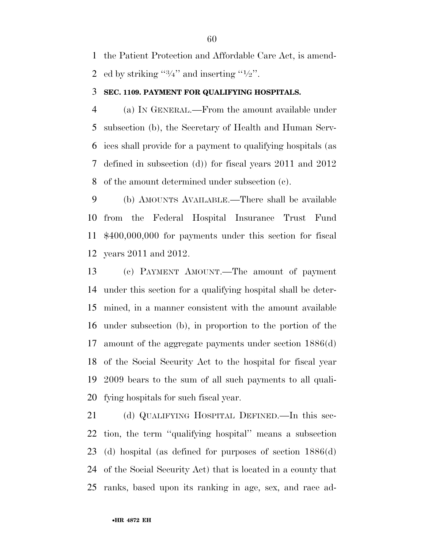the Patient Protection and Affordable Care Act, is amend-2 ed by striking  $\frac{3}{4}$  and inserting  $\frac{1}{2}$ .

#### **SEC. 1109. PAYMENT FOR QUALIFYING HOSPITALS.**

 (a) IN GENERAL.—From the amount available under subsection (b), the Secretary of Health and Human Serv- ices shall provide for a payment to qualifying hospitals (as defined in subsection (d)) for fiscal years 2011 and 2012 of the amount determined under subsection (c).

 (b) AMOUNTS AVAILABLE.—There shall be available from the Federal Hospital Insurance Trust Fund \$400,000,000 for payments under this section for fiscal years 2011 and 2012.

 (c) PAYMENT AMOUNT.—The amount of payment under this section for a qualifying hospital shall be deter- mined, in a manner consistent with the amount available under subsection (b), in proportion to the portion of the amount of the aggregate payments under section 1886(d) of the Social Security Act to the hospital for fiscal year 2009 bears to the sum of all such payments to all quali-fying hospitals for such fiscal year.

 (d) QUALIFYING HOSPITAL DEFINED.—In this sec- tion, the term ''qualifying hospital'' means a subsection (d) hospital (as defined for purposes of section 1886(d) of the Social Security Act) that is located in a county that ranks, based upon its ranking in age, sex, and race ad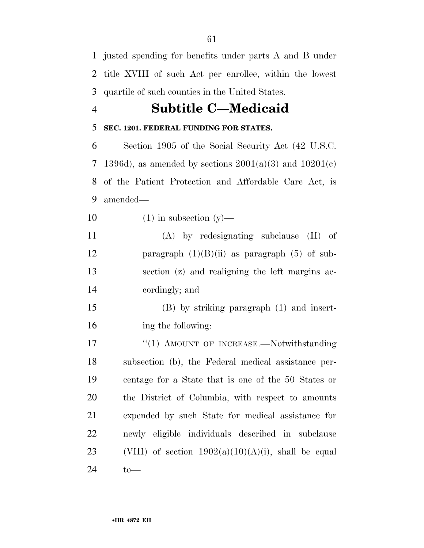justed spending for benefits under parts A and B under title XVIII of such Act per enrollee, within the lowest quartile of such counties in the United States.

## **Subtitle C—Medicaid**

## **SEC. 1201. FEDERAL FUNDING FOR STATES.**

 Section 1905 of the Social Security Act (42 U.S.C. 7 1396d), as amended by sections  $2001(a)(3)$  and  $10201(c)$  of the Patient Protection and Affordable Care Act, is amended—

10  $(1)$  in subsection  $(y)$ —

 (A) by redesignating subclause (II) of 12 paragraph  $(1)(B)(ii)$  as paragraph  $(5)$  of sub- section (z) and realigning the left margins ac-cordingly; and

 (B) by striking paragraph (1) and insert-ing the following:

17 "(1) AMOUNT OF INCREASE.—Notwithstanding subsection (b), the Federal medical assistance per- centage for a State that is one of the 50 States or the District of Columbia, with respect to amounts expended by such State for medical assistance for newly eligible individuals described in subclause 23 (VIII) of section  $1902(a)(10)(A)(i)$ , shall be equal to—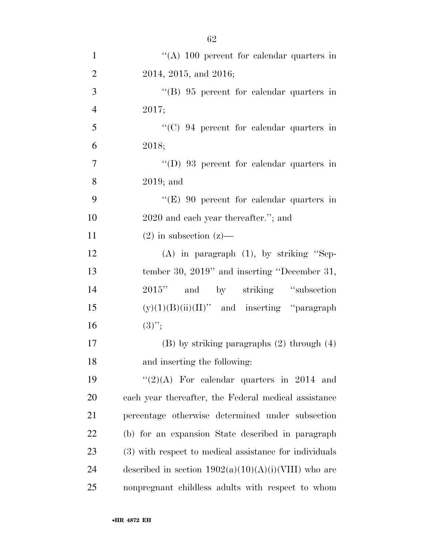| $\mathbf{1}$   | "(A) 100 percent for calendar quarters in              |
|----------------|--------------------------------------------------------|
| $\overline{2}$ | 2014, 2015, and 2016;                                  |
| 3              | $\lq\lq (B)$ 95 percent for calendar quarters in       |
| $\overline{4}$ | 2017;                                                  |
| 5              | $\lq\lq$ (C) 94 percent for calendar quarters in       |
| 6              | 2018;                                                  |
| $\overline{7}$ | $\lq\lq$ (D) 93 percent for calendar quarters in       |
| 8              | $2019$ ; and                                           |
| 9              | " $(E)$ 90 percent for calendar quarters in            |
| 10             | 2020 and each year thereafter."; and                   |
| 11             | $(2)$ in subsection $(z)$ —                            |
| 12             | $(A)$ in paragraph $(1)$ , by striking "Sep-           |
| 13             | tember 30, 2019" and inserting "December 31,           |
| 14             | and by striking "subsection"<br>2015"                  |
| 15             | $(y)(1)(B)(ii)(II)$ " and inserting "paragraph"        |
| 16             | $(3)$ ";                                               |
| 17             | $(B)$ by striking paragraphs $(2)$ through $(4)$       |
| 18             | and inserting the following:                           |
| 19             | " $(2)(A)$ For calendar quarters in 2014 and           |
| 20             | each year thereafter, the Federal medical assistance   |
| 21             | percentage otherwise determined under subsection       |
| 22             | (b) for an expansion State described in paragraph      |
| 23             | (3) with respect to medical assistance for individuals |
| 24             | described in section $1902(a)(10)(A)(i)(VIII)$ who are |
| 25             | nonpregnant childless adults with respect to whom      |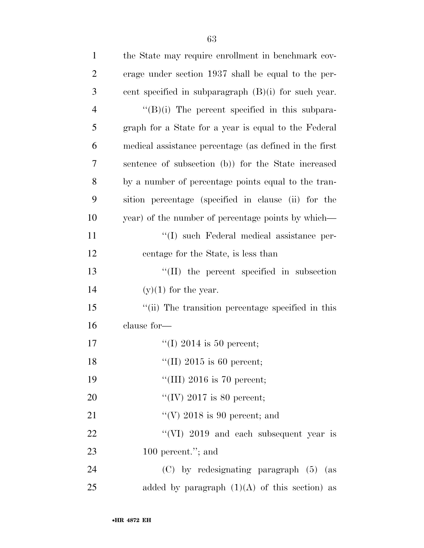| $\mathbf{1}$   | the State may require enrollment in benchmark cov-     |
|----------------|--------------------------------------------------------|
| $\overline{2}$ | erage under section 1937 shall be equal to the per-    |
| 3              | cent specified in subparagraph $(B)(i)$ for such year. |
| $\overline{4}$ | $\lq\lq(B)(i)$ The percent specified in this subpara-  |
| 5              | graph for a State for a year is equal to the Federal   |
| 6              | medical assistance percentage (as defined in the first |
| 7              | sentence of subsection (b)) for the State increased    |
| 8              | by a number of percentage points equal to the tran-    |
| 9              | sition percentage (specified in clause (ii) for the    |
| 10             | year) of the number of percentage points by which—     |
| 11             | "(I) such Federal medical assistance per-              |
| 12             | centage for the State, is less than                    |
| 13             | $\lq\lq$ (II) the percent specified in subsection      |
| 14             | $(y)(1)$ for the year.                                 |
| 15             | "(ii) The transition percentage specified in this      |
| 16             | clause for-                                            |
| 17             | "(I) 2014 is 50 percent;                               |
| 18             | "(II) 2015 is 60 percent;                              |
| 19             | "(III) 2016 is 70 percent;                             |
| 20             | "(IV) 2017 is 80 percent;                              |
| 21             | "(V) 2018 is 90 percent; and                           |
| 22             | "(VI) 2019 and each subsequent year is                 |
| 23             | 100 percent."; and                                     |
| 24             | $(C)$ by redesignating paragraph $(5)$ (as             |
| 25             | added by paragraph $(1)(A)$ of this section) as        |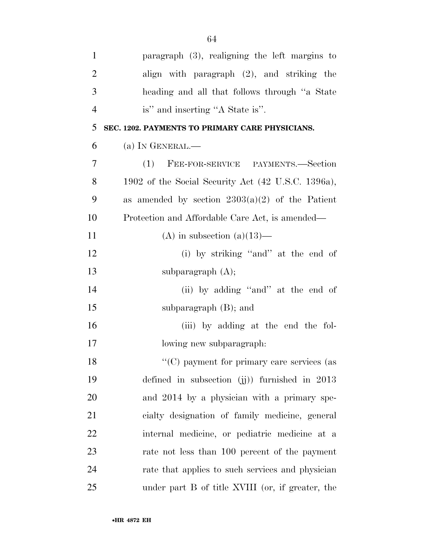| $\mathbf{1}$   | paragraph $(3)$ , realigning the left margins to   |
|----------------|----------------------------------------------------|
| $\overline{2}$ | align with paragraph (2), and striking the         |
| 3              | heading and all that follows through "a State"     |
| $\overline{4}$ | is" and inserting "A State is".                    |
| 5              | SEC. 1202. PAYMENTS TO PRIMARY CARE PHYSICIANS.    |
| 6              | (a) IN GENERAL.—                                   |
| 7              | FEE-FOR-SERVICE PAYMENTS.-Section<br>(1)           |
| 8              | 1902 of the Social Security Act (42 U.S.C. 1396a), |
| 9              | as amended by section $2303(a)(2)$ of the Patient  |
| 10             | Protection and Affordable Care Act, is amended—    |
| 11             | (A) in subsection (a) $(13)$ —                     |
| 12             | (i) by striking "and" at the end of                |
| 13             | subparagraph $(A)$ ;                               |
| 14             | (ii) by adding "and" at the end of                 |
| 15             | subparagraph $(B)$ ; and                           |
| 16             | (iii) by adding at the end the fol-                |
| 17             | lowing new subparagraph:                           |
| 18             | "(C) payment for primary care services (as         |
| 19             | defined in subsection $(jj)$ furnished in 2013     |
| 20             | and 2014 by a physician with a primary spe-        |
| 21             | cialty designation of family medicine, general     |
| 22             | internal medicine, or pediatric medicine at a      |
| 23             | rate not less than 100 percent of the payment      |
| 24             | rate that applies to such services and physician   |
| 25             | under part B of title XVIII (or, if greater, the   |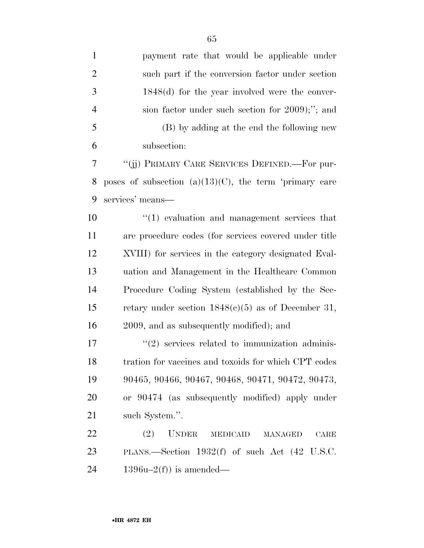| $\mathbf{1}$   | payment rate that would be applicable under                      |
|----------------|------------------------------------------------------------------|
| $\overline{2}$ | such part if the conversion factor under section                 |
| 3              | $1848(d)$ for the year involved were the conver-                 |
| $\overline{4}$ | sion factor under such section for 2009);"; and                  |
| 5              | (B) by adding at the end the following new                       |
| 6              | subsection:                                                      |
| 7              | "(ij) PRIMARY CARE SERVICES DEFINED.—For pur-                    |
| 8              | poses of subsection $(a)(13)(C)$ , the term 'primary care        |
| 9              | services' means-                                                 |
| 10             | $"(1)$ evaluation and management services that                   |
| 11             | are procedure codes (for services covered under title            |
| 12             | XVIII) for services in the category designated Eval-             |
| 13             | uation and Management in the Healthcare Common                   |
| 14             | Procedure Coding System (established by the Sec-                 |
| 15             | retary under section $1848(c)(5)$ as of December 31,             |
| 16             | 2009, and as subsequently modified); and                         |
| 17             | $\lq(2)$ services related to immunization adminis-               |
| 18             | tration for vaccines and toxoids for which CPT codes             |
| 19             | 90465, 90466, 90467, 90468, 90471, 90472, 90473,                 |
| 20             | or 90474 (as subsequently modified) apply under                  |
| 21             | such System.".                                                   |
| 22             | (2)<br><b>UNDER</b><br><b>MEDICAID</b><br>CARE<br><b>MANAGED</b> |
| 23             | PLANS.—Section $1932(f)$ of such Act $(42 \text{ U.S.C.})$       |
| 24             | $1396u-2(f)$ is amended—                                         |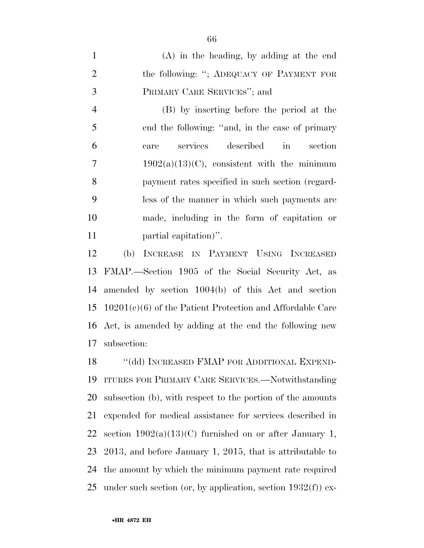(A) in the heading, by adding at the end 2 the following: "; ADEQUACY OF PAYMENT FOR PRIMARY CARE SERVICES''; and

 (B) by inserting before the period at the end the following: ''and, in the case of primary care services described in section 7 1902(a)(13)(C), consistent with the minimum payment rates specified in such section (regard- less of the manner in which such payments are made, including in the form of capitation or partial capitation)''.

 (b) INCREASE IN PAYMENT USING INCREASED FMAP.—Section 1905 of the Social Security Act, as amended by section 1004(b) of this Act and section 10201(c)(6) of the Patient Protection and Affordable Care Act, is amended by adding at the end the following new subsection:

18 "(dd) INCREASED FMAP FOR ADDITIONAL EXPEND- ITURES FOR PRIMARY CARE SERVICES.—Notwithstanding subsection (b), with respect to the portion of the amounts expended for medical assistance for services described in 22 section  $1902(a)(13)(C)$  furnished on or after January 1, 2013, and before January 1, 2015, that is attributable to the amount by which the minimum payment rate required 25 under such section (or, by application, section  $1932(f)$ ) ex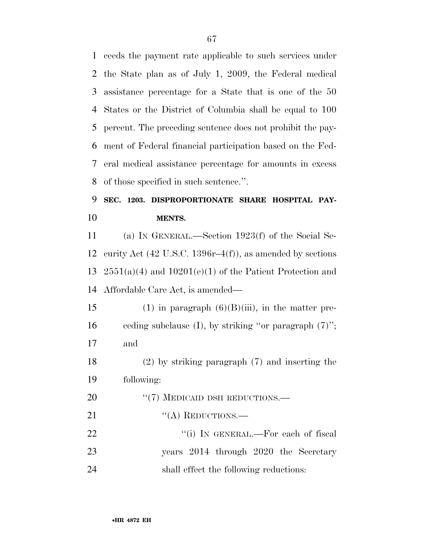ceeds the payment rate applicable to such services under the State plan as of July 1, 2009, the Federal medical assistance percentage for a State that is one of the 50 States or the District of Columbia shall be equal to 100 percent. The preceding sentence does not prohibit the pay- ment of Federal financial participation based on the Fed- eral medical assistance percentage for amounts in excess of those specified in such sentence.''.

# **SEC. 1203. DISPROPORTIONATE SHARE HOSPITAL PAY-MENTS.**

 (a) IN GENERAL.—Section 1923(f) of the Social Se- curity Act (42 U.S.C. 1396r–4(f)), as amended by sections  $2551(a)(4)$  and  $10201(e)(1)$  of the Patient Protection and Affordable Care Act, is amended—

15 (1) in paragraph  $(6)(B)(iii)$ , in the matter pre- ceding subclause (I), by striking ''or paragraph (7)''; and

 (2) by striking paragraph (7) and inserting the following:

20 "(7) MEDICAID DSH REDUCTIONS.— 21 "(A) REDUCTIONS.—

22 "(i) In GENERAL.—For each of fiscal years 2014 through 2020 the Secretary shall effect the following reductions: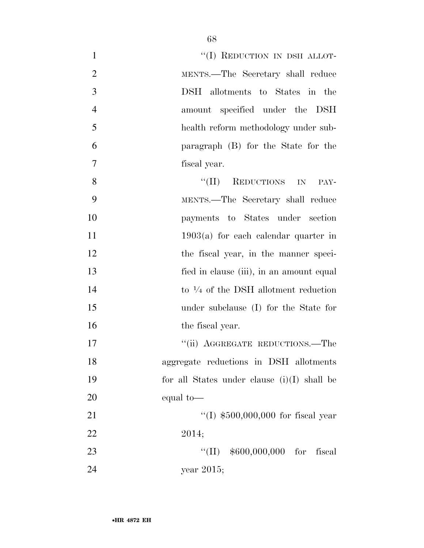| $\mathbf{1}$   | "(I) REDUCTION IN DSH ALLOT-                    |
|----------------|-------------------------------------------------|
| $\overline{2}$ | MENTS.—The Secretary shall reduce               |
| 3              | DSH allotments to States in the                 |
| $\overline{4}$ | amount specified under the DSH                  |
| 5              | health reform methodology under sub-            |
| 6              | paragraph (B) for the State for the             |
| 7              | fiscal year.                                    |
| 8              | "(II) REDUCTIONS IN<br>PAY-                     |
| 9              | MENTS.—The Secretary shall reduce               |
| 10             | payments to States under section                |
| 11             | $1903(a)$ for each calendar quarter in          |
| 12             | the fiscal year, in the manner speci-           |
| 13             | fied in clause (iii), in an amount equal        |
| 14             | to $\frac{1}{4}$ of the DSH allotment reduction |
| 15             | under subclause (I) for the State for           |
| 16             | the fiscal year.                                |
| 17             | "(ii) AGGREGATE REDUCTIONS.—The                 |
| 18             | aggregate reductions in DSH allotments          |
| 19             | for all States under clause $(i)(I)$ shall be   |
| 20             | equal to-                                       |
| 21             | "(I) $$500,000,000$ for fiscal year             |
| 22             | 2014;                                           |
| 23             | $``(II)$ \$600,000,000 for<br>fiscal            |
| 24             | year $2015$ ;                                   |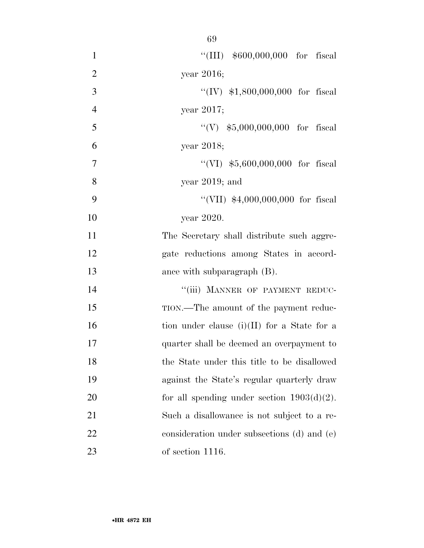| $\mathbf{1}$     | "(III) $$600,000,000$ for fiscal              |
|------------------|-----------------------------------------------|
| $\overline{2}$   | year 2016;                                    |
| 3                | "(IV) $$1,800,000,000$ for fiscal             |
| $\overline{4}$   | year $2017$ ;                                 |
| 5                | "(V) $$5,000,000,000$ for fiscal              |
| 6                | year 2018;                                    |
| $\boldsymbol{7}$ | "(VI) $$5,600,000,000$ for fiscal             |
| 8                | year $2019$ ; and                             |
| 9                | "(VII) $$4,000,000,000$ for fiscal            |
| 10               | year 2020.                                    |
| 11               | The Secretary shall distribute such aggre-    |
| 12               | gate reductions among States in accord-       |
| 13               | ance with subparagraph $(B)$ .                |
| 14               | "(iii) MANNER OF PAYMENT REDUC-               |
| 15               | TION.—The amount of the payment reduc-        |
| 16               | tion under clause (i)(II) for a State for a   |
| 17               | quarter shall be deemed an overpayment to     |
| 18               | the State under this title to be disallowed   |
| 19               | against the State's regular quarterly draw    |
| 20               | for all spending under section $1903(d)(2)$ . |
| 21               | Such a disallowance is not subject to a re-   |
| 22               | consideration under subsections (d) and (e)   |
| 23               | of section 1116.                              |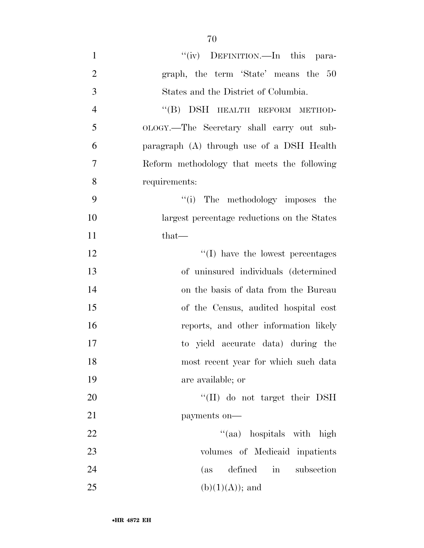| $\mathbf{1}$   | "(iv) DEFINITION.—In this para-             |
|----------------|---------------------------------------------|
| $\overline{2}$ | graph, the term 'State' means the 50        |
| 3              | States and the District of Columbia.        |
| $\overline{4}$ | "(B) DSH HEALTH REFORM METHOD-              |
| 5              | OLOGY.—The Secretary shall carry out sub-   |
| 6              | paragraph (A) through use of a DSH Health   |
| $\overline{7}$ | Reform methodology that meets the following |
| 8              | requirements:                               |
| 9              | "(i) The methodology imposes the            |
| 10             | largest percentage reductions on the States |
| 11             | $that-$                                     |
| 12             | $\lq\lq$ (I) have the lowest percentages    |
| 13             | of uninsured individuals (determined        |
| 14             | on the basis of data from the Bureau        |
| 15             | of the Census, audited hospital cost        |
| 16             | reports, and other information likely       |
| 17             | to yield accurate data) during the          |
| 18             | most recent year for which such data        |
| 19             | are available; or                           |
| 20             | "(II) do not target their DSH               |
| 21             | payments on-                                |
| 22             | "(aa) hospitals with high                   |
| 23             | volumes of Medicaid inpatients              |
| 24             | defined<br>in subsection<br>(as             |
| $25\,$         | $(b)(1)(A));$ and                           |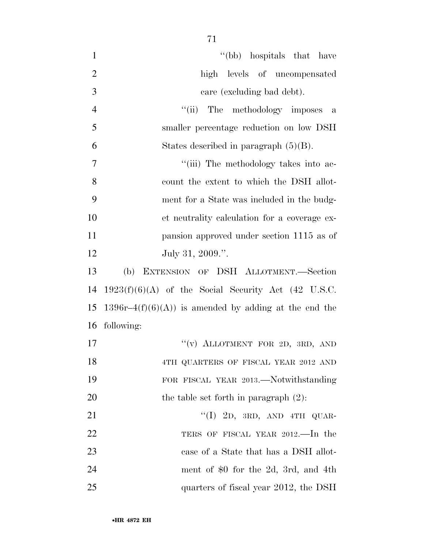1 ''(bb) hospitals that have high levels of uncompensated care (excluding bad debt). 4 "(ii) The methodology imposes a smaller percentage reduction on low DSH 6 States described in paragraph  $(5)(B)$ .  $\frac{1}{1}$  The methodology takes into ac- count the extent to which the DSH allot- ment for a State was included in the budg- et neutrality calculation for a coverage ex- pansion approved under section 1115 as of 12 July 31, 2009.". (b) EXTENSION OF DSH ALLOTMENT.—Section

14 1923(f)(6)(A) of the Social Security Act (42 U.S.C. 15 1396r–4 $(f)(6)(A)$  is amended by adding at the end the 16 following:

- 17  $''(v)$  ALLOTMENT FOR 2D, 3RD, AND 18 4TH QUARTERS OF FISCAL YEAR 2012 AND 19 FOR FISCAL YEAR 2013.—Notwithstanding 20 the table set forth in paragraph  $(2)$ :  $21$  "(I) 2D, 3RD, AND 4TH QUAR-22 TERS OF FISCAL YEAR 2012.—In the 23 case of a State that has a DSH allot-
- 24 ment of \$0 for the 2d, 3rd, and 4th 25 quarters of fiscal year 2012, the DSH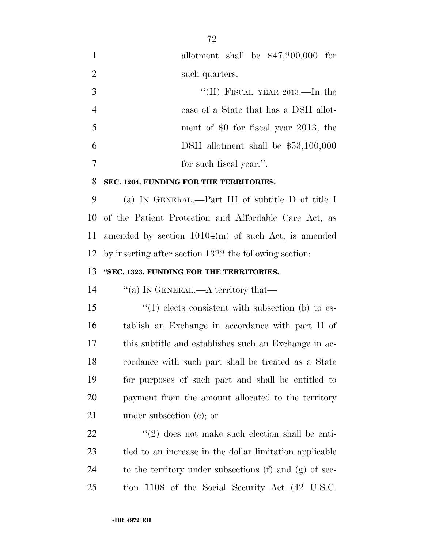allotment shall be \$47,200,000 for 2 such quarters.

 $\frac{3}{11}$  FISCAL YEAR 2013.—In the case of a State that has a DSH allot- ment of \$0 for fiscal year 2013, the DSH allotment shall be \$53,100,000 for such fiscal year.''.

#### **SEC. 1204. FUNDING FOR THE TERRITORIES.**

 (a) IN GENERAL.—Part III of subtitle D of title I of the Patient Protection and Affordable Care Act, as amended by section 10104(m) of such Act, is amended by inserting after section 1322 the following section:

### **''SEC. 1323. FUNDING FOR THE TERRITORIES.**

14 "(a) In GENERAL.—A territory that—

 ''(1) elects consistent with subsection (b) to es- tablish an Exchange in accordance with part II of this subtitle and establishes such an Exchange in ac- cordance with such part shall be treated as a State for purposes of such part and shall be entitled to payment from the amount allocated to the territory under subsection (c); or

22 ''(2) does not make such election shall be enti- tled to an increase in the dollar limitation applicable to the territory under subsections (f) and (g) of sec-tion 1108 of the Social Security Act (42 U.S.C.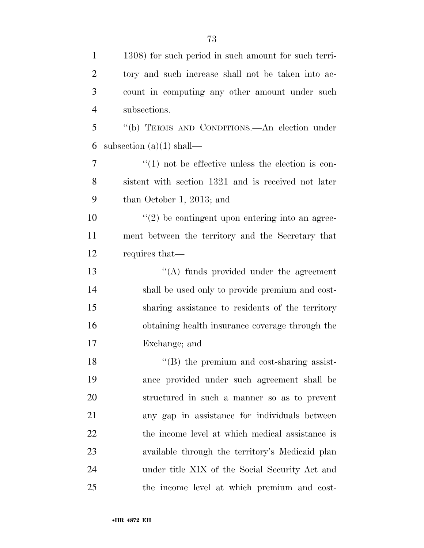''(b) TERMS AND CONDITIONS.—An election under 6 subsection  $(a)(1)$  shall—

7  $\frac{1}{1}$  not be effective unless the election is con- sistent with section 1321 and is received not later than October 1, 2013; and

 $(2)$  be contingent upon entering into an agree- ment between the territory and the Secretary that requires that—

13 ''(A) funds provided under the agreement shall be used only to provide premium and cost- sharing assistance to residents of the territory obtaining health insurance coverage through the Exchange; and

18 ''(B) the premium and cost-sharing assist- ance provided under such agreement shall be structured in such a manner so as to prevent any gap in assistance for individuals between 22 the income level at which medical assistance is available through the territory's Medicaid plan under title XIX of the Social Security Act and the income level at which premium and cost-

subsections.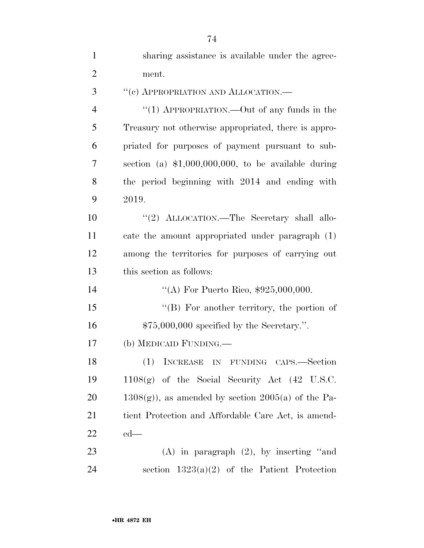| $\mathbf{1}$   | sharing assistance is available under the agree-           |
|----------------|------------------------------------------------------------|
| $\overline{2}$ | ment.                                                      |
| 3              | "(c) APPROPRIATION AND ALLOCATION.-                        |
| $\overline{4}$ | "(1) APPROPRIATION.—Out of any funds in the                |
| 5              | Treasury not otherwise appropriated, there is appro-       |
| 6              | priated for purposes of payment pursuant to sub-           |
| 7              | section (a) $$1,000,000,000$ , to be available during      |
| 8              | the period beginning with 2014 and ending with             |
| 9              | 2019.                                                      |
| 10             | "(2) ALLOCATION.—The Secretary shall allo-                 |
| 11             | cate the amount appropriated under paragraph (1)           |
| 12             | among the territories for purposes of carrying out         |
| 13             | this section as follows:                                   |
| 14             | "(A) For Puerto Rico, $$925,000,000$ .                     |
| 15             | $\lq\lq (B)$ For another territory, the portion of         |
| 16             | $$75,000,000$ specified by the Secretary.".                |
| 17             | (b) MEDICAID FUNDING.—                                     |
| 18             | (1) INCREASE IN FUNDING CAPS.—Section                      |
| 19             | $1108(g)$ of the Social Security Act $(42 \text{ U.S.C.})$ |
| 20             | $1308(g)$ , as amended by section $2005(a)$ of the Pa-     |
| 21             | tient Protection and Affordable Care Act, is amend-        |
| 22             | $ed$ —                                                     |
| 23             | $(A)$ in paragraph $(2)$ , by inserting "and               |
| 24             | section $1323(a)(2)$ of the Patient Protection             |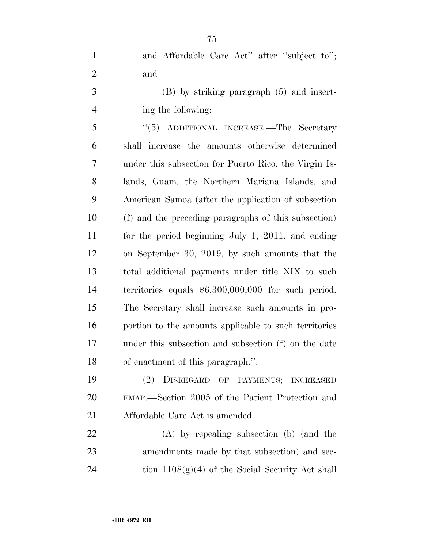1 and Affordable Care Act" after "subject to"; and

 (B) by striking paragraph (5) and insert-ing the following:

 ''(5) ADDITIONAL INCREASE.—The Secretary shall increase the amounts otherwise determined under this subsection for Puerto Rico, the Virgin Is- lands, Guam, the Northern Mariana Islands, and American Samoa (after the application of subsection (f) and the preceding paragraphs of this subsection) for the period beginning July 1, 2011, and ending on September 30, 2019, by such amounts that the total additional payments under title XIX to such territories equals \$6,300,000,000 for such period. The Secretary shall increase such amounts in pro- portion to the amounts applicable to such territories under this subsection and subsection (f) on the date of enactment of this paragraph.''.

 (2) DISREGARD OF PAYMENTS; INCREASED FMAP.—Section 2005 of the Patient Protection and Affordable Care Act is amended—

 (A) by repealing subsection (b) (and the amendments made by that subsection) and sec-24 tion  $1108(g)(4)$  of the Social Security Act shall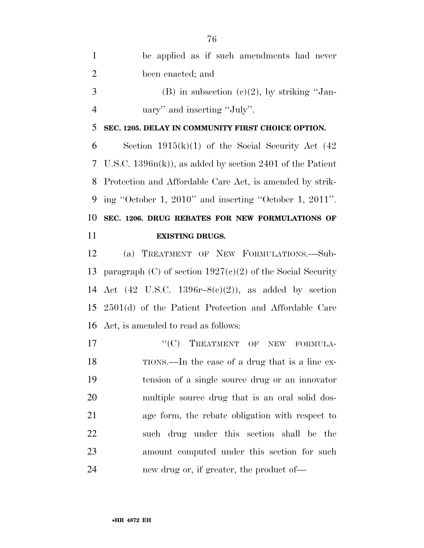| $\mathbf{1}$   | be applied as if such amendments had never                          |
|----------------|---------------------------------------------------------------------|
| $\overline{2}$ | been enacted; and                                                   |
| 3              | (B) in subsection (c)(2), by striking "Jan-                         |
| $\overline{4}$ | uary" and inserting "July".                                         |
| 5              | SEC. 1205. DELAY IN COMMUNITY FIRST CHOICE OPTION.                  |
| 6              | Section $1915(k)(1)$ of the Social Security Act (42)                |
| 7              | U.S.C. $1396n(k)$ , as added by section 2401 of the Patient         |
| 8              | Protection and Affordable Care Act, is amended by strik-            |
| 9              | ing "October 1, 2010" and inserting "October 1, 2011".              |
| 10             | SEC. 1206. DRUG REBATES FOR NEW FORMULATIONS OF                     |
| 11             | <b>EXISTING DRUGS.</b>                                              |
| 12             | (a) TREATMENT OF NEW FORMULATIONS.-Sub-                             |
|                |                                                                     |
| 13             | paragraph (C) of section $1927(c)(2)$ of the Social Security        |
|                | 14 Act $(42 \text{ U.S.C. } 1396r - 8(c)(2))$ , as added by section |
|                | 15 2501(d) of the Patient Protection and Affordable Care            |
| 16             | Act, is amended to read as follows:                                 |
| 17             | "(C) TREATMENT OF NEW FORMULA-                                      |
| 18             | TIONS.—In the case of a drug that is a line ex-                     |
| 19             | tension of a single source drug or an innovator                     |
| 20             | multiple source drug that is an oral solid dos-                     |
| 21             | age form, the rebate obligation with respect to                     |
| 22             | such drug under this section shall be the                           |
| 23             | amount computed under this section for such                         |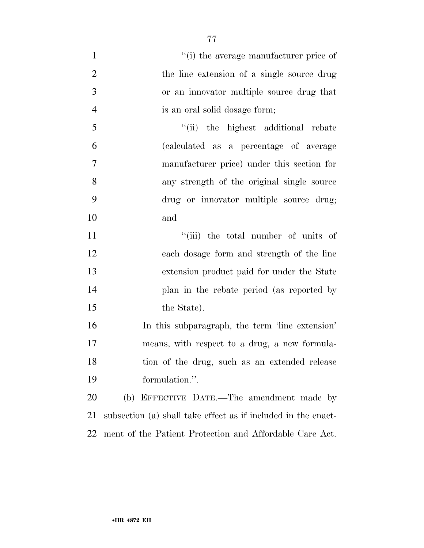$\frac{1}{1}$  the average manufacturer price of 2 the line extension of a single source drug or an innovator multiple source drug that is an oral solid dosage form; 5 ''(ii) the highest additional rebate (calculated as a percentage of average manufacturer price) under this section for any strength of the original single source drug or innovator multiple source drug; and 11 ''(iii) the total number of units of each dosage form and strength of the line extension product paid for under the State plan in the rebate period (as reported by 15 the State). In this subparagraph, the term 'line extension' means, with respect to a drug, a new formula- tion of the drug, such as an extended release formulation.''. (b) EFFECTIVE DATE.—The amendment made by

ment of the Patient Protection and Affordable Care Act.

subsection (a) shall take effect as if included in the enact-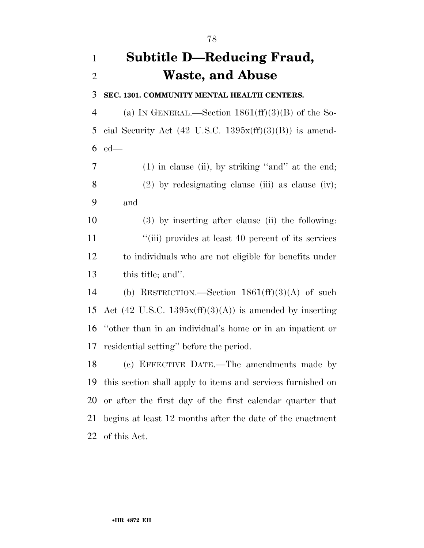## **Subtitle D—Reducing Fraud, Waste, and Abuse**

**SEC. 1301. COMMUNITY MENTAL HEALTH CENTERS.** 

4 (a) IN GENERAL.—Section  $1861(ff)(3)(B)$  of the So-5 cial Security Act  $(42 \text{ U.S.C. } 1395x\text{ (ff)}(3)(B))$  is amend-ed—

 (1) in clause (ii), by striking ''and'' at the end; 8 (2) by redesignating clause (iii) as clause (iv); and

 (3) by inserting after clause (ii) the following: 11 ''(iii) provides at least 40 percent of its services to individuals who are not eligible for benefits under this title; and''.

 (b) RESTRICTION.—Section 1861(ff)(3)(A) of such 15 Act (42 U.S.C. 1395 $x$ (ff)(3)(A)) is amended by inserting ''other than in an individual's home or in an inpatient or residential setting'' before the period.

 (c) EFFECTIVE DATE.—The amendments made by this section shall apply to items and services furnished on or after the first day of the first calendar quarter that begins at least 12 months after the date of the enactment of this Act.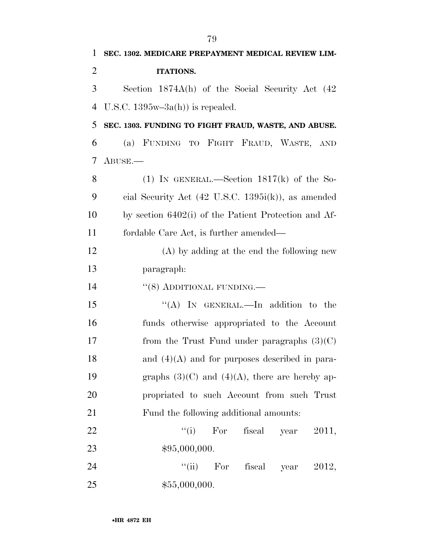| 1              | SEC. 1302. MEDICARE PREPAYMENT MEDICAL REVIEW LIM-             |
|----------------|----------------------------------------------------------------|
| $\overline{2}$ | <b>ITATIONS.</b>                                               |
| 3              | Section 1874A(h) of the Social Security Act (42                |
| 4              | U.S.C. $1395w-3a(h)$ is repealed.                              |
| 5              | SEC. 1303. FUNDING TO FIGHT FRAUD, WASTE, AND ABUSE.           |
| 6              | (a) FUNDING TO FIGHT FRAUD, WASTE, AND                         |
| 7              | $ABUSE$ .                                                      |
| 8              | (1) IN GENERAL.—Section $1817(k)$ of the So-                   |
| 9              | cial Security Act $(42 \text{ U.S.C. } 1395i(k))$ , as amended |
| 10             | by section 6402(i) of the Patient Protection and Af-           |
| 11             | fordable Care Act, is further amended—                         |
| 12             | $(A)$ by adding at the end the following new                   |
| 13             | paragraph:                                                     |
| 14             | $\cdot\cdot$ (8) ADDITIONAL FUNDING.—                          |
| 15             | "(A) IN GENERAL.—In addition to the                            |
| 16             | funds otherwise appropriated to the Account                    |
| 17             | from the Trust Fund under paragraphs $(3)(C)$                  |
| 18             | and $(4)(A)$ and for purposes described in para-               |
| 19             | graphs $(3)(C)$ and $(4)(A)$ , there are hereby ap-            |
| 20             | propriated to such Account from such Trust                     |
| 21             | Fund the following additional amounts:                         |
| 22             | $f'(i)$ For<br>fiscal year<br>2011,                            |
| 23             | \$95,000,000.                                                  |
| 24             | ``(ii)<br>fiscal year<br>For<br>2012,                          |
| 25             | \$55,000,000.                                                  |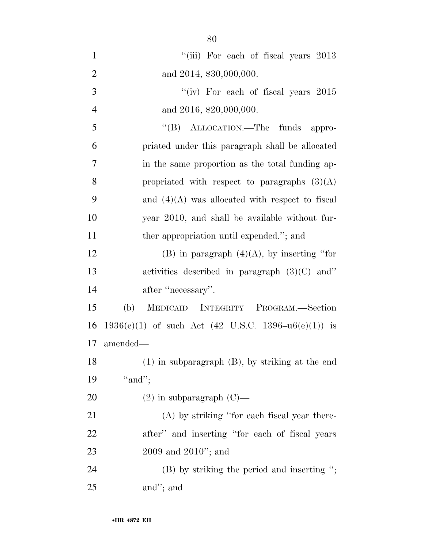| $\mathbf{1}$   | "(iii) For each of fiscal years 2013                    |
|----------------|---------------------------------------------------------|
| $\overline{2}$ | and 2014, \$30,000,000.                                 |
| 3              | "(iv) For each of fiscal years 2015                     |
| $\overline{4}$ | and 2016, \$20,000,000.                                 |
| 5              | "(B) ALLOCATION.—The funds appro-                       |
| 6              | priated under this paragraph shall be allocated         |
| 7              | in the same proportion as the total funding ap-         |
| 8              | propriated with respect to paragraphs $(3)(A)$          |
| 9              | and $(4)(A)$ was allocated with respect to fiscal       |
| 10             | year 2010, and shall be available without fur-          |
| 11             | ther appropriation until expended."; and                |
| 12             | $(B)$ in paragraph $(4)(A)$ , by inserting "for         |
| 13             | activities described in paragraph $(3)(C)$ and"         |
| 14             | after "necessary".                                      |
| 15             | MEDICAID INTEGRITY PROGRAM.-Section<br>(b)              |
| 16             | 1936(e)(1) of such Act (42 U.S.C. 1396– $u6(e)(1)$ ) is |
| 17             | amended—                                                |
| 18             | $(1)$ in subparagraph $(B)$ , by striking at the end    |
| 19             | "and";                                                  |
| 20             | $(2)$ in subparagraph $(C)$ —                           |
| 21             | $(A)$ by striking "for each fiscal year there-          |
| 22             | after" and inserting "for each of fiscal years          |
| 23             | $2009$ and $2010$ "; and                                |
| 24             | $(B)$ by striking the period and inserting ";           |
| 25             | and"; and                                               |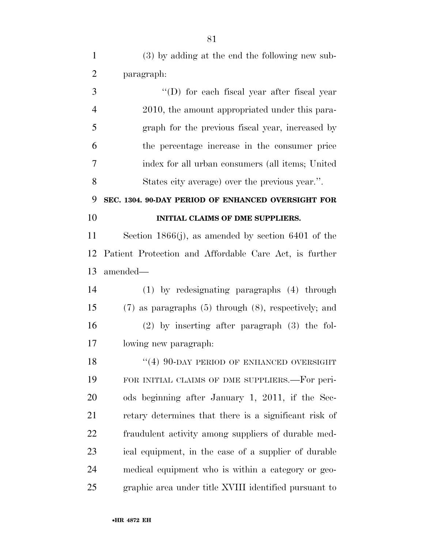(3) by adding at the end the following new sub-paragraph:

 ''(D) for each fiscal year after fiscal year 2010, the amount appropriated under this para- graph for the previous fiscal year, increased by the percentage increase in the consumer price index for all urban consumers (all items; United States city average) over the previous year.''.

### **SEC. 1304. 90-DAY PERIOD OF ENHANCED OVERSIGHT FOR INITIAL CLAIMS OF DME SUPPLIERS.**

 Section 1866(j), as amended by section 6401 of the Patient Protection and Affordable Care Act, is further amended—

 (1) by redesignating paragraphs (4) through (7) as paragraphs (5) through (8), respectively; and (2) by inserting after paragraph (3) the fol-lowing new paragraph:

18 "(4) 90-DAY PERIOD OF ENHANCED OVERSIGHT FOR INITIAL CLAIMS OF DME SUPPLIERS.—For peri- ods beginning after January 1, 2011, if the Sec- retary determines that there is a significant risk of fraudulent activity among suppliers of durable med- ical equipment, in the case of a supplier of durable medical equipment who is within a category or geo-graphic area under title XVIII identified pursuant to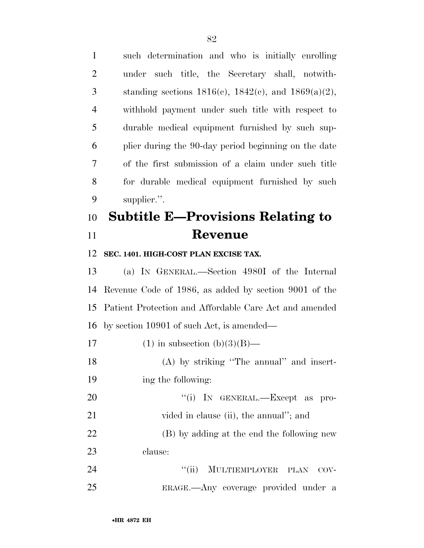such determination and who is initially enrolling under such title, the Secretary shall, notwith-3 standing sections  $1816(c)$ ,  $1842(c)$ , and  $1869(a)(2)$ , withhold payment under such title with respect to durable medical equipment furnished by such sup- plier during the 90-day period beginning on the date of the first submission of a claim under such title for durable medical equipment furnished by such supplier.''.

# **Subtitle E—Provisions Relating to Revenue**

#### **SEC. 1401. HIGH-COST PLAN EXCISE TAX.**

 (a) IN GENERAL.—Section 4980I of the Internal Revenue Code of 1986, as added by section 9001 of the Patient Protection and Affordable Care Act and amended by section 10901 of such Act, is amended—

- 17 (1) in subsection  $(b)(3)(B)$ —
- (A) by striking ''The annual'' and insert-ing the following:

20  $\text{``(i)}$  In GENERAL.—Except as pro-21 vided in clause (ii), the annual"; and

 (B) by adding at the end the following new clause:

24 "(ii) MULTIEMPLOYER PLAN COV-ERAGE.—Any coverage provided under a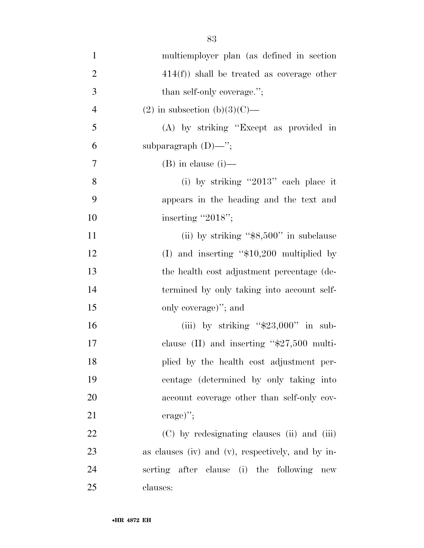| $\mathbf{1}$   | multiemployer plan (as defined in section             |
|----------------|-------------------------------------------------------|
| $\overline{2}$ | $414(f)$ ) shall be treated as coverage other         |
| 3              | than self-only coverage.";                            |
| $\overline{4}$ | (2) in subsection (b)(3)(C)—                          |
| 5              | (A) by striking "Except as provided in                |
| 6              | subparagraph $(D)$ —";                                |
| 7              | $(B)$ in clause $(i)$ —                               |
| 8              | (i) by striking "2013" each place it                  |
| 9              | appears in the heading and the text and               |
| 10             | inserting "2018";                                     |
| 11             | (ii) by striking " $$8,500"$ in subclause             |
| 12             | (I) and inserting " $$10,200$ multiplied by           |
| 13             | the health cost adjustment percentage (de-            |
| 14             | termined by only taking into account self-            |
| 15             | only coverage)"; and                                  |
| 16             | (iii) by striking " $$23,000"$ in sub-                |
| 17             | clause (II) and inserting " $$27,500$ multi-          |
| 18             | plied by the health cost adjustment per-              |
| 19             | centage (determined by only taking into               |
| 20             | account coverage other than self-only cov-            |
| 21             | $\text{erage})$ ";                                    |
| 22             | (C) by redesignating clauses (ii) and (iii)           |
| 23             | as clauses (iv) and (v), respectively, and by in-     |
| 24             | serting after clause (i) the following<br>${\rm new}$ |
| 25             | clauses:                                              |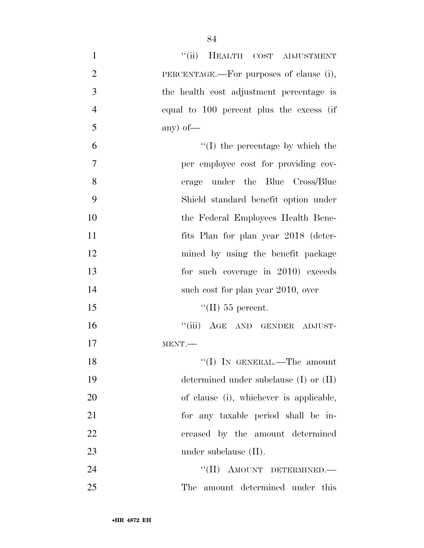| $\mathbf{1}$   | "(ii) HEALTH COST ADJUSTMENT               |
|----------------|--------------------------------------------|
| $\overline{2}$ | PERCENTAGE.—For purposes of clause (i),    |
| 3              | the health cost adjustment percentage is   |
| $\overline{4}$ | equal to 100 percent plus the excess (if   |
| 5              | any) of $-$                                |
| 6              | $\lq\lq$ (I) the percentage by which the   |
| 7              | per employee cost for providing cov-       |
| 8              | erage under the Blue Cross/Blue            |
| 9              | Shield standard benefit option under       |
| 10             | the Federal Employees Health Bene-         |
| 11             | fits Plan for plan year 2018 (deter-       |
| 12             | mined by using the benefit package         |
| 13             | for such coverage in 2010) exceeds         |
| 14             | such cost for plan year 2010, over         |
| 15             | "(II) 55 percent.                          |
| 16             | "(iii) AGE AND GENDER ADJUST-              |
| 17             | MENT.                                      |
| 18             | "(I) IN GENERAL.—The amount                |
| 19             | determined under subclause $(I)$ or $(II)$ |
| 20             | of clause (i), whichever is applicable,    |
| 21             | for any taxable period shall be in-        |
| 22             | creased by the amount determined           |
| 23             | under subclause $(II)$ .                   |
| 24             | "(II) AMOUNT DETERMINED.-                  |
| 25             | The amount determined under this           |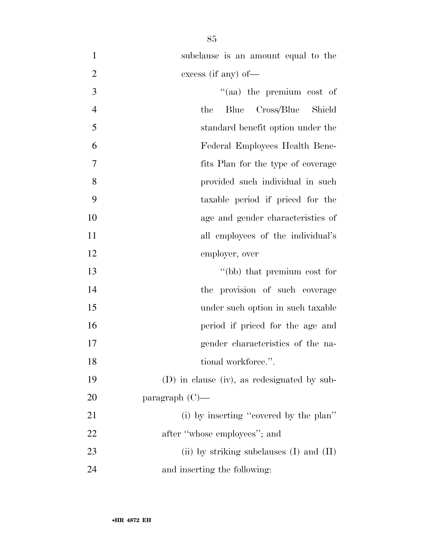| $\mathbf{1}$   | subclause is an amount equal to the          |
|----------------|----------------------------------------------|
| $\overline{2}$ | excess (if any) of $-$                       |
| 3              | "(aa) the premium cost of                    |
| $\overline{4}$ | Cross/Blue<br>Blue<br>Shield<br>the          |
| 5              | standard benefit option under the            |
| 6              | Federal Employees Health Bene-               |
| 7              | fits Plan for the type of coverage           |
| 8              | provided such individual in such             |
| 9              | taxable period if priced for the             |
| 10             | age and gender characteristics of            |
| 11             | all employees of the individual's            |
| 12             | employer, over                               |
| 13             | "(bb) that premium cost for                  |
| 14             | the provision of such coverage               |
| 15             | under such option in such taxable            |
| 16             | period if priced for the age and             |
| 17             | gender characteristics of the na-            |
| 18             | tional workforce.".                          |
| 19             | (D) in clause (iv), as redesignated by sub-  |
| 20             | paragraph $(C)$ —                            |
| 21             | (i) by inserting "covered by the plan"       |
| 22             | after "whose employees"; and                 |
| 23             | (ii) by striking subclauses $(I)$ and $(II)$ |
| 24             | and inserting the following:                 |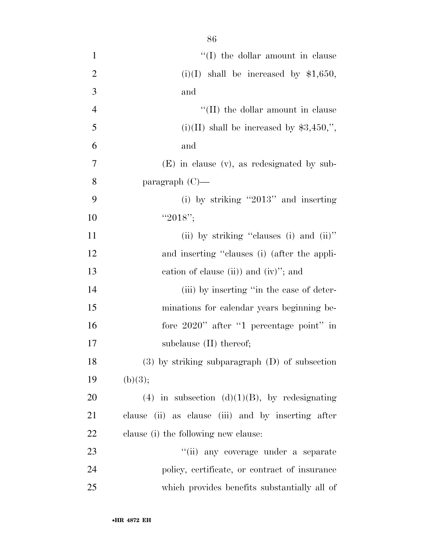| $\mathbf{1}$   | $``(I)$ the dollar amount in clause                |
|----------------|----------------------------------------------------|
| $\overline{2}$ | $(i)(I)$ shall be increased by \$1,650,            |
| 3              | and                                                |
| $\overline{4}$ | "(II) the dollar amount in clause                  |
| 5              | $(i)(II)$ shall be increased by \$3,450,",         |
| 6              | and                                                |
| $\overline{7}$ | $(E)$ in clause $(v)$ , as redesignated by sub-    |
| 8              | paragraph $(C)$ —                                  |
| 9              | (i) by striking "2013" and inserting               |
| 10             | " $2018$ ";                                        |
| 11             | (ii) by striking "clauses (i) and (ii)"            |
| 12             | and inserting "clauses (i) (after the appli-       |
| 13             | cation of clause (ii)) and (iv)"; and              |
| 14             | (iii) by inserting "in the case of deter-          |
| 15             | minations for calendar years beginning be-         |
| 16             | fore 2020" after "1 percentage point" in           |
| 17             | subclause $(II)$ thereof;                          |
| 18             | $(3)$ by striking subparagraph $(D)$ of subsection |
| 19             | (b)(3);                                            |
| 20             | (4) in subsection (d)(1)(B), by redesignating      |
| 21             | clause (ii) as clause (iii) and by inserting after |
| 22             | clause (i) the following new clause:               |
| 23             | "(ii) any coverage under a separate                |
| 24             | policy, certificate, or contract of insurance      |
| 25             | which provides benefits substantially all of       |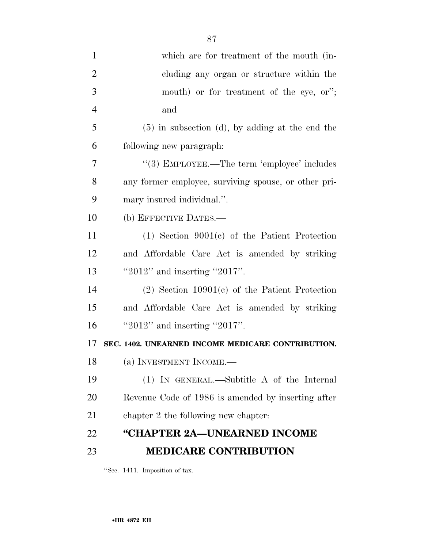| $\mathbf{1}$   | which are for treatment of the mouth (in-            |
|----------------|------------------------------------------------------|
| $\overline{2}$ | cluding any organ or structure within the            |
| 3              | mouth) or for treatment of the eye, or";             |
| $\overline{4}$ | and                                                  |
| 5              | $(5)$ in subsection (d), by adding at the end the    |
| 6              | following new paragraph:                             |
| 7              | "(3) EMPLOYEE.—The term 'employee' includes          |
| 8              | any former employee, surviving spouse, or other pri- |
| 9              | mary insured individual.".                           |
| 10             | (b) EFFECTIVE DATES.—                                |
| 11             | $(1)$ Section 9001 $(e)$ of the Patient Protection   |
| 12             | and Affordable Care Act is amended by striking       |
| 13             | " $2012"$ and inserting " $2017"$ .                  |
| 14             | $(2)$ Section 10901 $(e)$ of the Patient Protection  |
| 15             | and Affordable Care Act is amended by striking       |
| 16             | " $2012"$ and inserting " $2017"$ .                  |
| 17             | SEC. 1402. UNEARNED INCOME MEDICARE CONTRIBUTION.    |
| 18             | (a) INVESTMENT INCOME.—                              |
| 19             | (1) IN GENERAL.—Subtitle A of the Internal           |
| 20             | Revenue Code of 1986 is amended by inserting after   |
| 21             | chapter 2 the following new chapter:                 |
| 22             | "CHAPTER 2A—UNEARNED INCOME                          |
| 23             | <b>MEDICARE CONTRIBUTION</b>                         |

''Sec. 1411. Imposition of tax.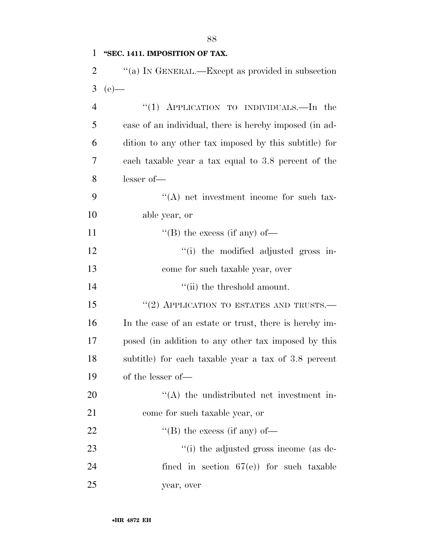### **''SEC. 1411. IMPOSITION OF TAX.**

| "(a) IN GENERAL.—Except as provided in subsection |
|---------------------------------------------------|
| 3 (e) —                                           |

| $\overline{4}$ | "(1) APPLICATION TO INDIVIDUALS.—In the                |
|----------------|--------------------------------------------------------|
| 5              | case of an individual, there is hereby imposed (in ad- |
| 6              | dition to any other tax imposed by this subtitle) for  |
| 7              | each taxable year a tax equal to 3.8 percent of the    |
| 8              | $lesser of$ —                                          |
| 9              | $\lq\lq$ net investment income for such tax-           |
| 10             | able year, or                                          |
| 11             | "(B) the excess (if any) of-                           |
| 12             | "(i) the modified adjusted gross in-                   |
| 13             | come for such taxable year, over                       |
| 14             | "(ii) the threshold amount.                            |
| 15             | "(2) APPLICATION TO ESTATES AND TRUSTS.—               |
| 16             | In the case of an estate or trust, there is hereby im- |
| 17             | posed (in addition to any other tax imposed by this    |
| 18             | subtitle) for each taxable year a tax of 3.8 percent   |
| 19             | of the lesser of—                                      |
| 20             | $\cdot$ (A) the undistributed net investment in-       |
| 21             | come for such taxable year, or                         |
| 22             | $\lq$ (B) the excess (if any) of —                     |
| 23             | "(i) the adjusted gross income (as de-                 |
| 24             | fined in section $67(e)$ for such taxable              |
| 25             | year, over                                             |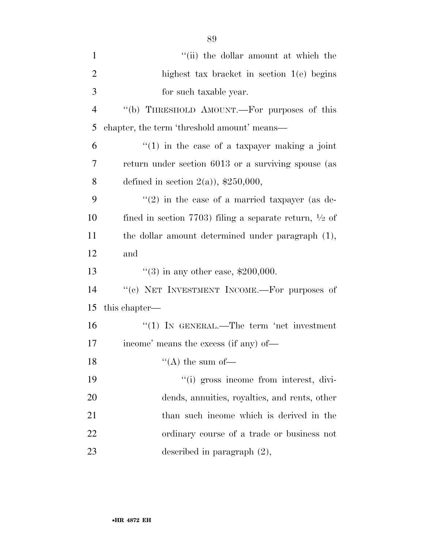| $\mathbf{1}$   | "(ii) the dollar amount at which the                              |
|----------------|-------------------------------------------------------------------|
| $\overline{2}$ | highest tax bracket in section $1(e)$ begins                      |
| 3              | for such taxable year.                                            |
| $\overline{4}$ | "(b) THRESHOLD AMOUNT.—For purposes of this                       |
| 5              | chapter, the term 'threshold amount' means—                       |
| 6              | $f(1)$ in the case of a taxpayer making a joint                   |
| 7              | return under section 6013 or a surviving spouse (as               |
| 8              | defined in section $2(a)$ , \$250,000,                            |
| 9              | $(2)$ in the case of a married taxpayer (as de-                   |
| 10             | fined in section 7703) filing a separate return, $\frac{1}{2}$ of |
| 11             | the dollar amount determined under paragraph (1),                 |
| 12             | and                                                               |
| 13             | $(3)$ in any other case, \$200,000.                               |
| 14             | "(c) NET INVESTMENT INCOME.-- For purposes of                     |
| 15             | this chapter—                                                     |
| 16             | $\lq(1)$ In GENERAL.—The term 'net investment                     |
| 17             | income' means the excess (if any) of—                             |
| 18             | "(A) the sum of-                                                  |
| 19             | "(i) gross income from interest, divi-                            |
| 20             | dends, annuities, royalties, and rents, other                     |
| 21             | than such income which is derived in the                          |
| 22             | ordinary course of a trade or business not                        |
| 23             | described in paragraph $(2)$ ,                                    |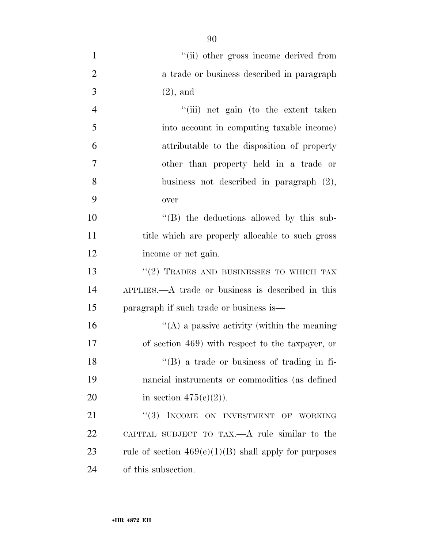| $\mathbf{1}$   | "(ii) other gross income derived from                   |
|----------------|---------------------------------------------------------|
| $\overline{2}$ | a trade or business described in paragraph              |
| 3              | $(2)$ , and                                             |
| $\overline{4}$ | "(iii) net gain (to the extent taken                    |
| 5              | into account in computing taxable income)               |
| 6              | attributable to the disposition of property             |
| $\overline{7}$ | other than property held in a trade or                  |
| 8              | business not described in paragraph $(2)$ ,             |
| 9              | over                                                    |
| 10             | "(B) the deductions allowed by this sub-                |
| 11             | title which are properly allocable to such gross        |
| 12             | income or net gain.                                     |
| 13             | $``(2)$ TRADES AND BUSINESSES TO WHICH TAX              |
| 14             | $APPLIES. \t— A trade or business is described in this$ |
| 15             | paragraph if such trade or business is—                 |
| 16             | $\lq\lq$ a passive activity (within the meaning         |
| 17             | of section 469) with respect to the taxpayer, or        |
| 18             | $\lq\lq$ (B) a trade or business of trading in fi-      |
| 19             | nancial instruments or commodities (as defined          |
| 20             | in section $475(e)(2)$ ).                               |
| 21             | INCOME ON INVESTMENT OF WORKING<br>(3)                  |
| 22             | CAPITAL SUBJECT TO TAX.—A rule similar to the           |
| 23             | rule of section $469(e)(1)(B)$ shall apply for purposes |
| 24             | of this subsection.                                     |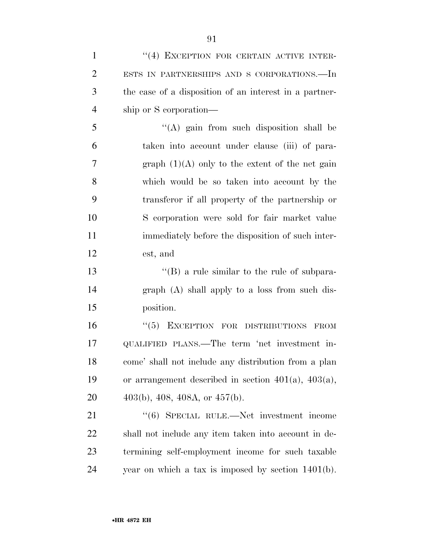| $\mathbf{1}$   | "(4) EXCEPTION FOR CERTAIN ACTIVE INTER-                  |
|----------------|-----------------------------------------------------------|
| $\overline{2}$ | ESTS IN PARTNERSHIPS AND S CORPORATIONS.-In               |
| 3              | the case of a disposition of an interest in a partner-    |
| $\overline{4}$ | ship or S corporation—                                    |
| 5              | $\lq\lq$ gain from such disposition shall be              |
| 6              | taken into account under clause (iii) of para-            |
| $\overline{7}$ | graph $(1)(A)$ only to the extent of the net gain         |
| 8              | which would be so taken into account by the               |
| 9              | transferor if all property of the partnership or          |
| 10             | S corporation were sold for fair market value             |
| 11             | immediately before the disposition of such inter-         |
| 12             | est, and                                                  |
| 13             | $\lq\lq (B)$ a rule similar to the rule of subpara-       |
| 14             | graph (A) shall apply to a loss from such dis-            |
| 15             | position.                                                 |
| 16             | "(5) EXCEPTION FOR DISTRIBUTIONS FROM                     |
| 17             | QUALIFIED PLANS.—The term 'net investment in-             |
| 18             | come' shall not include any distribution from a plan      |
| 19             | or arrangement described in section $401(a)$ , $403(a)$ , |
| 20             | $403(b)$ , $408$ , $408A$ , or $457(b)$ .                 |
| 21             | "(6) SPECIAL RULE.—Net investment income                  |
| 22             | shall not include any item taken into account in de-      |
| 23             | termining self-employment income for such taxable         |

year on which a tax is imposed by section 1401(b).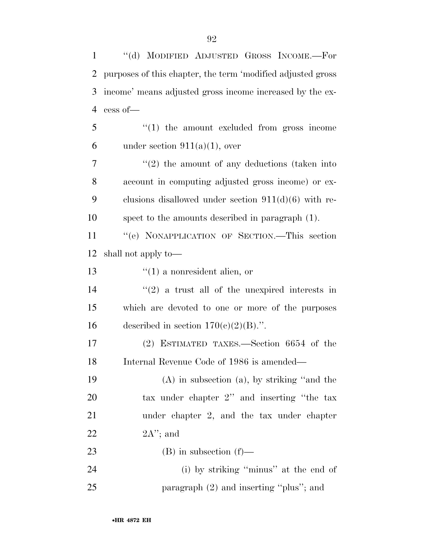1 ''(d) MODIFIED ADJUSTED GROSS INCOME.—For

| $\overline{2}$ | purposes of this chapter, the term 'modified adjusted gross |
|----------------|-------------------------------------------------------------|
| 3              | income' means adjusted gross income increased by the ex-    |
| $\overline{4}$ | cess of-                                                    |
| 5              | $"(1)$ the amount excluded from gross income                |
| 6              | under section $911(a)(1)$ , over                            |
| 7              | $f'(2)$ the amount of any deductions (taken into            |
| 8              | account in computing adjusted gross income) or ex-          |
| 9              | clusions disallowed under section $911(d)(6)$ with re-      |
| 10             | spect to the amounts described in paragraph (1).            |
| 11             | "(e) NONAPPLICATION OF SECTION.—This section                |
| 12             | shall not apply to—                                         |
| 13             | $f(1)$ a nonresident alien, or                              |
| 14             | $(2)$ a trust all of the unexpired interests in             |
| 15             | which are devoted to one or more of the purposes            |
| 16             | described in section $170(c)(2)(B)$ .".                     |
| 17             | (2) ESTIMATED TAXES.—Section 6654 of the                    |
| 18             | Internal Revenue Code of 1986 is amended—                   |
| 19             | $(A)$ in subsection $(a)$ , by striking "and the            |
| 20             | tax under chapter 2" and inserting "the tax                 |
| 21             | under chapter 2, and the tax under chapter                  |
| 22             | $2A$ "; and                                                 |
| 23             | $(B)$ in subsection $(f)$ —                                 |
| 24             | (i) by striking "minus" at the end of                       |
| 25             | paragraph (2) and inserting "plus"; and                     |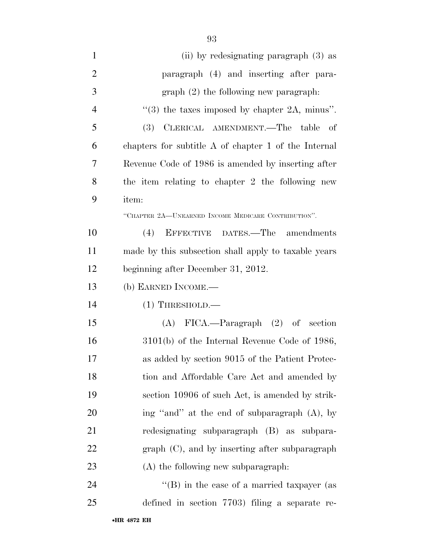| $\mathbf{1}$   | (ii) by redesignating paragraph (3) as                    |
|----------------|-----------------------------------------------------------|
| $\mathbf{2}$   | paragraph (4) and inserting after para-                   |
| 3              | $graph(2)$ the following new paragraph.                   |
| $\overline{4}$ | $\cdot\cdot$ (3) the taxes imposed by chapter 2A, minus". |
| 5              | CLERICAL AMENDMENT.—The table<br>(3)<br>- of              |
| 6              | chapters for subtitle A of chapter 1 of the Internal      |
| 7              | Revenue Code of 1986 is amended by inserting after        |
| 8              | the item relating to chapter 2 the following new          |
| 9              | item:                                                     |
|                | "CHAPTER 2A-UNEARNED INCOME MEDICARE CONTRIBUTION".       |
| 10             | (4)<br>EFFECTIVE DATES.—The amendments                    |
| 11             | made by this subsection shall apply to taxable years      |
| 12             | beginning after December 31, 2012.                        |
| 13             | (b) EARNED INCOME.—                                       |
| 14             | $(1)$ THRESHOLD.—                                         |
| 15             | $(A)$ FICA.—Paragraph $(2)$ of section                    |
| 16             | $3101(b)$ of the Internal Revenue Code of 1986,           |
| 17             | as added by section 9015 of the Patient Protec-           |
| 18             | tion and Affordable Care Act and amended by               |
| 19             | section 10906 of such Act, is amended by strik-           |
| 20             | ing "and" at the end of subparagraph (A), by              |
| 21             | redesignating subparagraph (B) as subpara-                |
| 22             | $graph (C)$ , and by inserting after subparagraph         |
| 23             | (A) the following new subparagraph:                       |
| 24             | "(B) in the case of a married taxpayer (as                |
|                |                                                           |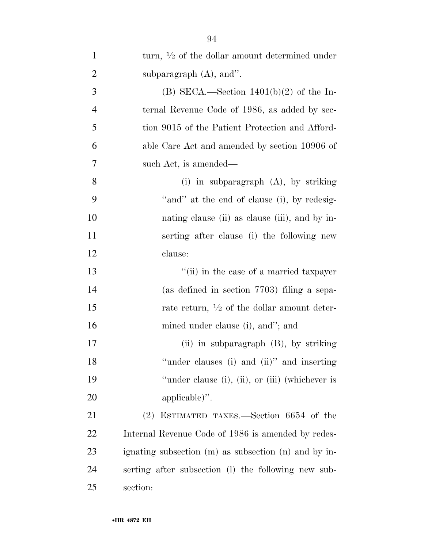| $\mathbf{1}$   | turn, $\frac{1}{2}$ of the dollar amount determined under |
|----------------|-----------------------------------------------------------|
| $\overline{2}$ | subparagraph $(A)$ , and".                                |
| 3              | (B) SECA.—Section $1401(b)(2)$ of the In-                 |
| $\overline{4}$ | ternal Revenue Code of 1986, as added by sec-             |
| 5              | tion 9015 of the Patient Protection and Afford-           |
| 6              | able Care Act and amended by section 10906 of             |
| 7              | such Act, is amended—                                     |
| 8              | (i) in subparagraph $(A)$ , by striking                   |
| 9              | "and" at the end of clause (i), by redesig-               |
| 10             | nating clause (ii) as clause (iii), and by in-            |
| 11             | serting after clause (i) the following new                |
| 12             | clause:                                                   |
| 13             | "(ii) in the case of a married taxpayer                   |
| 14             | (as defined in section 7703) filing a sepa-               |
| 15             | rate return, $\frac{1}{2}$ of the dollar amount deter-    |
| 16             | mined under clause (i), and"; and                         |
| 17             | (ii) in subparagraph (B), by striking                     |
| 18             | "under clauses (i) and (ii)" and inserting                |
| 19             | "under clause (i), (ii), or (iii) (whichever is           |
| 20             | applicable)".                                             |
| 21             | (2) ESTIMATED TAXES.—Section 6654 of the                  |
| 22             | Internal Revenue Code of 1986 is amended by redes-        |
| 23             | ignating subsection (m) as subsection (n) and by in-      |
| 24             | serting after subsection (1) the following new sub-       |
| 25             | section:                                                  |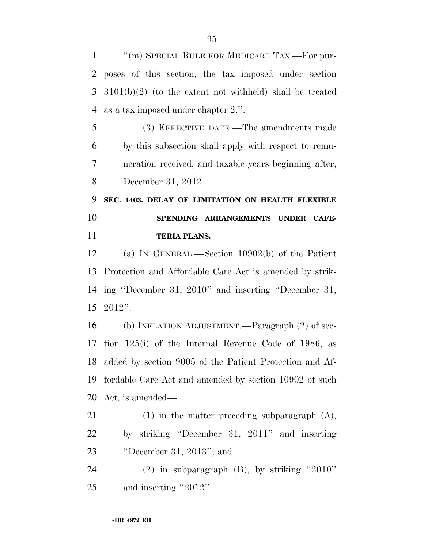''(m) SPECIAL RULE FOR MEDICARE TAX.—For pur- poses of this section, the tax imposed under section 3101(b)(2) (to the extent not withheld) shall be treated as a tax imposed under chapter 2.''.

 (3) EFFECTIVE DATE.—The amendments made by this subsection shall apply with respect to remu- neration received, and taxable years beginning after, December 31, 2012.

 **SEC. 1403. DELAY OF LIMITATION ON HEALTH FLEXIBLE SPENDING ARRANGEMENTS UNDER CAFE-TERIA PLANS.** 

 (a) IN GENERAL.—Section 10902(b) of the Patient Protection and Affordable Care Act is amended by strik- ing ''December 31, 2010'' and inserting ''December 31, 2012''.

 (b) INFLATION ADJUSTMENT.—Paragraph (2) of sec- tion 125(i) of the Internal Revenue Code of 1986, as added by section 9005 of the Patient Protection and Af- fordable Care Act and amended by section 10902 of such Act, is amended—

 (1) in the matter preceding subparagraph (A), by striking ''December 31, 2011'' and inserting ''December 31, 2013''; and

 (2) in subparagraph (B), by striking ''2010'' and inserting ''2012''.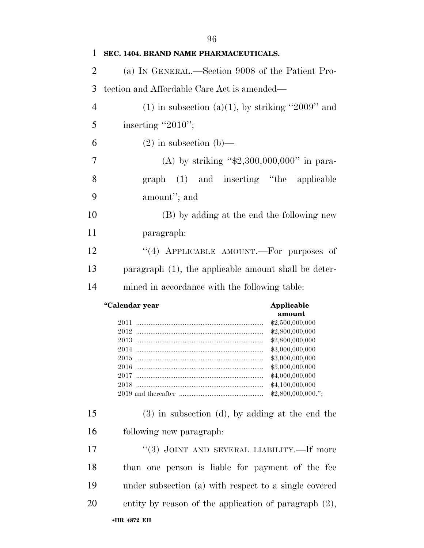| 1              | SEC. 1404. BRAND NAME PHARMACEUTICALS.                                                                                                                                                         |
|----------------|------------------------------------------------------------------------------------------------------------------------------------------------------------------------------------------------|
| $\overline{2}$ | (a) IN GENERAL.—Section 9008 of the Patient Pro-                                                                                                                                               |
| 3              | tection and Affordable Care Act is amended—                                                                                                                                                    |
| $\overline{4}$ | $(1)$ in subsection $(a)(1)$ , by striking "2009" and                                                                                                                                          |
| 5              | inserting "2010";                                                                                                                                                                              |
| 6              | $(2)$ in subsection $(b)$ —                                                                                                                                                                    |
| 7              | (A) by striking " $$2,300,000,000$ " in para-                                                                                                                                                  |
| 8              | graph (1) and inserting "the<br>applicable                                                                                                                                                     |
| 9              | amount"; and                                                                                                                                                                                   |
| 10             | (B) by adding at the end the following new                                                                                                                                                     |
| 11             | paragraph:                                                                                                                                                                                     |
| 12             | "(4) APPLICABLE AMOUNT.—For purposes of                                                                                                                                                        |
| 13             | paragraph (1), the applicable amount shall be deter-                                                                                                                                           |
| 14             | mined in accordance with the following table:                                                                                                                                                  |
|                |                                                                                                                                                                                                |
|                | "Calendar year<br>Applicable                                                                                                                                                                   |
|                | amount<br>\$2,500,000,000<br>\$2,800,000,000<br>\$2,800,000,000<br>\$3,000,000,000<br>\$3,000,000,000<br>2015 —<br>\$3,000,000,000<br>\$4,000,000,000<br>\$4,100,000,000<br>\$2,800,000,000."; |
| 15             | $(3)$ in subsection $(d)$ , by adding at the end the                                                                                                                                           |
| 16             | following new paragraph:                                                                                                                                                                       |
| 17             | "(3) JOINT AND SEVERAL LIABILITY.—If more                                                                                                                                                      |
| 18             | than one person is liable for payment of the fee                                                                                                                                               |
| 19             | under subsection (a) with respect to a single covered                                                                                                                                          |
| 20             | entity by reason of the application of paragraph $(2)$ ,                                                                                                                                       |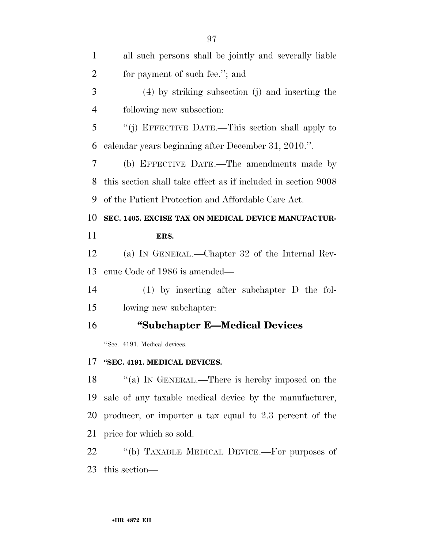| $\mathbf{1}$   | all such persons shall be jointly and severally liable        |
|----------------|---------------------------------------------------------------|
| $\overline{2}$ | for payment of such fee."; and                                |
| 3              | $(4)$ by striking subsection (j) and inserting the            |
| $\overline{4}$ | following new subsection:                                     |
| 5              | "(j) EFFECTIVE DATE.—This section shall apply to              |
| 6              | calendar years beginning after December 31, 2010.".           |
| 7              | (b) EFFECTIVE DATE.—The amendments made by                    |
| 8              | this section shall take effect as if included in section 9008 |
| 9              | of the Patient Protection and Affordable Care Act.            |
| 10             | SEC. 1405. EXCISE TAX ON MEDICAL DEVICE MANUFACTUR-           |
| 11             | ERS.                                                          |
| 12             | (a) IN GENERAL.—Chapter 32 of the Internal Rev-               |
| 13             | enue Code of 1986 is amended—                                 |
| 14             | $(1)$ by inserting after subchapter D the fol-                |
| 15             | lowing new subchapter:                                        |
| 16             | "Subchapter E-Medical Devices                                 |
|                | "Sec. 4191. Medical devices.                                  |
| 17             | "SEC. 4191. MEDICAL DEVICES.                                  |
| 18             | "(a) IN GENERAL.—There is hereby imposed on the               |
| 19             | sale of any taxable medical device by the manufacturer,       |
| 20             | producer, or importer a tax equal to 2.3 percent of the       |

price for which so sold.

 ''(b) TAXABLE MEDICAL DEVICE.—For purposes of this section—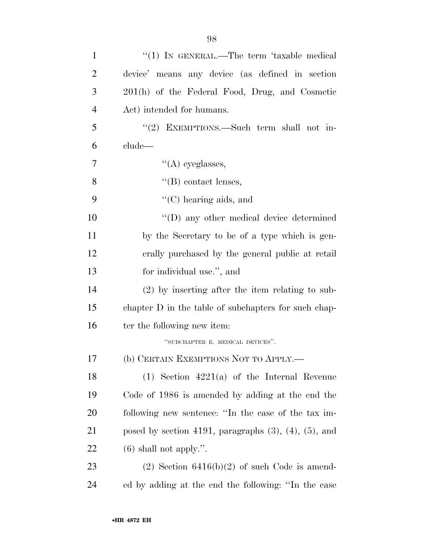| $\mathbf{1}$   | "(1) IN GENERAL.—The term 'taxable medical                    |
|----------------|---------------------------------------------------------------|
| $\overline{2}$ | device' means any device (as defined in section               |
| 3              | 201(h) of the Federal Food, Drug, and Cosmetic                |
| 4              | Act) intended for humans.                                     |
| 5              | " $(2)$ EXEMPTIONS.—Such term shall not in-                   |
| 6              | clude—                                                        |
| 7              | $\lq\lq$ eyeglasses,                                          |
| 8              | $\lq\lq$ contact lenses,                                      |
| 9              | $\lq\lq$ <sup>c</sup> (C) hearing aids, and                   |
| 10             | "(D) any other medical device determined                      |
| 11             | by the Secretary to be of a type which is gen-                |
| 12             | erally purchased by the general public at retail              |
| 13             | for individual use.", and                                     |
| 14             | $(2)$ by inserting after the item relating to sub-            |
| 15             | chapter D in the table of subchapters for such chap-          |
| 16             | ter the following new item:                                   |
|                | "SUBCHAPTER E. MEDICAL DEVICES".                              |
| 17             | (b) CERTAIN EXEMPTIONS NOT TO APPLY.                          |
| 18             | $(1)$ Section 4221(a) of the Internal Revenue                 |
| 19             | Code of 1986 is amended by adding at the end the              |
| 20             | following new sentence: "In the case of the tax im-           |
| 21             | posed by section 4191, paragraphs $(3)$ , $(4)$ , $(5)$ , and |
| <u>22</u>      | $(6)$ shall not apply.".                                      |
| 23             | $(2)$ Section 6416(b)(2) of such Code is amend-               |
| 24             | ed by adding at the end the following: "In the case           |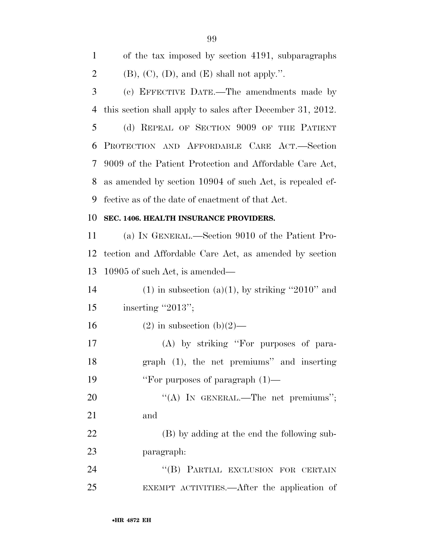of the tax imposed by section 4191, subparagraphs 2 (B),  $(C)$ ,  $(D)$ , and  $(E)$  shall not apply.". (c) EFFECTIVE DATE.—The amendments made by this section shall apply to sales after December 31, 2012.

 (d) REPEAL OF SECTION 9009 OF THE PATIENT PROTECTION AND AFFORDABLE CARE ACT.—Section 9009 of the Patient Protection and Affordable Care Act, as amended by section 10904 of such Act, is repealed ef-fective as of the date of enactment of that Act.

#### **SEC. 1406. HEALTH INSURANCE PROVIDERS.**

 (a) IN GENERAL.—Section 9010 of the Patient Pro- tection and Affordable Care Act, as amended by section 10905 of such Act, is amended—

14 (1) in subsection (a)(1), by striking "2010" and 15 inserting "2013";

16 (2) in subsection  $(b)(2)$ —

 (A) by striking ''For purposes of para- graph (1), the net premiums'' and inserting 19 ''For purposes of paragraph  $(1)$ —

20 "(A) IN GENERAL.—The net premiums"; and

 (B) by adding at the end the following sub-paragraph:

24 "(B) PARTIAL EXCLUSION FOR CERTAIN EXEMPT ACTIVITIES.—After the application of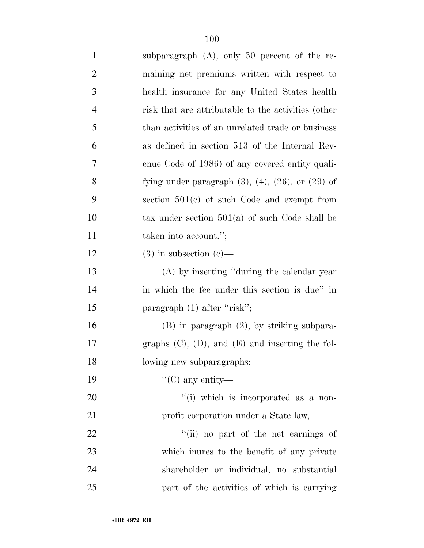| $\mathbf{1}$   | subparagraph $(A)$ , only 50 percent of the re-             |
|----------------|-------------------------------------------------------------|
| $\overline{2}$ | maining net premiums written with respect to                |
| 3              | health insurance for any United States health               |
| $\overline{4}$ | risk that are attributable to the activities (other         |
| 5              | than activities of an unrelated trade or business           |
| 6              | as defined in section 513 of the Internal Rev-              |
| 7              | enue Code of 1986) of any covered entity quali-             |
| $8\,$          | fying under paragraph $(3)$ , $(4)$ , $(26)$ , or $(29)$ of |
| 9              | section $501(e)$ of such Code and exempt from               |
| 10             | tax under section $501(a)$ of such Code shall be            |
| 11             | taken into account.";                                       |
| 12             | $(3)$ in subsection $(e)$ —                                 |
| 13             | (A) by inserting "during the calendar year                  |
| 14             | in which the fee under this section is due" in              |
| 15             | paragraph $(1)$ after "risk";                               |
| 16             | $(B)$ in paragraph $(2)$ , by striking subpara-             |
| 17             | graphs $(C)$ , $(D)$ , and $(E)$ and inserting the fol-     |
| 18             | lowing new subparagraphs:                                   |
| 19             | "(C) any entity—                                            |
| 20             | "(i) which is incorporated as a non-                        |
| 21             | profit corporation under a State law,                       |
| 22             | "(ii) no part of the net earnings of                        |
| 23             | which interes to the benefit of any private                 |
| 24             | shareholder or individual, no substantial                   |
| 25             | part of the activities of which is carrying                 |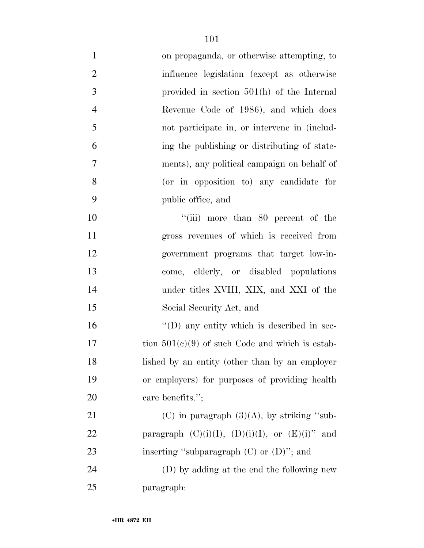| $\mathbf{1}$   | on propaganda, or otherwise attempting, to           |
|----------------|------------------------------------------------------|
| $\overline{2}$ | influence legislation (except as otherwise           |
| 3              | provided in section $501(h)$ of the Internal         |
| $\overline{4}$ | Revenue Code of 1986), and which does                |
| 5              | not participate in, or intervene in (includ-         |
| 6              | ing the publishing or distributing of state-         |
| 7              | ments), any political campaign on behalf of          |
| 8              | (or in opposition to) any candidate for              |
| 9              | public office, and                                   |
| 10             | "(iii) more than 80 percent of the                   |
| 11             | gross revenues of which is received from             |
| 12             | government programs that target low-in-              |
| 13             | come, elderly, or disabled populations               |
| 14             | under titles XVIII, XIX, and XXI of the              |
| 15             | Social Security Act, and                             |
| 16             | $\lq\lq$ (D) any entity which is described in sec-   |
| 17             | tion $501(c)(9)$ of such Code and which is estab-    |
| 18             | lished by an entity (other than by an employer       |
| 19             | or employers) for purposes of providing health       |
| 20             | care benefits.";                                     |
| 21             | (C) in paragraph $(3)(A)$ , by striking "sub-        |
| 22             | paragraph $(C)(i)(I), (D)(i)(I), or (E)(i)''$<br>and |
| 23             | inserting "subparagraph $(C)$ or $(D)$ "; and        |
| 24             | (D) by adding at the end the following new           |
| 25             | paragraph:                                           |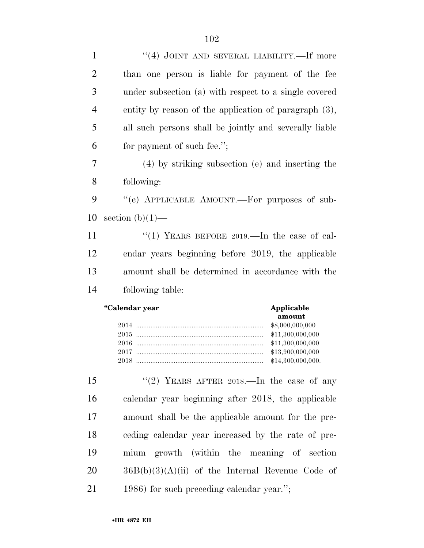| $\mathbf{1}$   | "(4) JOINT AND SEVERAL LIABILITY.—If more                                                                             |
|----------------|-----------------------------------------------------------------------------------------------------------------------|
| $\overline{2}$ | than one person is liable for payment of the fee                                                                      |
| 3              | under subsection (a) with respect to a single covered                                                                 |
| 4              | entity by reason of the application of paragraph $(3)$ ,                                                              |
| 5              | all such persons shall be jointly and severally liable                                                                |
| 6              | for payment of such fee.";                                                                                            |
| 7              | (4) by striking subsection (e) and inserting the                                                                      |
| 8              | following:                                                                                                            |
| 9              | "(e) APPLICABLE AMOUNT.—For purposes of sub-                                                                          |
| 10             | section $(b)(1)$ —                                                                                                    |
| 11             | "(1) YEARS BEFORE $2019$ . In the case of cal-                                                                        |
| 12             | endar years beginning before 2019, the applicable                                                                     |
|                |                                                                                                                       |
| 13             | amount shall be determined in accordance with the                                                                     |
| 14             | following table:                                                                                                      |
|                | "Calendar year<br>Applicable<br>amount<br>\$8,000,000,000<br>\$11,300,000,000<br>\$11,300,000,000<br>\$13,900,000,000 |
| 15             | "(2) YEARS AFTER 2018.—In the case of any                                                                             |
| 16             | calendar year beginning after 2018, the applicable                                                                    |
| 17             | amount shall be the applicable amount for the pre-                                                                    |
| 18             | eeding calendar year increased by the rate of pre-                                                                    |
| 19             | growth (within the meaning of section<br>mium                                                                         |

1986) for such preceding calendar year.'';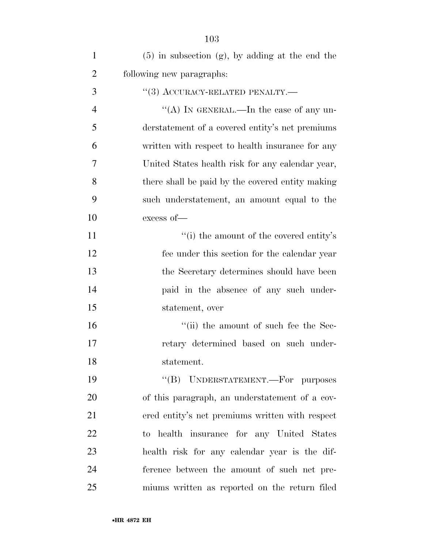| $\mathbf{1}$   | $(5)$ in subsection $(g)$ , by adding at the end the |
|----------------|------------------------------------------------------|
| $\overline{2}$ | following new paragraphs:                            |
| 3              | $``(3)$ ACCURACY-RELATED PENALTY.—                   |
| $\overline{4}$ | "(A) IN GENERAL.—In the case of any un-              |
| 5              | derstatement of a covered entity's net premiums      |
| 6              | written with respect to health insurance for any     |
| 7              | United States health risk for any calendar year,     |
| 8              | there shall be paid by the covered entity making     |
| 9              | such understatement, an amount equal to the          |
| 10             | excess of-                                           |
| 11             | "(i) the amount of the covered entity's              |
| 12             | fee under this section for the calendar year         |
| 13             | the Secretary determines should have been            |
| 14             | paid in the absence of any such under-               |
| 15             | statement, over                                      |
| 16             | "(ii) the amount of such fee the Sec-                |
| 17             | retary determined based on such under-               |
| 18             | statement.                                           |
| 19             | "(B) UNDERSTATEMENT.—For purposes                    |
| 20             | of this paragraph, an understatement of a cov-       |
| 21             | ered entity's net premiums written with respect      |
| 22             | to health insurance for any United States            |
| 23             | health risk for any calendar year is the dif-        |
| 24             | ference between the amount of such net pre-          |
| 25             | miums written as reported on the return filed        |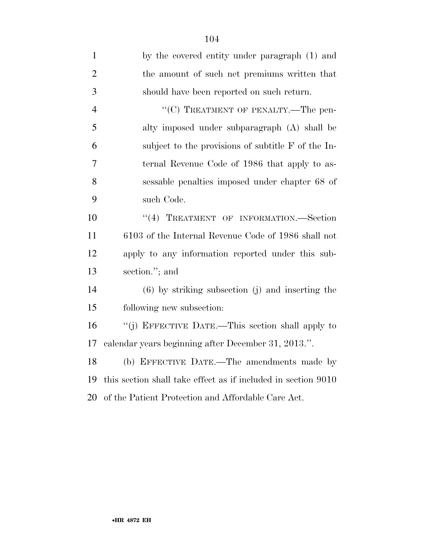| $\mathbf{1}$   | by the covered entity under paragraph (1) and                 |
|----------------|---------------------------------------------------------------|
| $\overline{2}$ | the amount of such net premiums written that                  |
| 3              | should have been reported on such return.                     |
| $\overline{4}$ | "(C) TREATMENT OF PENALTY.—The pen-                           |
| 5              | alty imposed under subparagraph (A) shall be                  |
| 6              | subject to the provisions of subtitle $F$ of the In-          |
| $\overline{7}$ | ternal Revenue Code of 1986 that apply to as-                 |
| 8              | sessable penalties imposed under chapter 68 of                |
| 9              | such Code.                                                    |
| 10             | "(4) TREATMENT OF INFORMATION.—Section                        |
| 11             | 6103 of the Internal Revenue Code of 1986 shall not           |
| 12             | apply to any information reported under this sub-             |
| 13             | section."; and                                                |
| 14             | $(6)$ by striking subsection (j) and inserting the            |
| 15             | following new subsection:                                     |
| 16             | "(j) EFFECTIVE DATE.—This section shall apply to              |
| 17             | calendar years beginning after December 31, 2013.".           |
| 18             | (b) EFFECTIVE DATE.—The amendments made by                    |
| 19             | this section shall take effect as if included in section 9010 |
| 20             | of the Patient Protection and Affordable Care Act.            |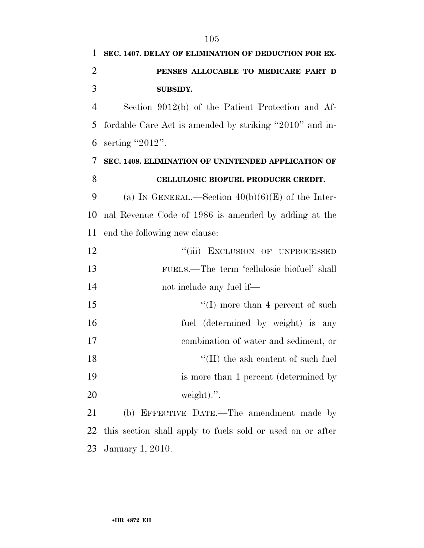| 1              | SEC. 1407. DELAY OF ELIMINATION OF DEDUCTION FOR EX-       |
|----------------|------------------------------------------------------------|
| $\overline{2}$ | PENSES ALLOCABLE TO MEDICARE PART D                        |
| 3              | <b>SUBSIDY.</b>                                            |
| $\overline{4}$ | Section 9012(b) of the Patient Protection and Af-          |
| 5              | fordable Care Act is amended by striking "2010" and in-    |
| 6              | serting "2012".                                            |
| 7              | SEC. 1408. ELIMINATION OF UNINTENDED APPLICATION OF        |
| 8              | CELLULOSIC BIOFUEL PRODUCER CREDIT.                        |
| 9              | (a) IN GENERAL.—Section $40(b)(6)(E)$ of the Inter-        |
| 10             | nal Revenue Code of 1986 is amended by adding at the       |
| 11             | end the following new clause:                              |
| 12             | "(iii) EXCLUSION OF UNPROCESSED                            |
| 13             | FUELS.—The term 'cellulosic biofuel' shall                 |
| 14             | not include any fuel if—                                   |
| 15             | $\lq\lq$ more than 4 percent of such                       |
| 16             | fuel (determined by weight) is any                         |
| 17             | combination of water and sediment, or                      |
| 18             | $\lq\lq$ (II) the ash content of such fuel                 |
| 19             | is more than 1 percent (determined by                      |
| <b>20</b>      | weight).".                                                 |
| 21             | (b) EFFECTIVE DATE.—The amendment made by                  |
| 22             | this section shall apply to fuels sold or used on or after |

January 1, 2010.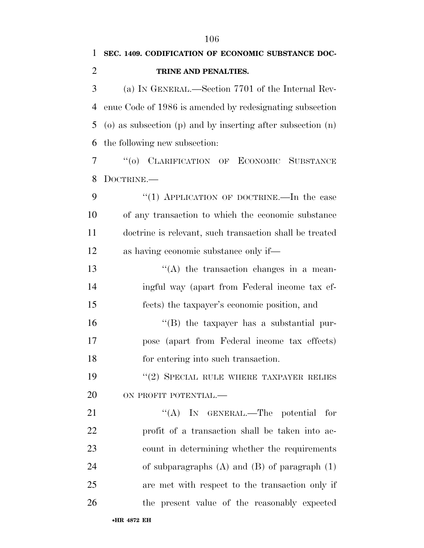| $\mathbf{1}$   | SEC. 1409. CODIFICATION OF ECONOMIC SUBSTANCE DOC-                |
|----------------|-------------------------------------------------------------------|
| $\overline{2}$ | TRINE AND PENALTIES.                                              |
| 3              | (a) IN GENERAL.—Section 7701 of the Internal Rev-                 |
| 4              | enue Code of 1986 is amended by redesignating subsection          |
| 5              | $(a)$ as subsection $(p)$ and by inserting after subsection $(n)$ |
| 6              | the following new subsection:                                     |
| 7              | "(0) CLARIFICATION OF ECONOMIC SUBSTANCE                          |
| 8              | DOCTRINE.—                                                        |
| 9              | "(1) APPLICATION OF DOCTRINE.—In the case                         |
| 10             | of any transaction to which the economic substance                |
| 11             | doctrine is relevant, such transaction shall be treated           |
| 12             | as having economic substance only if—                             |
| 13             | $\lq\lq$ the transaction changes in a mean-                       |
| 14             | ingful way (apart from Federal income tax ef-                     |
| 15             | fects) the taxpayer's economic position, and                      |
| 16             | $\lq\lq$ the taxpayer has a substantial pur-                      |
| 17             | pose (apart from Federal income tax effects)                      |
| 18             | for entering into such transaction.                               |
| 19             | "(2) SPECIAL RULE WHERE TAXPAYER RELIES                           |
| 20             | ON PROFIT POTENTIAL.-                                             |
| 21             | "(A) IN GENERAL.—The potential<br>for                             |
| 22             | profit of a transaction shall be taken into ac-                   |
| 23             | count in determining whether the requirements                     |
| 24             | of subparagraphs $(A)$ and $(B)$ of paragraph $(1)$               |
| 25             | are met with respect to the transaction only if                   |
| 26             | the present value of the reasonably expected                      |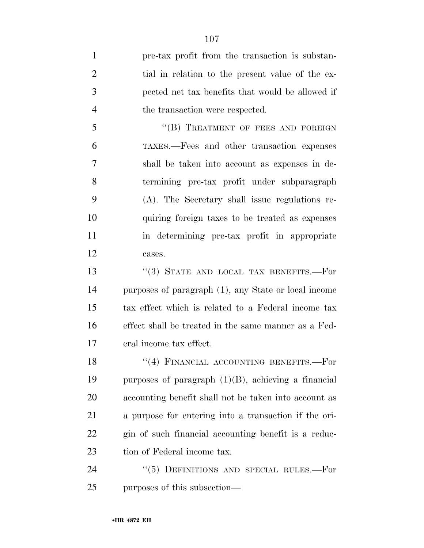pre-tax profit from the transaction is substan-2 tial in relation to the present value of the ex- pected net tax benefits that would be allowed if 4 the transaction were respected. 5 "(B) TREATMENT OF FEES AND FOREIGN TAXES.—Fees and other transaction expenses shall be taken into account as expenses in de- termining pre-tax profit under subparagraph (A). The Secretary shall issue regulations re- quiring foreign taxes to be treated as expenses in determining pre-tax profit in appropriate cases. 13 "(3) STATE AND LOCAL TAX BENEFITS. For purposes of paragraph (1), any State or local income tax effect which is related to a Federal income tax effect shall be treated in the same manner as a Fed- eral income tax effect. 18 "(4) FINANCIAL ACCOUNTING BENEFITS.—For purposes of paragraph (1)(B), achieving a financial accounting benefit shall not be taken into account as a purpose for entering into a transaction if the ori- gin of such financial accounting benefit is a reduc-23 tion of Federal income tax. 24 "(5) DEFINITIONS AND SPECIAL RULES.—For purposes of this subsection—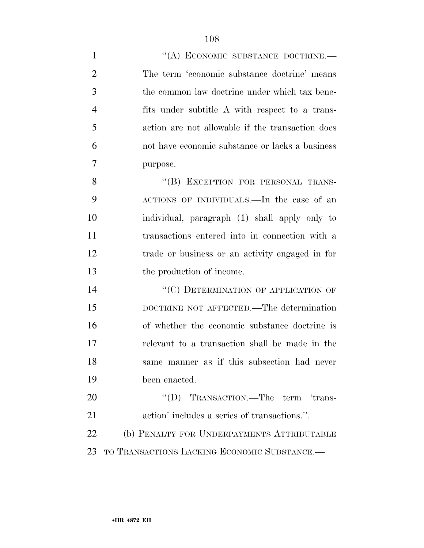| $\mathbf{1}$   | "(A) ECONOMIC SUBSTANCE DOCTRINE.-               |
|----------------|--------------------------------------------------|
| $\overline{2}$ | The term 'economic substance doctrine' means     |
| 3              | the common law doctrine under which tax bene-    |
| $\overline{4}$ | fits under subtitle A with respect to a trans-   |
| 5              | action are not allowable if the transaction does |
| 6              | not have economic substance or lacks a business  |
| 7              | purpose.                                         |
| 8              | "(B) EXCEPTION FOR PERSONAL TRANS-               |
| 9              | ACTIONS OF INDIVIDUALS.—In the case of an        |
| 10             | individual, paragraph (1) shall apply only to    |
| 11             | transactions entered into in connection with a   |
| 12             | trade or business or an activity engaged in for  |
| 13             | the production of income.                        |
| 14             | "(C) DETERMINATION OF APPLICATION OF             |
| 15             | DOCTRINE NOT AFFECTED.—The determination         |
| 16             | of whether the economic substance doctrine is    |
| 17             | relevant to a transaction shall be made in the   |
| 18             | same manner as if this subsection had never      |
| 19             | been enacted.                                    |
| 20             | "(D) TRANSACTION.—The term 'trans-               |
| 21             | action' includes a series of transactions.".     |
| 22             | (b) PENALTY FOR UNDERPAYMENTS ATTRIBUTABLE       |
| 23             | TO TRANSACTIONS LACKING ECONOMIC SUBSTANCE.      |
|                |                                                  |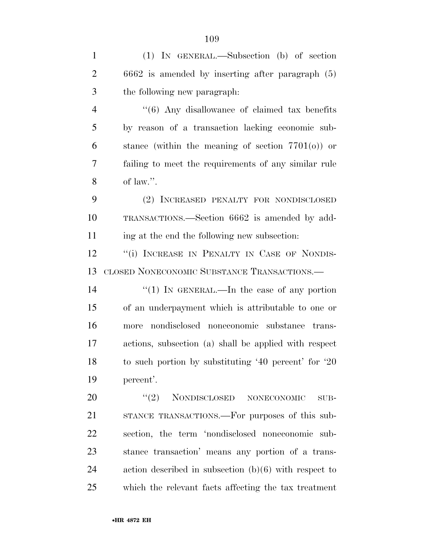(1) IN GENERAL.—Subsection (b) of section 6662 is amended by inserting after paragraph (5) the following new paragraph: ''(6) Any disallowance of claimed tax benefits by reason of a transaction lacking economic sub-6 stance (within the meaning of section  $7701(0)$ ) or failing to meet the requirements of any similar rule 8 of law.". (2) INCREASED PENALTY FOR NONDISCLOSED TRANSACTIONS.—Section 6662 is amended by add- ing at the end the following new subsection: 12 "(i) INCREASE IN PENALTY IN CASE OF NONDIS- CLOSED NONECONOMIC SUBSTANCE TRANSACTIONS.—  $\frac{1}{2}$  (1) In GENERAL.—In the case of any portion of an underpayment which is attributable to one or more nondisclosed noneconomic substance trans- actions, subsection (a) shall be applied with respect to such portion by substituting '40 percent' for '20 percent'.

 $(2)$  NONDISCLOSED NONECONOMIC SUB- STANCE TRANSACTIONS.—For purposes of this sub- section, the term 'nondisclosed noneconomic sub- stance transaction' means any portion of a trans- action described in subsection (b)(6) with respect to which the relevant facts affecting the tax treatment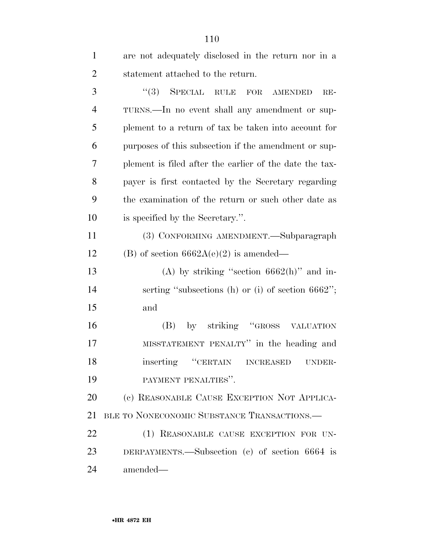| $\mathbf{1}$   | are not adequately disclosed in the return nor in a     |
|----------------|---------------------------------------------------------|
| $\overline{2}$ | statement attached to the return.                       |
| 3              | $(3)$ SPECIAL RULE FOR AMENDED<br>$RE-$                 |
| $\overline{4}$ | TURNS.—In no event shall any amendment or sup-          |
| 5              | plement to a return of tax be taken into account for    |
| 6              | purposes of this subsection if the amendment or sup-    |
| 7              | plement is filed after the earlier of the date the tax- |
| 8              | payer is first contacted by the Secretary regarding     |
| 9              | the examination of the return or such other date as     |
| 10             | is specified by the Secretary.".                        |
| 11             | (3) CONFORMING AMENDMENT.—Subparagraph                  |
| 12             | (B) of section $6662A(e)(2)$ is amended—                |
| 13             | (A) by striking "section $6662(h)$ " and in-            |
| 14             | serting "subsections (h) or (i) of section $6662$ ";    |
| 15             | and                                                     |
| 16             | by striking "GROSS VALUATION<br>(B)                     |
| 17             | MISSTATEMENT PENALTY" in the heading and                |
| 18             | inserting "CERTAIN<br><b>INCREASED</b><br>UNDER-        |
| 19             | PAYMENT PENALTIES".                                     |
| 20             | (c) REASONABLE CAUSE EXCEPTION NOT APPLICA-             |
| 21             | BLE TO NONECONOMIC SUBSTANCE TRANSACTIONS.              |
| 22             | (1) REASONABLE CAUSE EXCEPTION FOR UN-                  |
| 23             | DERPAYMENTS.—Subsection (c) of section 6664 is          |
| 24             | amended—                                                |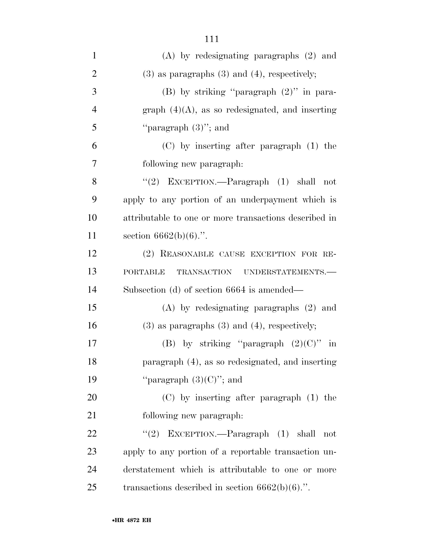| $\mathbf{1}$   | $(A)$ by redesignating paragraphs $(2)$ and           |
|----------------|-------------------------------------------------------|
| $\overline{2}$ | $(3)$ as paragraphs $(3)$ and $(4)$ , respectively;   |
| 3              | (B) by striking "paragraph $(2)$ " in para-           |
| $\overline{4}$ | graph $(4)(A)$ , as so redesignated, and inserting    |
| 5              | "paragraph $(3)$ "; and                               |
| 6              | $(C)$ by inserting after paragraph $(1)$ the          |
| 7              | following new paragraph.                              |
| 8              | "(2) EXCEPTION.—Paragraph $(1)$ shall not             |
| 9              | apply to any portion of an underpayment which is      |
| 10             | attributable to one or more transactions described in |
| 11             | section $6662(b)(6)$ .".                              |
| 12             | (2) REASONABLE CAUSE EXCEPTION FOR RE-                |
| 13             | TRANSACTION UNDERSTATEMENTS.-<br><b>PORTABLE</b>      |
| 14             | Subsection (d) of section 6664 is amended—            |
| 15             | $(A)$ by redesignating paragraphs $(2)$ and           |
| 16             | $(3)$ as paragraphs $(3)$ and $(4)$ , respectively;   |
| 17             | (B) by striking "paragraph $(2)(C)$ " in              |
| 18             | paragraph (4), as so redesignated, and inserting      |
| 19             | "paragraph $(3)(C)$ "; and                            |
| 20             | $(C)$ by inserting after paragraph $(1)$ the          |
| 21             | following new paragraph:                              |
| 22             | "(2) EXCEPTION.—Paragraph $(1)$ shall<br>not          |
| 23             | apply to any portion of a reportable transaction un-  |
| 24             | derstatement which is attributable to one or more     |
| 25             | transactions described in section $6662(b)(6)$ .".    |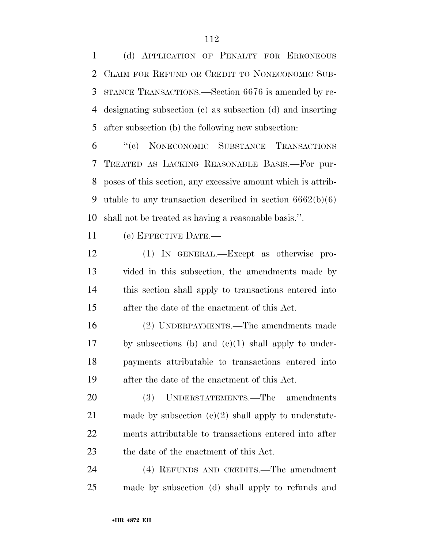(d) APPLICATION OF PENALTY FOR ERRONEOUS CLAIM FOR REFUND OR CREDIT TO NONECONOMIC SUB- STANCE TRANSACTIONS.—Section 6676 is amended by re- designating subsection (c) as subsection (d) and inserting after subsection (b) the following new subsection:

 ''(c) NONECONOMIC SUBSTANCE TRANSACTIONS TREATED AS LACKING REASONABLE BASIS.—For pur- poses of this section, any excessive amount which is attrib-9 utable to any transaction described in section  $6662(b)(6)$ shall not be treated as having a reasonable basis.''.

(e) EFFECTIVE DATE.—

 (1) IN GENERAL.—Except as otherwise pro- vided in this subsection, the amendments made by this section shall apply to transactions entered into after the date of the enactment of this Act.

 (2) UNDERPAYMENTS.—The amendments made by subsections (b) and (c)(1) shall apply to under- payments attributable to transactions entered into after the date of the enactment of this Act.

 (3) UNDERSTATEMENTS.—The amendments 21 made by subsection  $(e)(2)$  shall apply to understate- ments attributable to transactions entered into after 23 the date of the enactment of this Act.

 (4) REFUNDS AND CREDITS.—The amendment made by subsection (d) shall apply to refunds and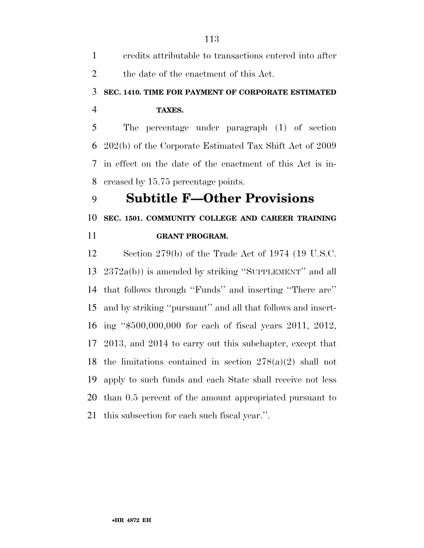| 1              | credits attributable to transactions entered into after     |
|----------------|-------------------------------------------------------------|
| $\overline{2}$ | the date of the enactment of this Act.                      |
| 3              | SEC. 1410. TIME FOR PAYMENT OF CORPORATE ESTIMATED          |
| 4              | TAXES.                                                      |
| 5              | The percentage under paragraph (1) of section               |
|                | 6 202(b) of the Corporate Estimated Tax Shift Act of 2009   |
|                | 7 in effect on the date of the enactment of this Act is in- |
| 8              | creased by 15.75 percentage points.                         |
| 9              | <b>Subtitle F—Other Provisions</b>                          |
| 10             | SEC. 1501. COMMUNITY COLLEGE AND CAREER TRAINING            |
| 11             | <b>GRANT PROGRAM.</b>                                       |
| 12             | Section 279(b) of the Trade Act of 1974 (19 U.S.C.          |
|                | 13 $2372a(b)$ is amended by striking "SUPPLEMENT" and all   |

 2372a(b)) is amended by striking ''SUPPLEMENT'' and all that follows through ''Funds'' and inserting ''There are'' and by striking ''pursuant'' and all that follows and insert- ing ''\$500,000,000 for each of fiscal years 2011, 2012, 2013, and 2014 to carry out this subchapter, except that the limitations contained in section 278(a)(2) shall not apply to such funds and each State shall receive not less than 0.5 percent of the amount appropriated pursuant to this subsection for each such fiscal year.''.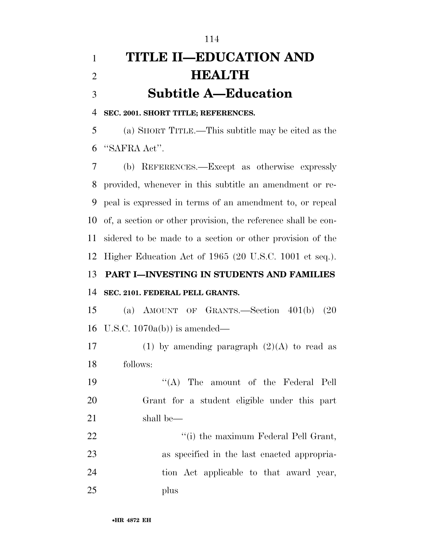# **TITLE II—EDUCATION AND HEALTH Subtitle A—Education**

**SEC. 2001. SHORT TITLE; REFERENCES.** 

 (a) SHORT TITLE.—This subtitle may be cited as the ''SAFRA Act''.

 (b) REFERENCES.—Except as otherwise expressly provided, whenever in this subtitle an amendment or re- peal is expressed in terms of an amendment to, or repeal of, a section or other provision, the reference shall be con- sidered to be made to a section or other provision of the Higher Education Act of 1965 (20 U.S.C. 1001 et seq.).

### **PART I—INVESTING IN STUDENTS AND FAMILIES SEC. 2101. FEDERAL PELL GRANTS.**

 (a) AMOUNT OF GRANTS.—Section 401(b) (20 U.S.C. 1070a(b)) is amended—

17 (1) by amending paragraph  $(2)(A)$  to read as follows:

19 ''(A) The amount of the Federal Pell Grant for a student eligible under this part shall be—

 $\frac{1}{2}$   $\frac{1}{2}$   $\frac{1}{2}$   $\frac{1}{2}$   $\frac{1}{2}$   $\frac{1}{2}$   $\frac{1}{2}$   $\frac{1}{2}$   $\frac{1}{2}$   $\frac{1}{2}$   $\frac{1}{2}$   $\frac{1}{2}$   $\frac{1}{2}$   $\frac{1}{2}$   $\frac{1}{2}$   $\frac{1}{2}$   $\frac{1}{2}$   $\frac{1}{2}$   $\frac{1}{2}$   $\frac{1}{2}$   $\frac{1}{2}$   $\frac{1}{2}$  as specified in the last enacted appropria- tion Act applicable to that award year, plus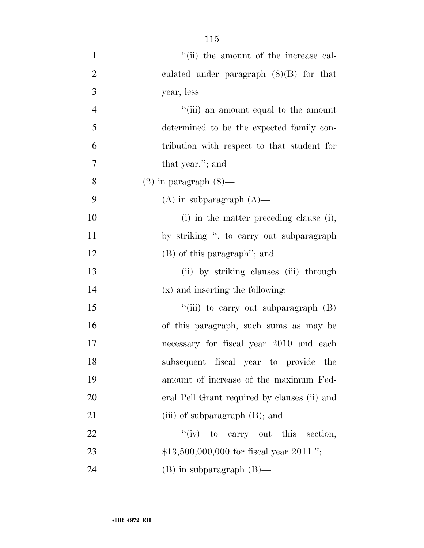$"$ (ii) the amount of the increase cal- culated under paragraph (8)(B) for that year, less 4 ''(iii) an amount equal to the amount determined to be the expected family con- tribution with respect to that student for that year.''; and 8 (2) in paragraph  $(8)$ — 9 (A) in subparagraph  $(A)$ — 10 (i) in the matter preceding clause (i), 11 by striking ", to carry out subparagraph (B) of this paragraph''; and (ii) by striking clauses (iii) through (x) and inserting the following: 15 "'(iii) to carry out subparagraph (B) of this paragraph, such sums as may be necessary for fiscal year 2010 and each subsequent fiscal year to provide the amount of increase of the maximum Fed- eral Pell Grant required by clauses (ii) and 21 (iii) of subparagraph (B); and 22 "(iv) to carry out this section, 23 \$13,500,000,000 for fiscal year 2011.";

24 (B) in subparagraph (B)—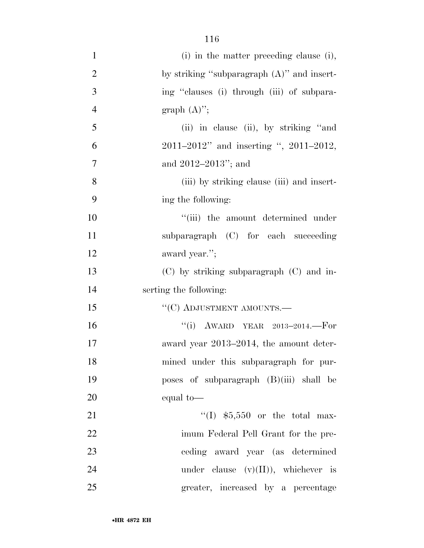| $\mathbf{1}$   | (i) in the matter preceding clause (i),       |
|----------------|-----------------------------------------------|
| $\overline{2}$ | by striking "subparagraph $(A)$ " and insert- |
| 3              | ing "clauses (i) through (iii) of subpara-    |
| $\overline{4}$ | graph $(A)$ ";                                |
| 5              | (ii) in clause (ii), by striking "and         |
| 6              | 2011–2012" and inserting ", 2011–2012,        |
| $\overline{7}$ | and $2012-2013$ "; and                        |
| 8              | (iii) by striking clause (iii) and insert-    |
| 9              | ing the following:                            |
| 10             | "(iii) the amount determined under            |
| 11             | subparagraph (C) for each succeeding          |
| 12             | award year.";                                 |
| 13             | $(C)$ by striking subparagraph $(C)$ and in-  |
| 14             | serting the following:                        |
| 15             | $``(C)$ ADJUSTMENT AMOUNTS.—                  |
| 16             | "(i) AWARD YEAR $2013-2014$ . For             |
| 17             | award year 2013–2014, the amount deter-       |
| 18             | mined under this subparagraph for pur-        |
| 19             | poses of subparagraph (B)(iii) shall be       |
| 20             | equal to-                                     |
| 21             | "(I) $$5,550$ or the total max-               |
| 22             | imum Federal Pell Grant for the pre-          |
| 23             | ceding award year (as determined              |
| 24             | under clause $(v)(II)$ , whichever is         |
| 25             | greater, increased by a percentage            |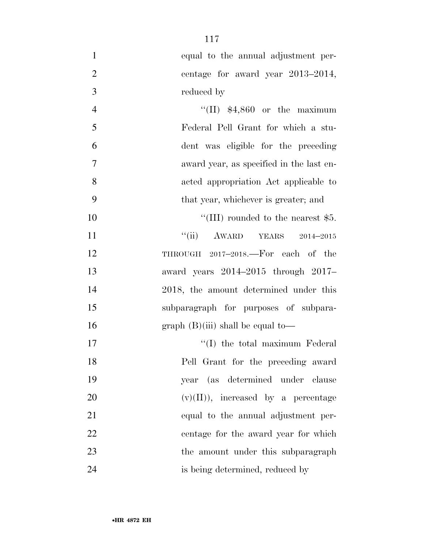| $\mathbf{1}$   | equal to the annual adjustment per-      |
|----------------|------------------------------------------|
| $\overline{2}$ | centage for award year 2013–2014,        |
| 3              | reduced by                               |
| $\overline{4}$ | $\lq(II)$ \$4,860 or the maximum         |
| 5              | Federal Pell Grant for which a stu-      |
| 6              | dent was eligible for the preceding      |
| 7              | award year, as specified in the last en- |
| 8              | acted appropriation Act applicable to    |
| 9              | that year, whichever is greater; and     |
| 10             | "(III) rounded to the nearest $$5.$      |
| 11             | "(ii) AWARD YEARS<br>$2014 - 2015$       |
| 12             | THROUGH 2017-2018. For each of the       |
| 13             | award years $2014-2015$ through $2017-$  |
| 14             | 2018, the amount determined under this   |
| 15             | subparagraph for purposes of subpara-    |
| 16             | graph $(B)(iii)$ shall be equal to-      |
| 17             | "(I) the total maximum Federal"          |
| 18             | Pell Grant for the preceding award       |
| 19             | year (as determined under clause         |
| 20             | $(v)(II)$ , increased by a percentage    |
| 21             | equal to the annual adjustment per-      |
| 22             | centage for the award year for which     |
| 23             | the amount under this subparagraph       |
| 24             | is being determined, reduced by          |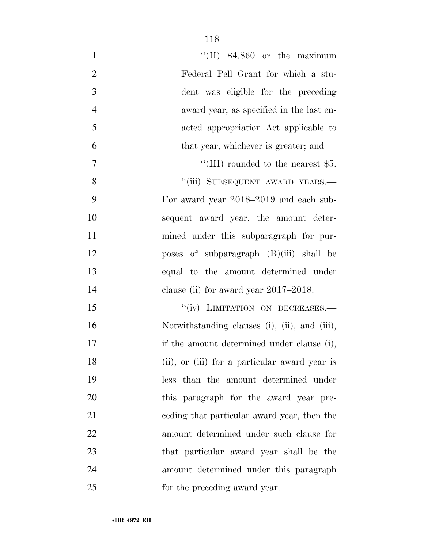| $\mathbf{1}$   | "(II) $$4,860$ or the maximum                 |
|----------------|-----------------------------------------------|
| $\overline{2}$ | Federal Pell Grant for which a stu-           |
| 3              | dent was eligible for the preceding           |
| $\overline{4}$ | award year, as specified in the last en-      |
| 5              | acted appropriation Act applicable to         |
| 6              | that year, whichever is greater; and          |
| $\tau$         | "(III) rounded to the nearest $$5.$           |
| 8              | "(iii) SUBSEQUENT AWARD YEARS.-               |
| 9              | For award year 2018–2019 and each sub-        |
| 10             | sequent award year, the amount deter-         |
| 11             | mined under this subparagraph for pur-        |
| 12             | poses of subparagraph $(B)(iii)$ shall be     |
| 13             | equal to the amount determined under          |
| 14             | clause (ii) for award year $2017-2018$ .      |
| 15             | "(iv) LIMITATION ON DECREASES.-               |
| 16             | Notwithstanding clauses (i), (ii), and (iii), |
| 17             | if the amount determined under clause (i),    |
| 18             | (ii), or (iii) for a particular award year is |
| 19             | less than the amount determined under         |
| 20             | this paragraph for the award year pre-        |
| 21             | eeding that particular award year, then the   |
| 22             | amount determined under such clause for       |
| 23             | that particular award year shall be the       |
| 24             | amount determined under this paragraph        |
| 25             | for the preceding award year.                 |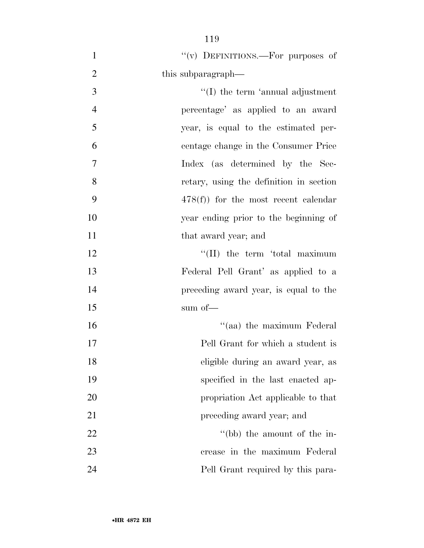- 1  $''(v)$  DEFINITIONS.—For purposes of 2 this subparagraph— 3 '(I) the term 'annual adjustment percentage' as applied to an award year, is equal to the estimated per- centage change in the Consumer Price Index (as determined by the Sec- retary, using the definition in section 478(f)) for the most recent calendar year ending prior to the beginning of 11 that award year; and 12 ''(II) the term 'total maximum Federal Pell Grant' as applied to a preceding award year, is equal to the sum of— 16 ''(aa) the maximum Federal Pell Grant for which a student is eligible during an award year, as specified in the last enacted ap- propriation Act applicable to that **preceding award year**; and 22 ''(bb) the amount of the in-crease in the maximum Federal
- Pell Grant required by this para-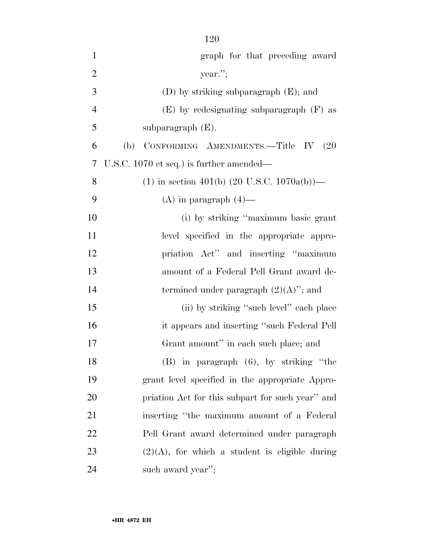| $\mathbf{1}$   | graph for that preceding award                            |
|----------------|-----------------------------------------------------------|
| $\overline{2}$ | year.";                                                   |
| 3              | $(D)$ by striking subparagraph $(E)$ ; and                |
| $\overline{4}$ | $(E)$ by redesignating subparagraph $(F)$ as              |
| 5              | subparagraph $(E)$ .                                      |
| 6              | CONFORMING AMENDMENTS.-Title IV<br>(b)<br>(20)            |
| 7              | U.S.C. 1070 et seq.) is further amended—                  |
| 8              | $(1)$ in section 401(b) $(20 \text{ U.S.C. } 1070a(b))$ — |
| 9              | $(A)$ in paragraph $(4)$ —                                |
| 10             | (i) by striking "maximum basic grant                      |
| 11             | level specified in the appropriate appro-                 |
| 12             | priation Act" and inserting "maximum                      |
| 13             | amount of a Federal Pell Grant award de-                  |
| 14             | termined under paragraph $(2)(A)$ "; and                  |
| 15             | (ii) by striking "such level" each place                  |
| 16             | it appears and inserting "such Federal Pell"              |
| 17             | Grant amount" in each such place; and                     |
| 18             | $(B)$ in paragraph $(6)$ , by striking "the               |
| 19             | grant level specified in the appropriate Appro-           |
| 20             | priation Act for this subpart for such year" and          |
| 21             | inserting "the maximum amount of a Federal"               |
| 22             | Pell Grant award determined under paragraph               |
| 23             | $(2)(A)$ , for which a student is eligible during         |
| 24             | such award year";                                         |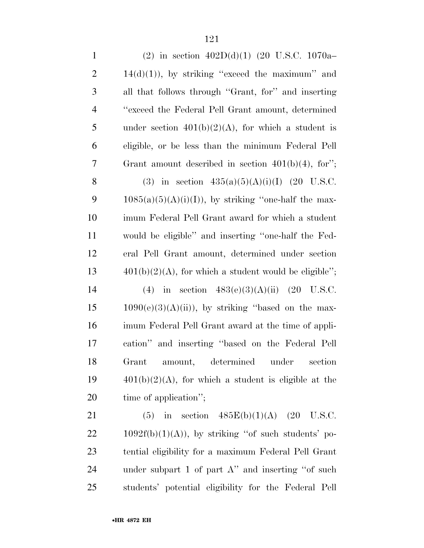| $\mathbf{1}$   | (2) in section $402D(d)(1)$ (20 U.S.C. 1070a-            |
|----------------|----------------------------------------------------------|
| $\overline{2}$ | $14(d)(1)$ , by striking "exceed the maximum" and        |
| 3              | all that follows through "Grant, for" and inserting      |
| $\overline{4}$ | "exceed the Federal Pell Grant amount, determined        |
| 5              | under section $401(b)(2)(A)$ , for which a student is    |
| 6              | eligible, or be less than the minimum Federal Pell       |
| 7              | Grant amount described in section $401(b)(4)$ , for";    |
| 8              | (3) in section $435(a)(5)(A)(i)(I)$ (20 U.S.C.           |
| 9              | $1085(a)(5)(A)(i)(I)$ , by striking "one-half the max-   |
| 10             | imum Federal Pell Grant award for which a student        |
| 11             | would be eligible" and inserting "one-half the Fed-      |
| 12             | eral Pell Grant amount, determined under section         |
| 13             | $401(b)(2)(A)$ , for which a student would be eligible"; |
| 14             | (4) in section $483(e)(3)(A)(ii)$ (20 U.S.C.             |
| 15             | $1090(e)(3)(A)(ii)$ , by striking "based on the max-     |
| 16             | imum Federal Pell Grant award at the time of appli-      |
| 17             | cation" and inserting "based on the Federal Pell         |
| 18             | determined under<br>Grant<br>amount,<br>section          |
| 19             | $401(b)(2)(A)$ , for which a student is eligible at the  |
| 20             | time of application";                                    |
| 21             | in section $485E(b)(1)(A)$ (20 U.S.C.<br>(5)             |
| 22             | $1092f(b)(1)(A)$ , by striking "of such students' po-    |
| 23             | tential eligibility for a maximum Federal Pell Grant     |
|                |                                                          |

 under subpart 1 of part A'' and inserting ''of such students' potential eligibility for the Federal Pell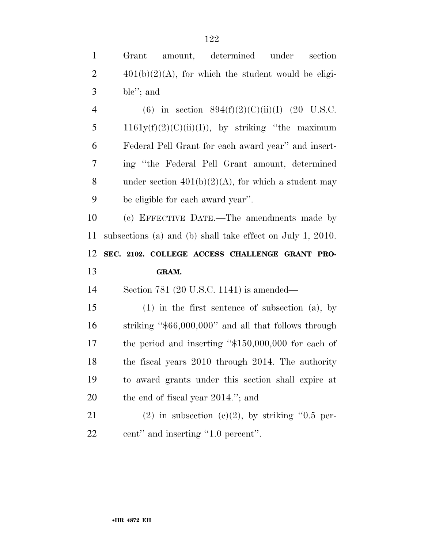| $\mathbf{1}$   | determined<br>under<br>section<br>Grant<br>amount,         |
|----------------|------------------------------------------------------------|
| $\overline{2}$ | $401(b)(2)(A)$ , for which the student would be eligi-     |
| $\mathfrak{Z}$ | ble"; and                                                  |
| $\overline{4}$ | (6) in section $894(f)(2)(C)(ii)(I)$ (20 U.S.C.            |
| 5              | $1161y(f)(2)(C)(ii)(I))$ , by striking "the maximum        |
| 6              | Federal Pell Grant for each award year" and insert-        |
| 7              | ing "the Federal Pell Grant amount, determined             |
| 8              | under section $401(b)(2)(A)$ , for which a student may     |
| 9              | be eligible for each award year".                          |
| 10             | (c) EFFECTIVE DATE.—The amendments made by                 |
| 11             | subsections (a) and (b) shall take effect on July 1, 2010. |
|                |                                                            |
| 12             | SEC. 2102. COLLEGE ACCESS CHALLENGE GRANT PRO-             |
| 13             | GRAM.                                                      |
| 14             | Section 781 (20 U.S.C. 1141) is amended—                   |
| 15             | $(1)$ in the first sentence of subsection $(a)$ , by       |
| 16             | striking " $$66,000,000$ " and all that follows through    |
| 17             | the period and inserting " $$150,000,000$ for each of      |
| 18             | the fiscal years 2010 through 2014. The authority          |
| 19             | to award grants under this section shall expire at         |
| 20             | the end of fiscal year 2014."; and                         |
| 21             | $(2)$ in subsection $(c)(2)$ , by striking "0.5 per-       |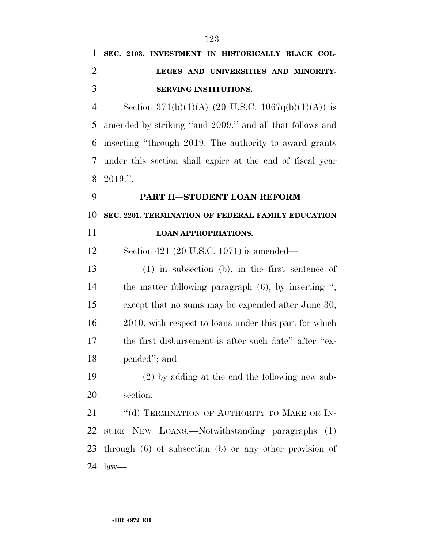| 1              | SEC. 2103. INVESTMENT IN HISTORICALLY BLACK COL-            |
|----------------|-------------------------------------------------------------|
| $\overline{2}$ | LEGES AND UNIVERSITIES AND MINORITY-                        |
| 3              | SERVING INSTITUTIONS.                                       |
| $\overline{4}$ | Section 371(b)(1)(A) (20 U.S.C. 1067q(b)(1)(A)) is          |
| 5              | amended by striking "and 2009." and all that follows and    |
| 6              | inserting "through 2019. The authority to award grants      |
| 7              | under this section shall expire at the end of fiscal year   |
| 8              | 2019."                                                      |
| 9              | PART II-STUDENT LOAN REFORM                                 |
| 10             | SEC. 2201. TERMINATION OF FEDERAL FAMILY EDUCATION          |
| 11             | <b>LOAN APPROPRIATIONS.</b>                                 |
| 12             | Section 421 (20 U.S.C. 1071) is amended—                    |
| 13             | $(1)$ in subsection $(b)$ , in the first sentence of        |
| 14             | the matter following paragraph $(6)$ , by inserting ",      |
| 15             | except that no sums may be expended after June 30,          |
| 16             | 2010, with respect to loans under this part for which       |
| 17             | the first disbursement is after such date" after "ex-       |
| 18             | pended"; and                                                |
| 19             | $(2)$ by adding at the end the following new sub-           |
| 20             | section:                                                    |
| 21             | "(d) TERMINATION OF AUTHORITY TO MAKE OR IN-                |
| 22             | SURE NEW LOANS.—Notwithstanding paragraphs<br>(1)           |
| 23             | through $(6)$ of subsection $(b)$ or any other provision of |

law—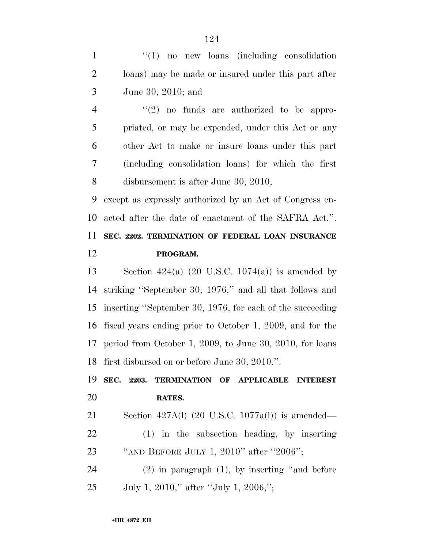1 "(1) no new loans (including consolidation loans) may be made or insured under this part after June 30, 2010; and

 $\frac{4}{2}$  ''(2) no funds are authorized to be appro- priated, or may be expended, under this Act or any other Act to make or insure loans under this part (including consolidation loans) for which the first disbursement is after June 30, 2010,

 except as expressly authorized by an Act of Congress en- acted after the date of enactment of the SAFRA Act.''. **SEC. 2202. TERMINATION OF FEDERAL LOAN INSURANCE** 

**PROGRAM.** 

13 Section  $424(a)$  (20 U.S.C. 1074(a)) is amended by striking ''September 30, 1976,'' and all that follows and inserting ''September 30, 1976, for each of the succeeding fiscal years ending prior to October 1, 2009, and for the period from October 1, 2009, to June 30, 2010, for loans first disbursed on or before June 30, 2010.''.

 **SEC. 2203. TERMINATION OF APPLICABLE INTEREST RATES.** 

Section 427A(l) (20 U.S.C. 1077a(l)) is amended—

 (1) in the subsection heading, by inserting ''AND BEFORE JULY 1, 2010'' after ''2006'';

 (2) in paragraph (1), by inserting ''and before July 1, 2010,'' after ''July 1, 2006,'';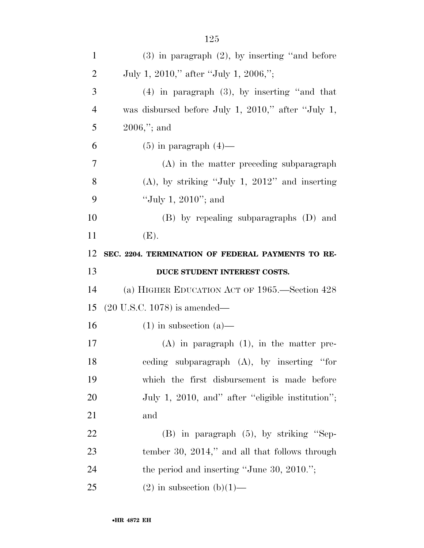| $\mathbf{1}$   | $(3)$ in paragraph $(2)$ , by inserting "and before |
|----------------|-----------------------------------------------------|
| $\overline{2}$ | July 1, 2010," after "July 1, 2006,";               |
| 3              | $(4)$ in paragraph $(3)$ , by inserting "and that   |
| 4              | was disbursed before July 1, 2010," after "July 1,  |
| 5              | $2006$ ,"; and                                      |
| 6              | $(5)$ in paragraph $(4)$ —                          |
| 7              | $(A)$ in the matter preceding subparagraph          |
| 8              | $(A)$ , by striking "July 1, 2012" and inserting    |
| 9              | "July 1, $2010$ "; and                              |
| 10             | (B) by repealing subparagraphs (D) and              |
| 11             | (E).                                                |
| 12             | SEC. 2204. TERMINATION OF FEDERAL PAYMENTS TO RE-   |
|                |                                                     |
| 13             | DUCE STUDENT INTEREST COSTS.                        |
| 14             | (a) HIGHER EDUCATION ACT OF 1965.—Section 428       |
| 15             | $(20 \text{ U.S.C. } 1078)$ is amended—             |
| 16             | $(1)$ in subsection $(a)$ —                         |
| 17             | $(A)$ in paragraph $(1)$ , in the matter pre-       |
| 18             | ceding subparagraph (A), by inserting "for          |
| 19             | which the first disbursement is made before         |
| <b>20</b>      | July 1, 2010, and" after "eligible institution";    |
| 21             | and                                                 |
| 22             | $(B)$ in paragraph $(5)$ , by striking "Sep-        |
| 23             | tember 30, $2014$ ," and all that follows through   |
| 24             | the period and inserting "June 30, $2010."$ ;       |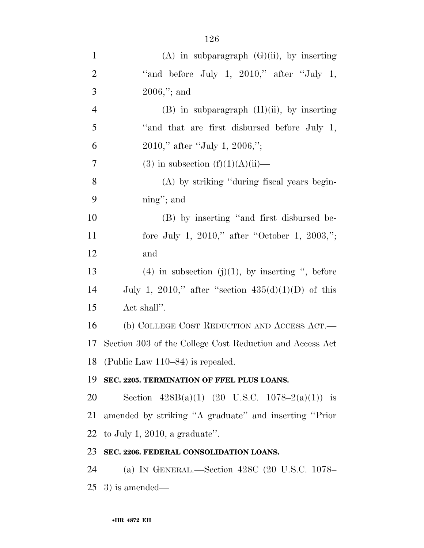| $\mathbf{1}$   | $(A)$ in subparagraph $(G)(ii)$ , by inserting           |
|----------------|----------------------------------------------------------|
| $\overline{2}$ | "and before July 1, $2010$ ," after "July 1,             |
| 3              | $2006$ ,"; and                                           |
| $\overline{4}$ | $(B)$ in subparagraph $(H)(ii)$ , by inserting           |
| 5              | "and that are first disbursed before July 1,             |
| 6              | $2010$ ," after "July 1, $2006$ ,";                      |
| $\overline{7}$ | (3) in subsection $(f)(1)(A)(ii)$ —                      |
| 8              | (A) by striking "during fiscal years begin-              |
| 9              | $\text{ning}$ "; and                                     |
| 10             | (B) by inserting "and first disbursed be-                |
| 11             | fore July 1, 2010," after "October 1, 2003,";            |
| 12             | and                                                      |
| 13             | (4) in subsection (j)(1), by inserting ", before         |
| 14             | July 1, 2010," after "section $435(d)(1)(D)$ of this     |
| 15             | Act shall".                                              |
| 16             | (b) COLLEGE COST REDUCTION AND ACCESS ACT.—              |
| 17             | Section 303 of the College Cost Reduction and Access Act |
|                | 18 (Public Law 110–84) is repealed.                      |
| 19             | SEC. 2205. TERMINATION OF FFEL PLUS LOANS.               |
| 20             | Section $428B(a)(1)$ (20 U.S.C. 1078-2(a)(1)) is         |
| 21             | amended by striking "A graduate" and inserting "Prior    |
| 22             | to July 1, 2010, a graduate".                            |
| 23             | SEC. 2206. FEDERAL CONSOLIDATION LOANS.                  |
| 24             | (a) IN GENERAL.—Section 428C (20 U.S.C. 1078-            |
|                | $25\;$ 3) is amended—                                    |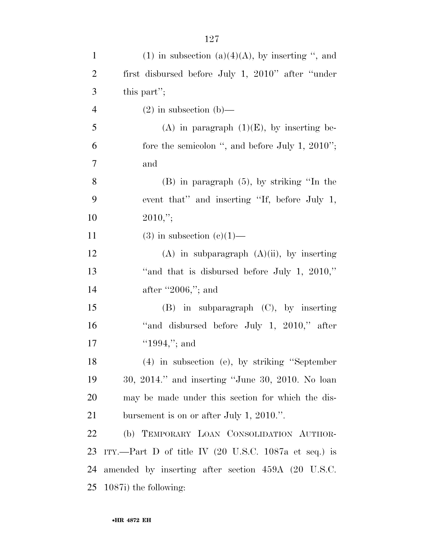| $\mathbf{1}$   | (1) in subsection (a)(4)(A), by inserting ", and                        |
|----------------|-------------------------------------------------------------------------|
| $\overline{2}$ | first disbursed before July 1, 2010" after "under"                      |
| 3              | this part";                                                             |
| $\overline{4}$ | $(2)$ in subsection $(b)$ —                                             |
| 5              | (A) in paragraph $(1)(E)$ , by inserting be-                            |
| 6              | fore the semicolon ", and before July 1, $2010$ ";                      |
| $\overline{7}$ | and                                                                     |
| 8              | $(B)$ in paragraph $(5)$ , by striking "In the                          |
| 9              | event that" and inserting "If, before July 1,                           |
| 10             | $2010$ ,";                                                              |
| 11             | $(3)$ in subsection $(e)(1)$ —                                          |
| 12             | $(A)$ in subparagraph $(A)(ii)$ , by inserting                          |
| 13             | "and that is disbursed before July 1, $2010$ ,"                         |
| 14             | after "2006,"; and                                                      |
| 15             | (B) in subparagraph (C), by inserting                                   |
| 16             | "and disbursed before July 1, 2010," after                              |
| 17             | "1994,"; and                                                            |
| 18             | $(4)$ in subsection (e), by striking "September                         |
| 19             | 30, 2014." and inserting "June 30, 2010. No loan                        |
| 20             | may be made under this section for which the dis-                       |
| 21             | bursement is on or after July 1, 2010.".                                |
| 22             | (b) TEMPORARY LOAN CONSOLIDATION AUTHOR-                                |
| 23             | ITY.—Part D of title IV $(20 \text{ U.S.C. } 1087a \text{ et seq.})$ is |
| 24             | amended by inserting after section 459A (20 U.S.C.                      |
| 25             | 1087i) the following:                                                   |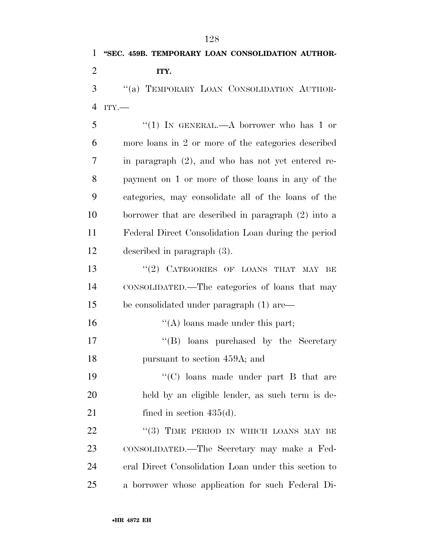ITY.—

5 "(1) IN GENERAL.—A borrower who has 1 or more loans in 2 or more of the categories described in paragraph (2), and who has not yet entered re- payment on 1 or more of those loans in any of the categories, may consolidate all of the loans of the borrower that are described in paragraph (2) into a Federal Direct Consolidation Loan during the period described in paragraph (3).

13 "(2) CATEGORIES OF LOANS THAT MAY BE CONSOLIDATED.—The categories of loans that may be consolidated under paragraph (1) are—

16 ''(A) loans made under this part;

17 ''(B) loans purchased by the Secretary pursuant to section 459A; and

 ''(C) loans made under part B that are held by an eligible lender, as such term is de-21 fined in section 435(d).

22 "(3) TIME PERIOD IN WHICH LOANS MAY BE CONSOLIDATED.—The Secretary may make a Fed- eral Direct Consolidation Loan under this section to a borrower whose application for such Federal Di-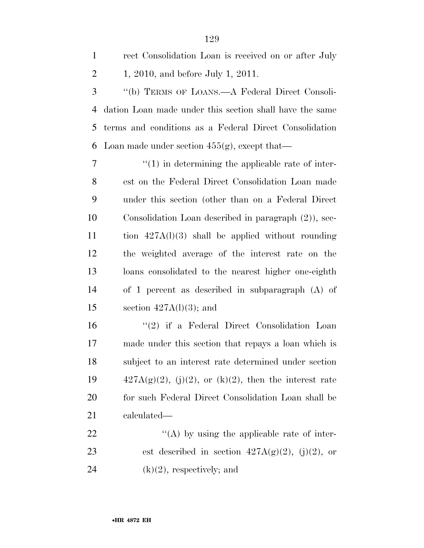| $\mathbf{1}$   | rect Consolidation Loan is received on or after July     |
|----------------|----------------------------------------------------------|
| $\overline{2}$ | 1, 2010, and before July 1, 2011.                        |
| 3              | "(b) TERMS OF LOANS.—A Federal Direct Consoli-           |
| $\overline{4}$ | dation Loan made under this section shall have the same  |
| 5              | terms and conditions as a Federal Direct Consolidation   |
| 6              | Loan made under section $455(g)$ , except that—          |
| 7              | $\lq(1)$ in determining the applicable rate of inter-    |
| 8              | est on the Federal Direct Consolidation Loan made        |
| 9              | under this section (other than on a Federal Direct       |
| 10             | Consolidation Loan described in paragraph (2), sec-      |
| 11             | tion $427A(1)(3)$ shall be applied without rounding      |
| 12             | the weighted average of the interest rate on the         |
| 13             | loans consolidated to the nearest higher one-eighth      |
| 14             | of 1 percent as described in subparagraph $(A)$ of       |
| 15             | section $427A(1)(3)$ ; and                               |
| 16             | $(2)$ if a Federal Direct Consolidation Loan             |
| 17             | made under this section that repays a loan which is      |
| 18             | subject to an interest rate determined under section     |
| 19             | $427A(g)(2)$ , (j)(2), or (k)(2), then the interest rate |
| 20             | for such Federal Direct Consolidation Loan shall be      |
| 21             | calculated—                                              |
| 22             | $\lq\lq$ by using the applicable rate of inter-          |
| 23             | est described in section $427A(g)(2)$ , (j)(2), or       |
| 24             | $(k)(2)$ , respectively; and                             |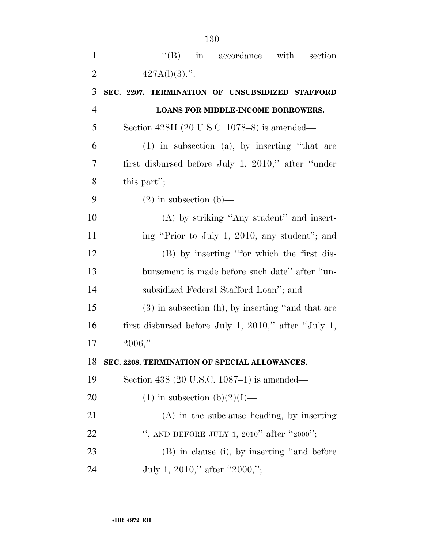| $\mathbf{1}$   | $\lq\lq$ (B) in accordance with section              |
|----------------|------------------------------------------------------|
| $\overline{2}$ | $427A(1)(3)$ .".                                     |
| 3              | SEC. 2207. TERMINATION OF UNSUBSIDIZED STAFFORD      |
| $\overline{4}$ | LOANS FOR MIDDLE-INCOME BORROWERS.                   |
| 5              | Section 428H (20 U.S.C. 1078–8) is amended—          |
| 6              | $(1)$ in subsection $(a)$ , by inserting "that are   |
| 7              | first disbursed before July 1, 2010," after "under"  |
| 8              | this part";                                          |
| 9              | $(2)$ in subsection $(b)$ —                          |
| 10             | (A) by striking "Any student" and insert-            |
| 11             | ing "Prior to July 1, 2010, any student"; and        |
| 12             | (B) by inserting "for which the first dis-           |
| 13             | bursement is made before such date" after "un-       |
| 14             | subsidized Federal Stafford Loan"; and               |
| 15             | $(3)$ in subsection (h), by inserting "and that are  |
| 16             | first disbursed before July 1, 2010," after "July 1, |
| 17             | $2006$ ."                                            |
| 18             | SEC. 2208. TERMINATION OF SPECIAL ALLOWANCES.        |
| 19             | Section 438 (20 U.S.C. 1087–1) is amended—           |
| 20             | $(1)$ in subsection $(b)(2)(I)$ —                    |
| 21             | $(A)$ in the subclause heading, by inserting         |
| 22             | ", AND BEFORE JULY 1, 2010" after "2000";            |
| 23             | (B) in clause (i), by inserting "and before          |
| 24             | July 1, 2010," after "2000,";                        |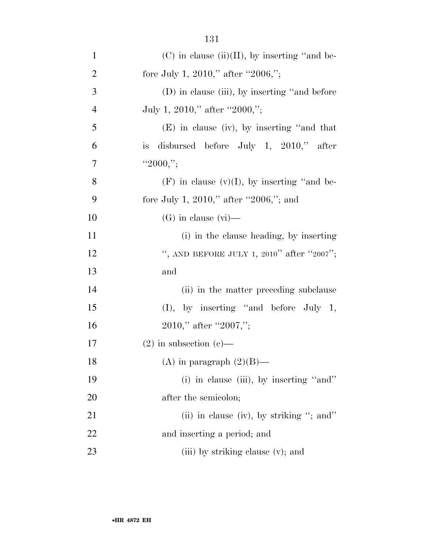| $\mathbf{1}$   | $(C)$ in clause (ii)(II), by inserting "and be-  |
|----------------|--------------------------------------------------|
| $\overline{2}$ | fore July 1, 2010," after "2006,";               |
| 3              | $(D)$ in clause (iii), by inserting "and before  |
| $\overline{4}$ | July 1, 2010," after "2000,";                    |
| 5              | $(E)$ in clause (iv), by inserting "and that     |
| 6              | is disbursed before July 1, $2010$ ," after      |
| $\overline{7}$ | "2000,";                                         |
| 8              | $(F)$ in clause $(v)(I)$ , by inserting "and be- |
| 9              | fore July 1, 2010," after "2006,"; and           |
| 10             | $(G)$ in clause $(vi)$ —                         |
| 11             | (i) in the clause heading, by inserting          |
| 12             | ", AND BEFORE JULY 1, 2010" after "2007";        |
| 13             | and                                              |
| 14             | (ii) in the matter preceding subclause           |
| 15             | $(I)$ , by inserting "and before July 1,         |
| 16             | $2010,"$ after "2007,";                          |
| 17             | $(2)$ in subsection $(e)$ —                      |
| 18             | (A) in paragraph $(2)(B)$ —                      |
| 19             | (i) in clause (iii), by inserting "and"          |
| 20             | after the semicolon;                             |
| 21             | (ii) in clause (iv), by striking "; and"         |
| 22             | and inserting a period; and                      |
| 23             | (iii) by striking clause (v); and                |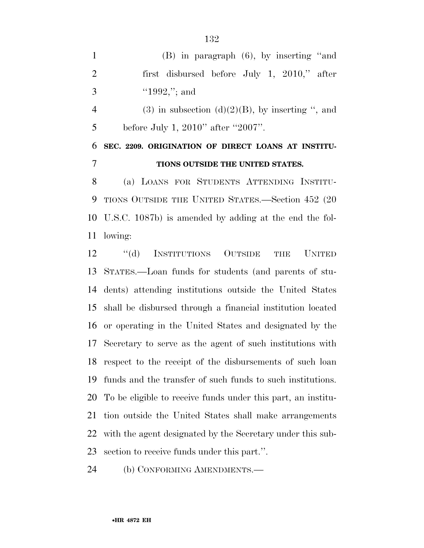(B) in paragraph (6), by inserting ''and first disbursed before July 1, 2010,'' after 3  $"1992,"$ ; and

4 (3) in subsection  $(d)(2)(B)$ , by inserting ", and 5 before July 1, 2010" after "2007".

## **SEC. 2209. ORIGINATION OF DIRECT LOANS AT INSTITU-TIONS OUTSIDE THE UNITED STATES.**

 (a) LOANS FOR STUDENTS ATTENDING INSTITU- TIONS OUTSIDE THE UNITED STATES.—Section 452 (20 U.S.C. 1087b) is amended by adding at the end the fol-lowing:

 ''(d) INSTITUTIONS OUTSIDE THE UNITED STATES.—Loan funds for students (and parents of stu- dents) attending institutions outside the United States shall be disbursed through a financial institution located or operating in the United States and designated by the Secretary to serve as the agent of such institutions with respect to the receipt of the disbursements of such loan funds and the transfer of such funds to such institutions. To be eligible to receive funds under this part, an institu- tion outside the United States shall make arrangements with the agent designated by the Secretary under this sub-section to receive funds under this part.''.

(b) CONFORMING AMENDMENTS.—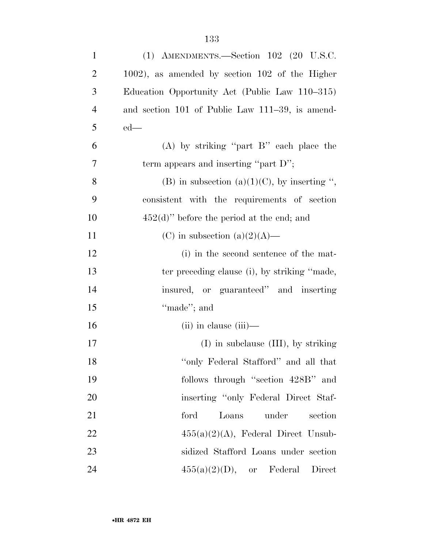| $\mathbf{1}$   | (1) AMENDMENTS.—Section $102$ (20 U.S.C.            |
|----------------|-----------------------------------------------------|
| $\overline{2}$ | $1002$ ), as amended by section $102$ of the Higher |
| 3              | Education Opportunity Act (Public Law 110–315)      |
| $\overline{4}$ | and section 101 of Public Law 111–39, is amend-     |
| 5              | $ed$ —                                              |
| 6              | $(A)$ by striking "part B" each place the           |
| 7              | term appears and inserting "part D";                |
| 8              | (B) in subsection (a)(1)(C), by inserting ",        |
| 9              | consistent with the requirements of section         |
| 10             | $452(d)$ " before the period at the end; and        |
| 11             | (C) in subsection (a) $(2)(A)$ —                    |
| 12             | (i) in the second sentence of the mat-              |
| 13             | ter preceding clause (i), by striking "made,        |
| 14             | insured, or guaranteed" and inserting               |
| 15             | "made"; and                                         |
| 16             | $(ii)$ in clause $(iii)$ —                          |
| 17             | $(I)$ in subclause $(III)$ , by striking            |
| 18             | "only Federal Stafford" and all that                |
| 19             | follows through "section 428B" and                  |
| 20             | inserting "only Federal Direct Staf-                |
| 21             | under<br>ford<br>Loans<br>section                   |
| 22             | $455(a)(2)(A)$ , Federal Direct Unsub-              |
| 23             | sidized Stafford Loans under section                |
| 24             | $455(a)(2)(D)$ , or Federal<br>Direct               |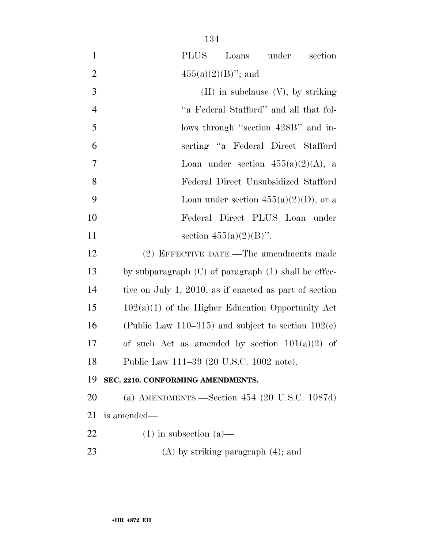| $\mathbf{1}$   | PLUS<br>Loans under<br>section                           |
|----------------|----------------------------------------------------------|
| $\overline{2}$ | $455(a)(2)(B)$ "; and                                    |
| 3              | $(II)$ in subclause $(V)$ , by striking                  |
| $\overline{4}$ | "a Federal Stafford" and all that fol-                   |
| 5              | lows through "section 428B" and in-                      |
| 6              | serting "a Federal Direct Stafford                       |
| 7              | Loan under section $455(a)(2)(A)$ , a                    |
| 8              | Federal Direct Unsubsidized Stafford                     |
| 9              | Loan under section $455(a)(2)(D)$ , or a                 |
| 10             | Federal Direct PLUS Loan under                           |
| 11             | section $455(a)(2)(B)$ ".                                |
| 12             | (2) EFFECTIVE DATE.—The amendments made                  |
| 13             | by subparagraph $(C)$ of paragraph $(1)$ shall be effec- |
| 14             | tive on July 1, 2010, as if enacted as part of section   |
| 15             | $102(a)(1)$ of the Higher Education Opportunity Act      |
| 16             | (Public Law 110–315) and subject to section $102(e)$     |
| 17             | of such Act as amended by section $101(a)(2)$ of         |
| 18             | Public Law 111-39 (20 U.S.C. 1002 note).                 |
| 19             | SEC. 2210. CONFORMING AMENDMENTS.                        |
| 20             | (a) AMENDMENTS.—Section $454$ (20 U.S.C. 1087d)          |
| 21             | is amended—                                              |
| 22             | $(1)$ in subsection $(a)$ —                              |
| 23             | $(A)$ by striking paragraph $(4)$ ; and                  |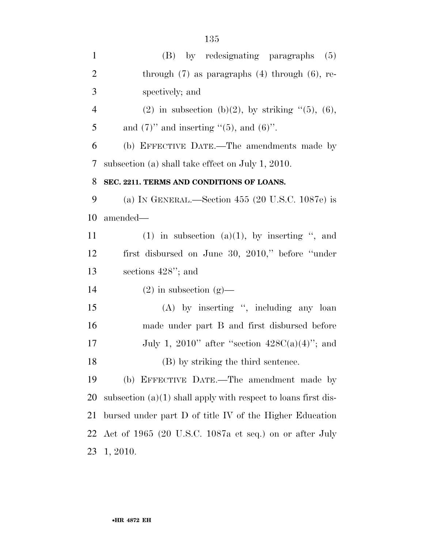| $\mathbf{1}$   | (B) by redesignating paragraphs<br>(5)                           |
|----------------|------------------------------------------------------------------|
| $\overline{2}$ | through $(7)$ as paragraphs $(4)$ through $(6)$ , re-            |
| 3              | spectively; and                                                  |
| $\overline{4}$ | (2) in subsection (b)(2), by striking $\lq(5)$ , (6),            |
| 5              | and $(7)$ " and inserting " $(5)$ , and $(6)$ ".                 |
| 6              | (b) EFFECTIVE DATE.—The amendments made by                       |
| 7              | subsection (a) shall take effect on July 1, 2010.                |
| 8              | SEC. 2211. TERMS AND CONDITIONS OF LOANS.                        |
| 9              | (a) IN GENERAL.—Section 455 (20 U.S.C. 1087e) is                 |
| 10             | amended—                                                         |
| 11             | $(1)$ in subsection $(a)(1)$ , by inserting ", and               |
| 12             | first disbursed on June 30, 2010," before "under"                |
| 13             | sections $428$ "; and                                            |
| 14             | $(2)$ in subsection $(g)$ —                                      |
| 15             | $(A)$ by inserting ", including any loan                         |
| 16             | made under part B and first disbursed before                     |
| 17             | July 1, 2010" after "section $428C(a)(4)$ "; and                 |
| 18             | (B) by striking the third sentence.                              |
| 19             | (b) EFFECTIVE DATE.—The amendment made by                        |
| 20             | subsection $(a)(1)$ shall apply with respect to loans first dis- |
| 21             | bursed under part D of title IV of the Higher Education          |
| 22             | Act of 1965 (20 U.S.C. 1087a et seq.) on or after July           |
| 23             | 1, 2010.                                                         |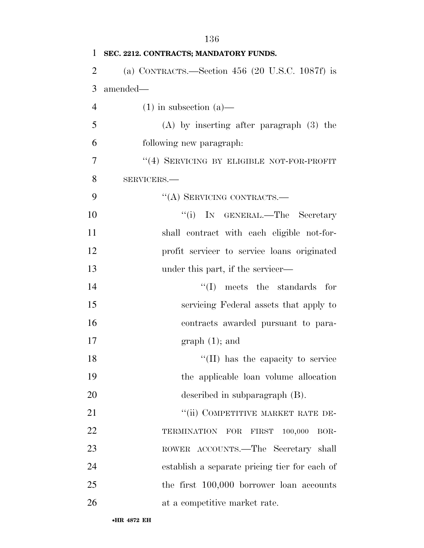| $\mathbf{1}$   | SEC. 2212. CONTRACTS; MANDATORY FUNDS.            |
|----------------|---------------------------------------------------|
| $\overline{2}$ | (a) CONTRACTS.—Section $456$ (20 U.S.C. 1087f) is |
| 3              | amended—                                          |
| $\overline{4}$ | $(1)$ in subsection $(a)$ —                       |
| 5              | $(A)$ by inserting after paragraph $(3)$ the      |
| 6              | following new paragraph.                          |
| 7              | "(4) SERVICING BY ELIGIBLE NOT-FOR-PROFIT         |
| 8              | SERVICERS.-                                       |
| 9              | "(A) SERVICING CONTRACTS.-                        |
| 10             | "(i) IN GENERAL.—The Secretary                    |
| 11             | shall contract with each eligible not-for-        |
| 12             | profit servicer to service loans originated       |
| 13             | under this part, if the servicer—                 |
| 14             | $\lq\lq$ (I) meets the standards for              |
| 15             | servicing Federal assets that apply to            |
| 16             | contracts awarded pursuant to para-               |
| 17             | $graph(1);$ and                                   |
| 18             | "(II) has the capacity to service                 |
| 19             | the applicable loan volume allocation             |
| 20             | described in subparagraph $(B)$ .                 |
| 21             | "(ii) COMPETITIVE MARKET RATE DE-                 |
| 22             | TERMINATION FOR<br>100,000<br>FIRST<br>BOR-       |
| 23             | ROWER ACCOUNTS.—The Secretary shall               |
| 24             | establish a separate pricing tier for each of     |
| 25             | the first $100,000$ borrower loan accounts        |
| 26             | at a competitive market rate.                     |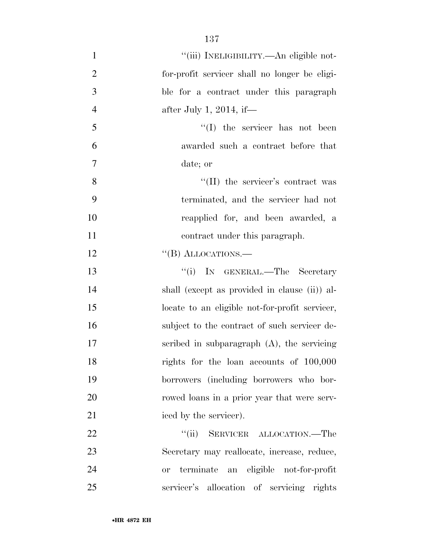| $\mathbf{1}$   | "(iii) INELIGIBILITY.—An eligible not-               |
|----------------|------------------------------------------------------|
| $\overline{2}$ | for-profit servicer shall no longer be eligi-        |
| 3              | ble for a contract under this paragraph              |
| $\overline{4}$ | after July 1, 2014, if—                              |
| 5              | $\lq\lq$ (I) the servicer has not been               |
| 6              | awarded such a contract before that                  |
| 7              | date; or                                             |
| 8              | $\lq\lq$ (II) the servicer's contract was            |
| 9              | terminated, and the servicer had not                 |
| 10             | reapplied for, and been awarded, a                   |
| 11             | contract under this paragraph.                       |
| 12             | "(B) ALLOCATIONS.—                                   |
| 13             | "(i) IN GENERAL.—The Secretary                       |
| 14             | shall (except as provided in clause (ii)) al-        |
| 15             | locate to an eligible not-for-profit servicer,       |
| 16             | subject to the contract of such servicer de-         |
| 17             | scribed in subparagraph $(A)$ , the servicing        |
| 18             | rights for the loan accounts of 100,000              |
| 19             | borrowers (including borrowers who bor-              |
| 20             | rowed loans in a prior year that were serv-          |
| 21             | iced by the servicer).                               |
| 22             | $\lq(\mathrm{ii})$<br>SERVICER ALLOCATION.—The       |
| 23             | Secretary may reallocate, increase, reduce,          |
| 24             | an eligible not-for-profit<br>terminate<br><b>or</b> |
| 25             | servicer's allocation of servicing rights            |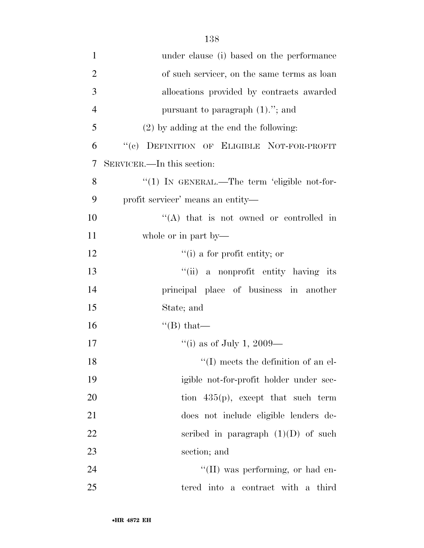| $\mathbf{1}$   | under clause (i) based on the performance    |
|----------------|----------------------------------------------|
| $\overline{2}$ | of such servicer, on the same terms as loan  |
| 3              | allocations provided by contracts awarded    |
| $\overline{4}$ | pursuant to paragraph $(1)$ ."; and          |
| 5              | $(2)$ by adding at the end the following:    |
| 6              | "(c) DEFINITION OF ELIGIBLE NOT-FOR-PROFIT   |
| 7              | SERVICER.—In this section:                   |
| 8              | "(1) IN GENERAL.—The term 'eligible not-for- |
| 9              | profit servicer' means an entity-            |
| 10             | "(A) that is not owned or controlled in      |
| 11             | whole or in part by—                         |
| 12             | $f'(i)$ a for profit entity; or              |
| 13             | "(ii) a nonprofit entity having its          |
| 14             | principal place of business in another       |
| 15             | State; and                                   |
| 16             | $\lq$ (B) that—                              |
| 17             | "(i) as of July 1, 2009—                     |
| 18             | $\lq\lq$ (I) meets the definition of an el-  |
| 19             | igible not-for-profit holder under sec-      |
| 20             | tion $435(p)$ , except that such term        |
| 21             | does not include eligible lenders de-        |
| 22             | scribed in paragraph $(1)(D)$ of such        |
| 23             | section; and                                 |
| 24             | "(II) was performing, or had en-             |
| 25             | tered into a contract with a third           |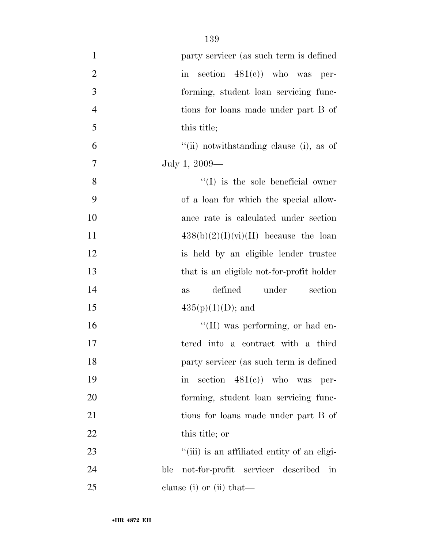| $\mathbf{1}$   | party servicer (as such term is defined                         |
|----------------|-----------------------------------------------------------------|
| $\overline{2}$ | section $481(e)$ who was per-<br>$\operatorname{in}$            |
| 3              | forming, student loan servicing func-                           |
| $\overline{4}$ | tions for loans made under part B of                            |
| 5              | this title;                                                     |
| 6              | "(ii) notwithstanding clause (i), as of                         |
| $\tau$         | July 1, 2009—                                                   |
| 8              | $\lq\lq$ is the sole beneficial owner                           |
| 9              | of a loan for which the special allow-                          |
| 10             | ance rate is calculated under section                           |
| 11             | $438(b)(2)(I)(vi)(II)$ because the loan                         |
| 12             | is held by an eligible lender trustee                           |
| 13             | that is an eligible not-for-profit holder                       |
| 14             | defined<br>under<br>section<br>as                               |
| 15             | $435(p)(1)(D)$ ; and                                            |
| 16             | $\lq\lq$ (II) was performing, or had en-                        |
| 17             | tered into a contract with a third                              |
| 18             | party servicer (as such term is defined                         |
| 19             | section $481(e)$ who was per-<br>$\operatorname{in}$            |
| 20             | forming, student loan servicing func-                           |
| 21             | tions for loans made under part B of                            |
| 22             | this title; or                                                  |
| 23             | "(iii) is an affiliated entity of an eligi-                     |
| 24             | not-for-profit servicer described<br>ble<br>$\operatorname{in}$ |
| 25             | clause (i) or (ii) that—                                        |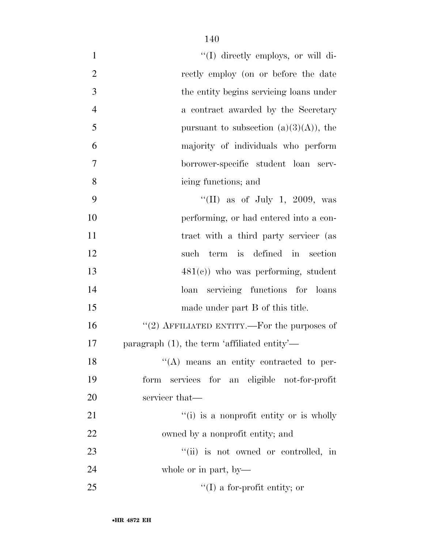| $\mathbf{1}$   | "(I) directly employs, or will di-              |
|----------------|-------------------------------------------------|
| $\mathbf{2}$   | rectly employ (on or before the date            |
| 3              | the entity begins servicing loans under         |
| $\overline{4}$ | a contract awarded by the Secretary             |
| 5              | pursuant to subsection $(a)(3)(A)$ , the        |
| 6              | majority of individuals who perform             |
| $\overline{7}$ | borrower-specific student loan serv-            |
| 8              | icing functions; and                            |
| 9              | "(II) as of July 1, 2009, was                   |
| 10             | performing, or had entered into a con-          |
| 11             | tract with a third party servicer (as           |
| 12             | term is defined in<br>section<br>such           |
| 13             | $481(e)$ ) who was performing, student          |
| 14             | loan servicing functions for loans              |
| 15             | made under part B of this title.                |
| 16             | "(2) AFFILIATED ENTITY.—For the purposes of     |
| 17             | paragraph $(1)$ , the term 'affiliated entity'— |
| 18             | $\lq\lq$ means an entity contracted to per-     |
| 19             | form services for an eligible not-for-profit    |
| $20\,$         | servicer that—                                  |
| 21             | "(i) is a nonprofit entity or is wholly         |
| 22             | owned by a nonprofit entity; and                |
| 23             | "(ii) is not owned or controlled, in            |
| 24             | whole or in part, by-                           |
| 25             | $\lq\lq$ (I) a for-profit entity; or            |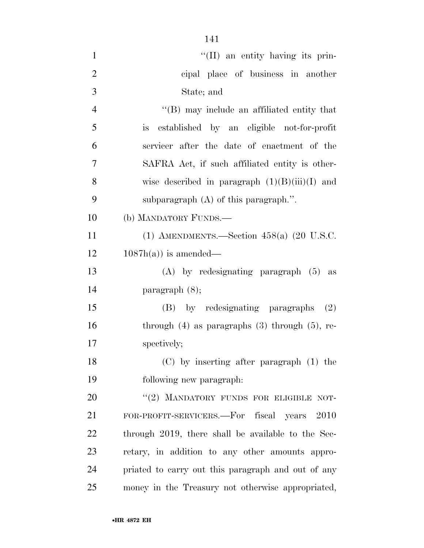| $\mathbf{1}$   | $\lq\lq$ (II) an entity having its prin-              |
|----------------|-------------------------------------------------------|
| $\overline{2}$ | cipal place of business in another                    |
| 3              | State; and                                            |
| $\overline{4}$ | $\lq\lq$ (B) may include an affiliated entity that    |
| 5              | established by an eligible not-for-profit<br>is       |
| 6              | servicer after the date of enactment of the           |
| 7              | SAFRA Act, if such affiliated entity is other-        |
| 8              | wise described in paragraph $(1)(B)(iii)(I)$ and      |
| 9              | subparagraph $(A)$ of this paragraph.".               |
| 10             | (b) MANDATORY FUNDS.—                                 |
| 11             | (1) AMENDMENTS.—Section $458(a)$ (20 U.S.C.           |
| 12             | $1087h(a)$ is amended—                                |
| 13             | $(A)$ by redesignating paragraph $(5)$ as             |
| 14             | paragraph $(8)$ ;                                     |
| 15             | (B) by redesignating paragraphs (2)                   |
| 16             | through $(4)$ as paragraphs $(3)$ through $(5)$ , re- |
| 17             | spectively;                                           |
| 18             | $(C)$ by inserting after paragraph $(1)$ the          |
| 19             | following new paragraph.                              |
| 20             | "(2) MANDATORY FUNDS FOR ELIGIBLE NOT-                |
| 21             | FOR-PROFIT-SERVICERS.—For fiscal years 2010           |
| 22             | through 2019, there shall be available to the Sec-    |
| 23             | retary, in addition to any other amounts appro-       |
| 24             | priated to carry out this paragraph and out of any    |
| 25             | money in the Treasury not otherwise appropriated,     |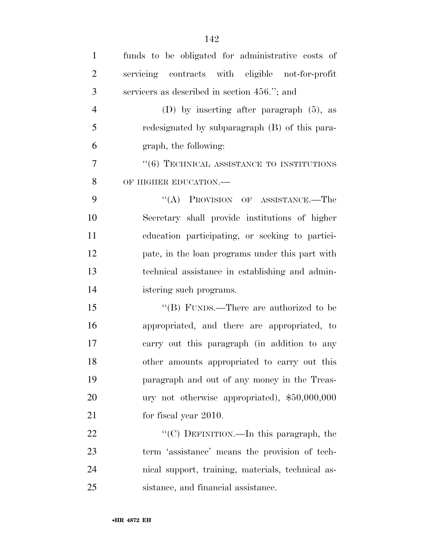| $\mathbf{1}$   | funds to be obligated for administrative costs of |
|----------------|---------------------------------------------------|
| $\overline{2}$ | servicing contracts with eligible not-for-profit  |
| 3              | servicers as described in section 456."; and      |
| $\overline{4}$ | (D) by inserting after paragraph $(5)$ , as       |
| 5              | redesignated by subparagraph (B) of this para-    |
| 6              | graph, the following:                             |
| 7              | $``(6)$ TECHNICAL ASSISTANCE TO INSTITUTIONS      |
| 8              | OF HIGHER EDUCATION.-                             |
| 9              | "(A) PROVISION OF ASSISTANCE.—The                 |
| 10             | Secretary shall provide institutions of higher    |
| 11             | education participating, or seeking to partici-   |
| 12             | pate, in the loan programs under this part with   |
| 13             | technical assistance in establishing and admin-   |
| 14             | istering such programs.                           |
| 15             | "(B) FUNDS.—There are authorized to be            |
| 16             | appropriated, and there are appropriated, to      |
| 17             | carry out this paragraph (in addition to any      |
| 18             | other amounts appropriated to carry out this      |
| 19             | paragraph and out of any money in the Treas-      |
| 20             | ury not otherwise appropriated), \$50,000,000     |
| 21             | for fiscal year 2010.                             |
| 22             | "(C) DEFINITION.—In this paragraph, the           |
| 23             | term 'assistance' means the provision of tech-    |
| 24             | nical support, training, materials, technical as- |
| 25             | sistance, and financial assistance.               |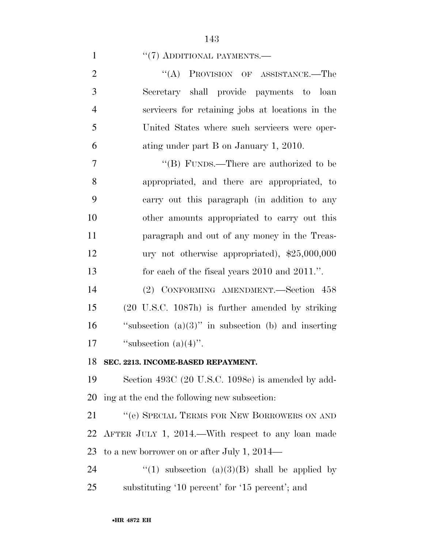#### 1  $\frac{1}{2}$  (7) ADDITIONAL PAYMENTS.

| 2              | "(A) PROVISION OF ASSISTANCE.—The                |
|----------------|--------------------------------------------------|
| 3              | Secretary shall provide payments to loan         |
| 4              | servicers for retaining jobs at locations in the |
| $\mathfrak{S}$ | United States where such servicers were oper-    |
| 6              | ating under part B on January 1, 2010.           |

7 ''(B) FUNDS.—There are authorized to be appropriated, and there are appropriated, to carry out this paragraph (in addition to any other amounts appropriated to carry out this paragraph and out of any money in the Treas- ury not otherwise appropriated), \$25,000,000 for each of the fiscal years 2010 and 2011.''.

 (2) CONFORMING AMENDMENT.—Section 458 (20 U.S.C. 1087h) is further amended by striking  $\qquad$  "subsection (a)(3)" in subsection (b) and inserting  $``subsection (a)(4)''$ .

### **SEC. 2213. INCOME-BASED REPAYMENT.**

 Section 493C (20 U.S.C. 1098e) is amended by add-ing at the end the following new subsection:

21 " (e) SPECIAL TERMS FOR NEW BORROWERS ON AND AFTER JULY 1, 2014.—With respect to any loan made to a new borrower on or after July 1, 2014—

24  $\qquad$  ''(1) subsection (a)(3)(B) shall be applied by substituting '10 percent' for '15 percent'; and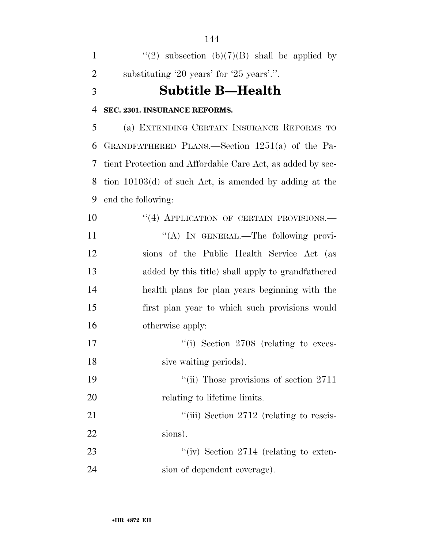| $\mathbf{1}$   | "(2) subsection (b)(7)(B) shall be applied by              |
|----------------|------------------------------------------------------------|
| $\overline{2}$ | substituting '20 years' for '25 years'.".                  |
| 3              | <b>Subtitle B-Health</b>                                   |
| $\overline{4}$ | SEC. 2301. INSURANCE REFORMS.                              |
| 5              | (a) EXTENDING CERTAIN INSURANCE REFORMS TO                 |
| 6              | GRANDFATHERED PLANS.—Section 1251(a) of the Pa-            |
| 7              | tient Protection and Affordable Care Act, as added by sec- |
| 8              | tion $10103(d)$ of such Act, is amended by adding at the   |
| 9              | end the following:                                         |
| 10             | "(4) APPLICATION OF CERTAIN PROVISIONS.—                   |
| 11             | "(A) IN GENERAL.—The following provi-                      |
| 12             | sions of the Public Health Service Act (as                 |
| 13             | added by this title) shall apply to grandfathered          |
| 14             | health plans for plan years beginning with the             |
| 15             | first plan year to which such provisions would             |
| 16             | otherwise apply:                                           |
| 17             | "(i) Section 2708 (relating to exces-                      |
| 18             | sive waiting periods).                                     |
| 19             | "(ii) Those provisions of section 2711                     |
| 20             | relating to lifetime limits.                               |
| 21             | "(iii) Section 2712 (relating to rescis-                   |
| 22             | sions).                                                    |
| 23             | "(iv) Section $2714$ (relating to exten-                   |
| 24             | sion of dependent coverage).                               |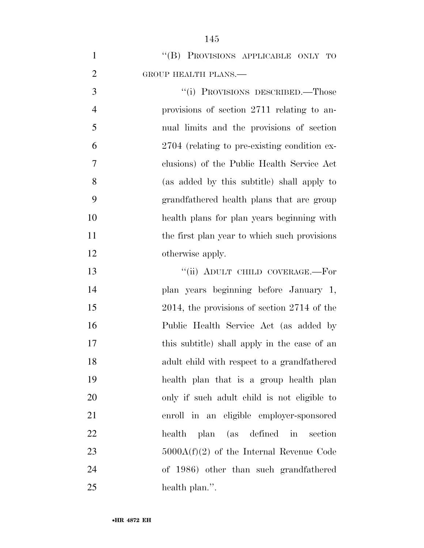| $\mathbf{1}$   | "(B) PROVISIONS APPLICABLE ONLY TO               |
|----------------|--------------------------------------------------|
| $\overline{2}$ | GROUP HEALTH PLANS.                              |
| 3              | "(i) PROVISIONS DESCRIBED.—Those                 |
| $\overline{4}$ | provisions of section 2711 relating to an-       |
| 5              | nual limits and the provisions of section        |
| 6              | 2704 (relating to pre-existing condition ex-     |
| 7              | clusions) of the Public Health Service Act       |
| 8              | (as added by this subtitle) shall apply to       |
| 9              | grandfathered health plans that are group        |
| 10             | health plans for plan years beginning with       |
| 11             | the first plan year to which such provisions     |
| 12             | otherwise apply.                                 |
| 13             | "(ii) ADULT CHILD COVERAGE.-For                  |
| 14             | plan years beginning before January 1,           |
| 15             | $2014$ , the provisions of section $2714$ of the |
| 16             | Public Health Service Act (as added by           |
| 17             | this subtitle) shall apply in the case of an     |
| 18             | adult child with respect to a grandfathered      |
| 19             | health plan that is a group health plan          |
| 20             | only if such a dult child is not eligible to     |
| 21             | enroll in an eligible employer-sponsored         |
| 22             | health plan (as defined in section               |
| 23             | $5000A(f)(2)$ of the Internal Revenue Code       |
| 24             | of 1986) other than such grandfathered           |
| 25             | health plan.".                                   |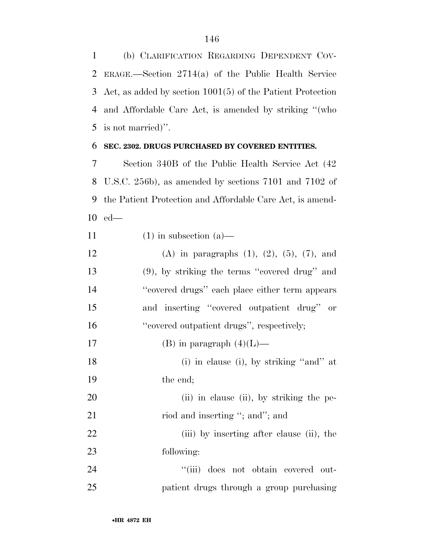(b) CLARIFICATION REGARDING DEPENDENT COV- ERAGE.—Section 2714(a) of the Public Health Service Act, as added by section 1001(5) of the Patient Protection and Affordable Care Act, is amended by striking ''(who is not married)''.

## **SEC. 2302. DRUGS PURCHASED BY COVERED ENTITIES.**

 Section 340B of the Public Health Service Act (42 U.S.C. 256b), as amended by sections 7101 and 7102 of the Patient Protection and Affordable Care Act, is amend-ed—

11 (1) in subsection  $(a)$ — 12 (A) in paragraphs  $(1)$ ,  $(2)$ ,  $(5)$ ,  $(7)$ , and (9), by striking the terms ''covered drug'' and ''covered drugs'' each place either term appears and inserting ''covered outpatient drug'' or 16 "eovered outpatient drugs", respectively; 17 (B) in paragraph  $(4)(L)$ — 18 (i) in clause (i), by striking "and" at the end; 20 (ii) in clause (ii), by striking the pe-21 riod and inserting "; and"; and 22 (iii) by inserting after clause (ii), the following: ''(iii) does not obtain covered out-patient drugs through a group purchasing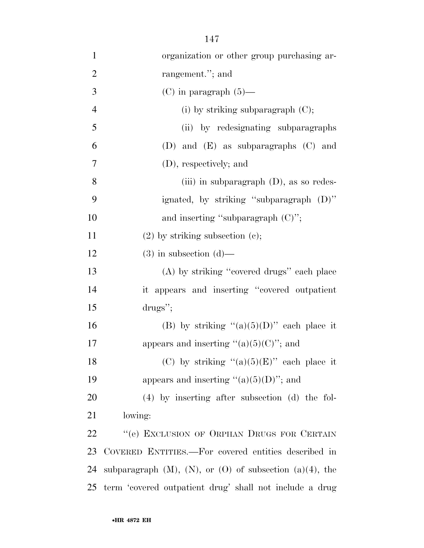| $\mathbf{1}$   | organization or other group purchasing ar-                         |
|----------------|--------------------------------------------------------------------|
| $\overline{2}$ | rangement."; and                                                   |
| 3              | $(C)$ in paragraph $(5)$ —                                         |
| $\overline{4}$ | (i) by striking subparagraph $(C)$ ;                               |
| 5              | (ii) by redesignating subparagraphs                                |
| 6              | (D) and $(E)$ as subparagraphs $(C)$ and                           |
| $\overline{7}$ | (D), respectively; and                                             |
| 8              | (iii) in subparagraph $(D)$ , as so redes-                         |
| 9              | ignated, by striking "subparagraph (D)"                            |
| 10             | and inserting "subparagraph $(C)$ ";                               |
| 11             | $(2)$ by striking subsection $(e)$ ;                               |
| 12             | $(3)$ in subsection $(d)$ —                                        |
| 13             | (A) by striking "covered drugs" each place                         |
| 14             | it appears and inserting "covered outpatient                       |
| 15             | $\frac{drugs''}{dt}$                                               |
| 16             | (B) by striking " $(a)(5)(D)$ " each place it                      |
| 17             | appears and inserting " $(a)(5)(C)$ "; and                         |
| 18             | (C) by striking " $(a)(5)(E)$ " each place it                      |
| 19             | appears and inserting " $(a)(5)(D)$ "; and                         |
| 20             | $(4)$ by inserting after subsection $(d)$ the fol-                 |
| 21             | lowing:                                                            |
| 22             | "(e) EXCLUSION OF ORPHAN DRUGS FOR CERTAIN                         |
| 23             | COVERED ENTITIES.—For covered entities described in                |
| 24             | subparagraph $(M)$ , $(N)$ , or $(O)$ of subsection $(a)(4)$ , the |
| 25             | term 'covered outpatient drug' shall not include a drug            |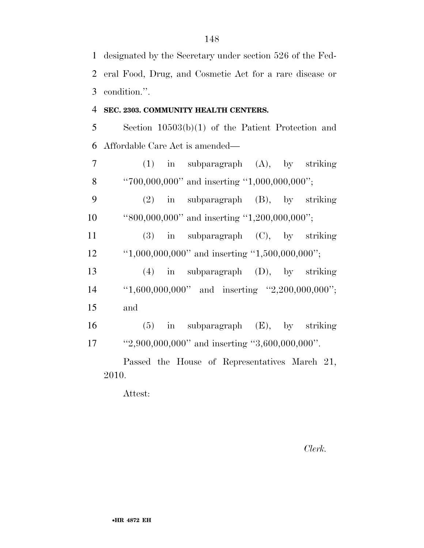| $\mathbf{1}$   | designated by the Secretary under section 526 of the Fed- |
|----------------|-----------------------------------------------------------|
| $\overline{2}$ | eral Food, Drug, and Cosmetic Act for a rare disease or   |
| 3              | condition.".                                              |
| $\overline{4}$ | SEC. 2303. COMMUNITY HEALTH CENTERS.                      |
| 5              | Section $10503(b)(1)$ of the Patient Protection and       |
| 6              | Affordable Care Act is amended—                           |
| $\overline{7}$ | $(1)$ in subparagraph $(A)$ , by striking                 |
| 8              | "700,000,000" and inserting "1,000,000,000";              |
| 9              | $(2)$ in subparagraph $(B)$ , by striking                 |
| 10             | "800,000,000" and inserting "1,200,000,000";              |
| 11             | $(3)$ in subparagraph $(C)$ , by striking                 |
| 12             | "1,000,000,000" and inserting "1,500,000,000";            |
| 13             | $(4)$ in subparagraph $(D)$ , by striking                 |
| 14             | "1,600,000,000" and inserting "2,200,000,000";            |
| 15             | and                                                       |
| 16             | $(5)$ in subparagraph $(E)$ , by striking                 |
| 17             | "2,900,000,000" and inserting "3,600,000,000".            |
|                | Passed the House of Representatives March 21,             |

2010.

Attest:

*Clerk.*